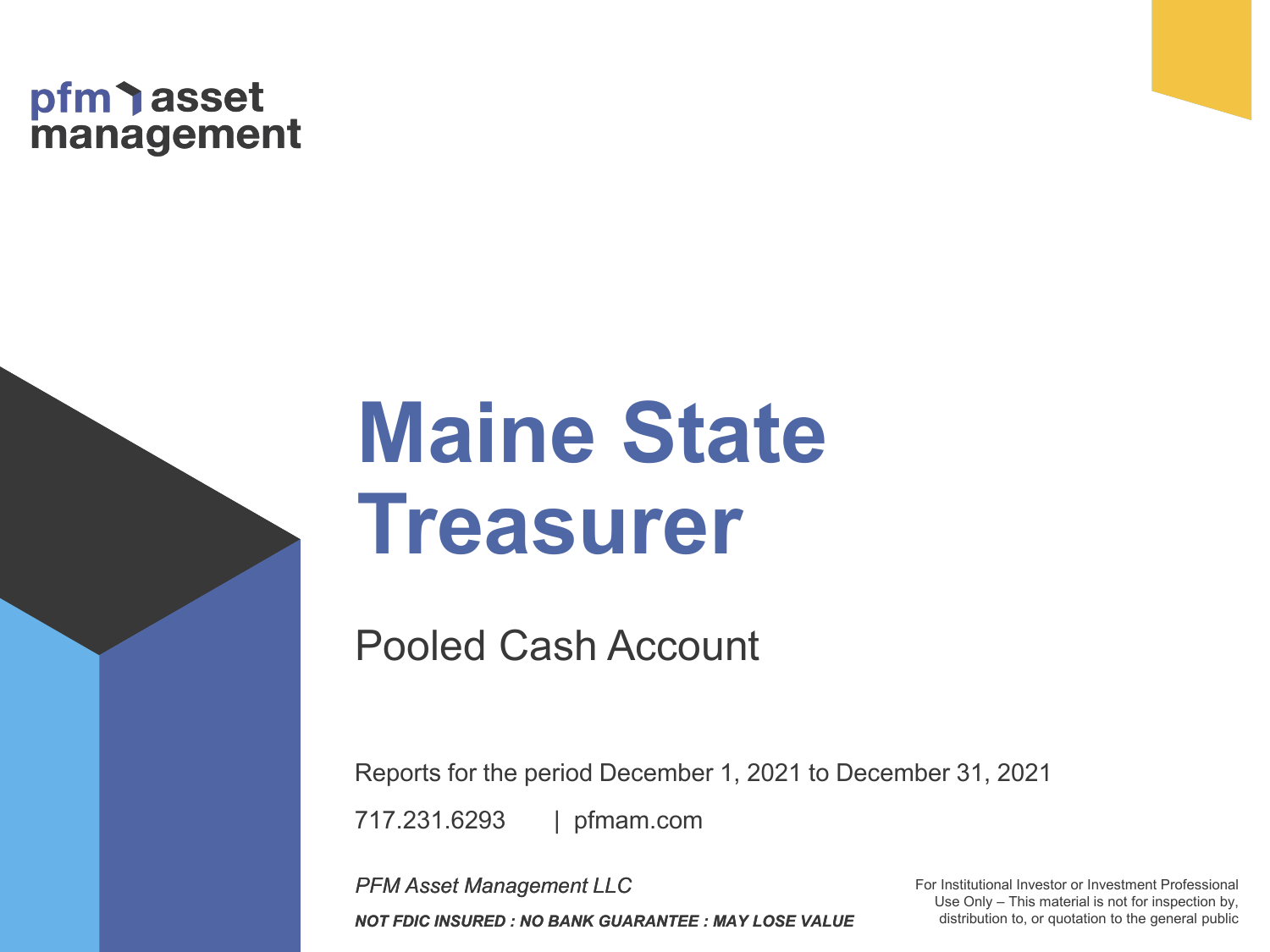# pfm asset<br>management

# **Maine State Treasurer**

Pooled Cash Account

| pfmam.com 717.231.6293 Reports for the period December 1, 2021 to December 31, 2021

*PFM Asset Management LLC NOT FDIC INSURED : NO BANK GUARANTEE : MAY LOSE VALUE* For Institutional Investor or Investment Professional Use Only – This material is not for inspection by, distribution to, or quotation to the general public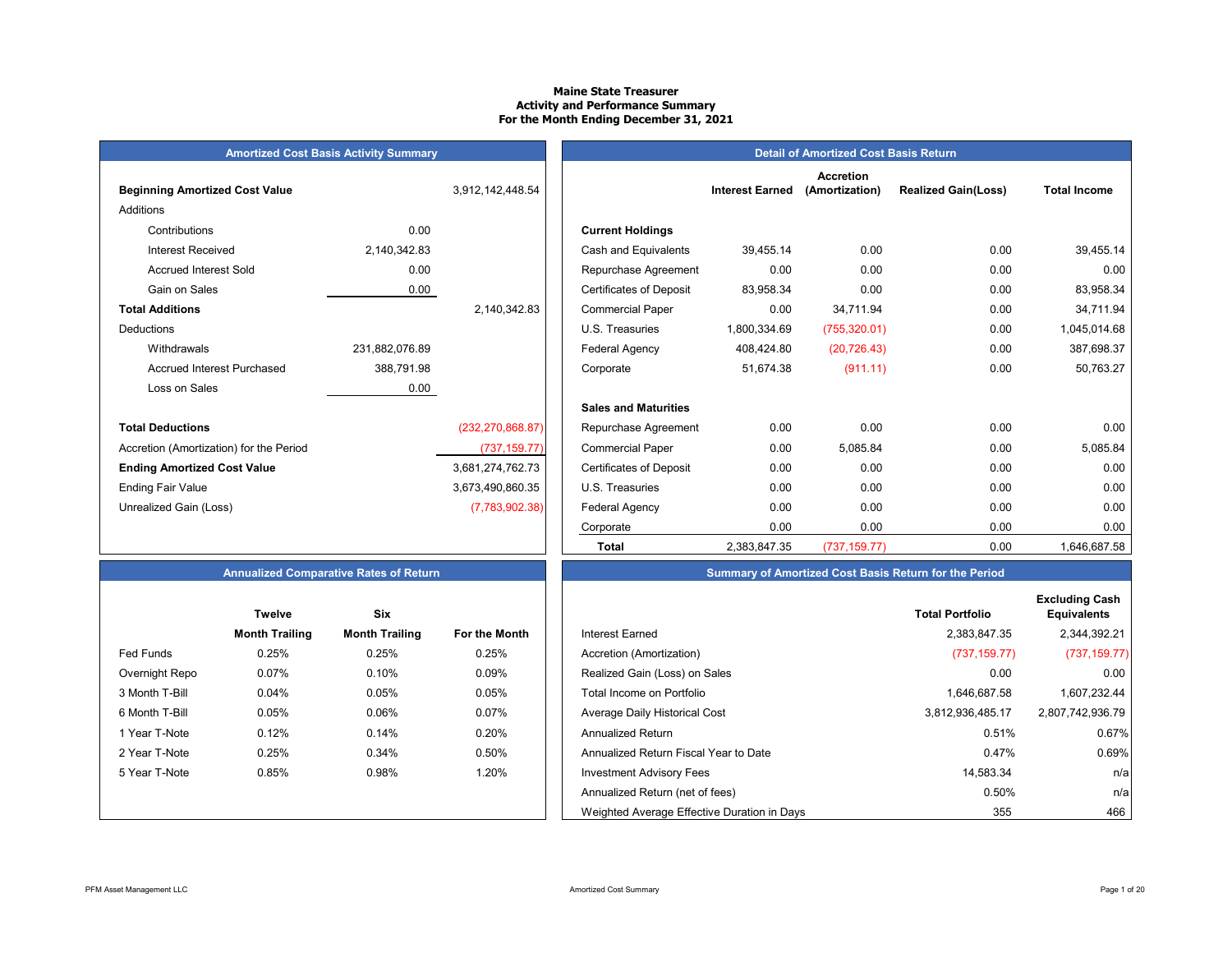# **Maine State Treasurer Activity and Performance Summary For the Month Ending December 31, 2021**

|  | <b>Amortized Cost Basis Activity Summar</b> |  |  |  |
|--|---------------------------------------------|--|--|--|
|--|---------------------------------------------|--|--|--|

| <b>Beginning Amortized Cost Value</b>   |                | 3,912,142,448.54   | <b>Interest Earned</b>                      |
|-----------------------------------------|----------------|--------------------|---------------------------------------------|
| Additions                               |                |                    |                                             |
| Contributions                           | 0.00           |                    | <b>Current Holdings</b>                     |
| <b>Interest Received</b>                | 2,140,342.83   |                    | 39,455.14<br>Cash and Equivalents           |
| <b>Accrued Interest Sold</b>            | 0.00           |                    | 0.00<br>Repurchase Agreement                |
| Gain on Sales                           | 0.00           |                    | <b>Certificates of Deposit</b><br>83,958.34 |
| <b>Total Additions</b>                  |                | 2,140,342.83       | 0.00<br><b>Commercial Paper</b>             |
| <b>Deductions</b>                       |                |                    | U.S. Treasuries<br>1,800,334.69             |
| Withdrawals                             | 231,882,076.89 |                    | 408,424.80<br><b>Federal Agency</b>         |
| <b>Accrued Interest Purchased</b>       | 388,791.98     |                    | 51,674.38<br>Corporate                      |
| Loss on Sales                           | 0.00           |                    |                                             |
|                                         |                |                    | <b>Sales and Maturities</b>                 |
| <b>Total Deductions</b>                 |                | (232, 270, 868.87) | 0.00<br>Repurchase Agreement                |
| Accretion (Amortization) for the Period |                | (737, 159.77)      | 0.00<br><b>Commercial Paper</b>             |
| <b>Ending Amortized Cost Value</b>      |                | 3,681,274,762.73   | 0.00<br><b>Certificates of Deposit</b>      |
| <b>Ending Fair Value</b>                |                | 3,673,490,860.35   | 0.00<br>U.S. Treasuries                     |
| Unrealized Gain (Loss)                  |                | (7,783,902.38)     | 0.00<br>Federal Agency                      |
|                                         |                |                    |                                             |

|                                         | <b>Amortized Cost Basis Activity Summary</b> |                    | <b>Detail of Amortized Cost Basis Return</b> |                        |                                    |                            |                     |  |  |  |
|-----------------------------------------|----------------------------------------------|--------------------|----------------------------------------------|------------------------|------------------------------------|----------------------------|---------------------|--|--|--|
| <b>Beginning Amortized Cost Value</b>   |                                              | 3,912,142,448.54   |                                              | <b>Interest Earned</b> | <b>Accretion</b><br>(Amortization) | <b>Realized Gain(Loss)</b> | <b>Total Income</b> |  |  |  |
| Additions                               |                                              |                    |                                              |                        |                                    |                            |                     |  |  |  |
| Contributions                           | 0.00                                         |                    | <b>Current Holdings</b>                      |                        |                                    |                            |                     |  |  |  |
| <b>Interest Received</b>                | 2,140,342.83                                 |                    | Cash and Equivalents                         | 39,455.14              | 0.00                               | 0.00                       | 39,455.14           |  |  |  |
| <b>Accrued Interest Sold</b>            | 0.00                                         |                    | Repurchase Agreement                         | 0.00                   | 0.00                               | 0.00                       | 0.00                |  |  |  |
| Gain on Sales                           | 0.00                                         |                    | <b>Certificates of Deposit</b>               | 83,958.34              | 0.00                               | 0.00                       | 83,958.34           |  |  |  |
| <b>Total Additions</b>                  |                                              | 2,140,342.83       | <b>Commercial Paper</b>                      | 0.00                   | 34,711.94                          | 0.00                       | 34,711.94           |  |  |  |
| Deductions                              |                                              |                    | U.S. Treasuries                              | 1,800,334.69           | (755, 320.01)                      | 0.00                       | 1,045,014.68        |  |  |  |
| Withdrawals                             | 231,882,076.89                               |                    | Federal Agency                               | 408,424.80             | (20, 726.43)                       | 0.00                       | 387,698.37          |  |  |  |
| <b>Accrued Interest Purchased</b>       | 388,791.98                                   |                    | Corporate                                    | 51,674.38              | (911.11)                           | 0.00                       | 50,763.27           |  |  |  |
| Loss on Sales                           | 0.00                                         |                    |                                              |                        |                                    |                            |                     |  |  |  |
|                                         |                                              |                    | <b>Sales and Maturities</b>                  |                        |                                    |                            |                     |  |  |  |
| <b>Total Deductions</b>                 |                                              | (232, 270, 868.87) | Repurchase Agreement                         | 0.00                   | 0.00                               | 0.00                       | 0.00                |  |  |  |
| Accretion (Amortization) for the Period |                                              | (737, 159.77)      | <b>Commercial Paper</b>                      | 0.00                   | 5,085.84                           | 0.00                       | 5,085.84            |  |  |  |
| <b>Ending Amortized Cost Value</b>      |                                              | 3,681,274,762.73   | <b>Certificates of Deposit</b>               | 0.00                   | 0.00                               | 0.00                       | 0.00                |  |  |  |
| Ending Fair Value                       |                                              | 3,673,490,860.35   | U.S. Treasuries                              | 0.00                   | 0.00                               | 0.00                       | 0.00                |  |  |  |
| Unrealized Gain (Loss)                  |                                              | (7,783,902.38)     | Federal Agency                               | 0.00                   | 0.00                               | 0.00                       | 0.00                |  |  |  |
|                                         |                                              |                    | Corporate                                    | 0.00                   | 0.00                               | 0.00                       | 0.00                |  |  |  |
|                                         |                                              |                    | <b>Total</b>                                 | 2,383,847.35           | (737, 159.77)                      | 0.00                       | 1,646,687.58        |  |  |  |

# **Summary of Amortized Cost Basis Return for the Period**

|                  | <b>Twelve</b>         | Six                   |               |                                             | <b>Total Portfolio</b> |
|------------------|-----------------------|-----------------------|---------------|---------------------------------------------|------------------------|
|                  | <b>Month Trailing</b> | <b>Month Trailing</b> | For the Month | Interest Earned                             | 2,383,847.35           |
| <b>Fed Funds</b> | 0.25%                 | 0.25%                 | 0.25%         | Accretion (Amortization)                    | (737, 159.77)          |
| Overnight Repo   | 0.07%                 | 0.10%                 | 0.09%         | Realized Gain (Loss) on Sales               | 0.00                   |
| 3 Month T-Bill   | 0.04%                 | 0.05%                 | 0.05%         | Total Income on Portfolio                   | 1,646,687.58           |
| 6 Month T-Bill   | 0.05%                 | 0.06%                 | 0.07%         | Average Daily Historical Cost               | 3,812,936,485.17       |
| 1 Year T-Note    | 0.12%                 | 0.14%                 | 0.20%         | Annualized Return                           | 0.51%                  |
| 2 Year T-Note    | 0.25%                 | 0.34%                 | 0.50%         | Annualized Return Fiscal Year to Date       | 0.47%                  |
| 5 Year T-Note    | 0.85%                 | 0.98%                 | 1.20%         | <b>Investment Advisory Fees</b>             | 14,583.34              |
|                  |                       |                       |               | Annualized Return (net of fees)             | 0.50%                  |
|                  |                       |                       |               | Weighted Average Effective Duration in Days | 355                    |

| <b>Annualized Comparative Rates of Returi</b> |  |  |  |
|-----------------------------------------------|--|--|--|
|-----------------------------------------------|--|--|--|

|                | <b>Twelve</b>         | Six                   |                      |
|----------------|-----------------------|-----------------------|----------------------|
|                | <b>Month Trailing</b> | <b>Month Trailing</b> | <b>For the Month</b> |
| Fed Funds      | 0.25%                 | 0.25%                 | 0.25%                |
| Overnight Repo | 0.07%                 | 0.10%                 | 0.09%                |
| 3 Month T-Bill | 0.04%                 | 0.05%                 | 0.05%                |
| 6 Month T-Bill | 0.05%                 | 0.06%                 | 0.07%                |
| 1 Year T-Note  | 0.12%                 | 0.14%                 | 0.20%                |
| 2 Year T-Note  | 0.25%                 | 0.34%                 | 0.50%                |
| 5 Year T-Note  | 0.85%                 | 0.98%                 | 1.20%                |
|                |                       |                       |                      |
|                |                       |                       |                      |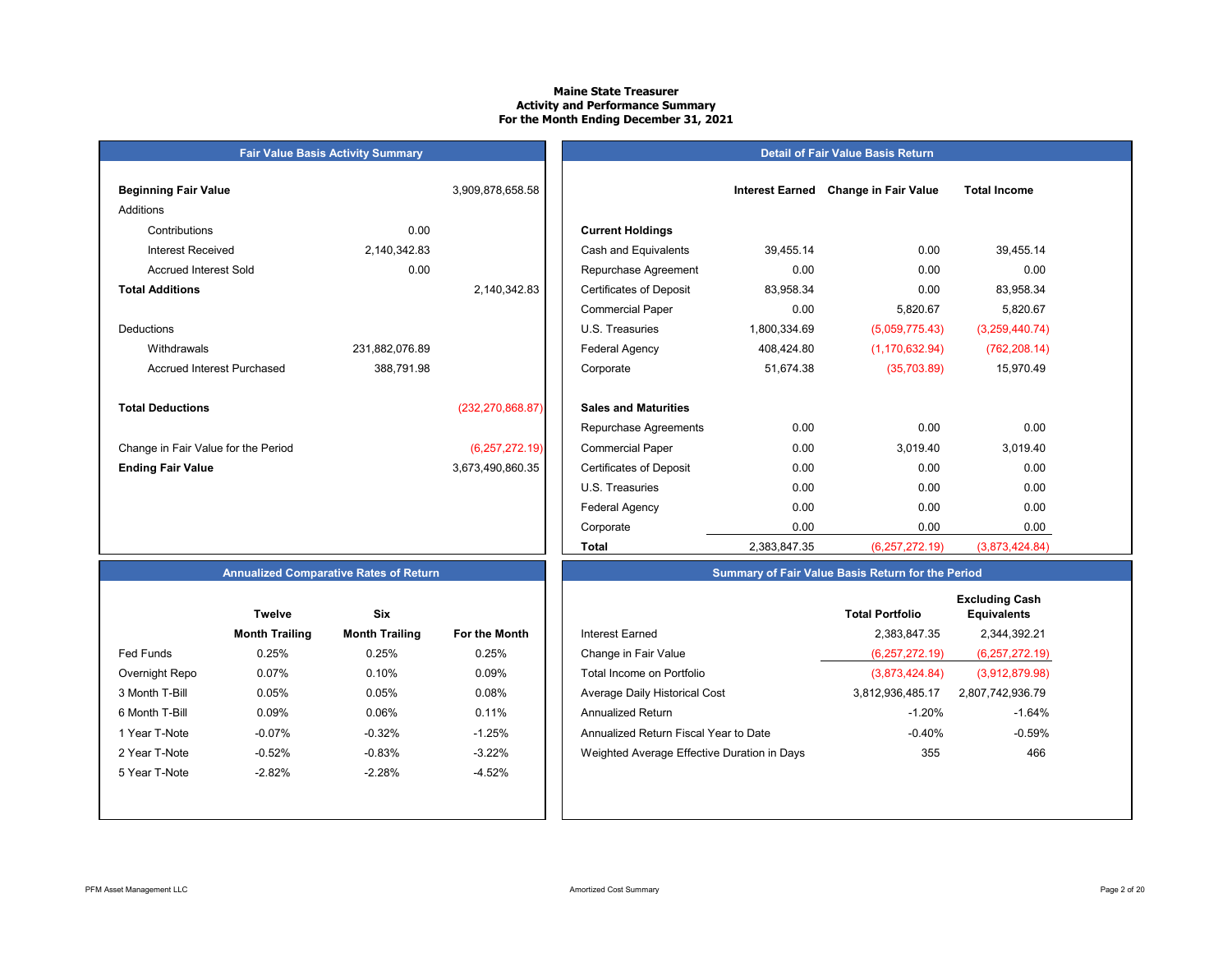# **Maine State TreasurerActivity and Performance Summary For the Month Ending December 31, 2021**

# **Fair Value Basis Activity Summary Beginning Fair Value 1.2 <b>Interest Earned Earned Earned Earned Change in Fair Value in Fair Value** Additions Contributions 0.00 **Current Holdings** Accrued Interest Sold 0.00 **Total Additions**DeductionsAccrued Interest Purchased 388,791.98 **Total Deductions** $(232, 270, 868.87)$ Change in Fair Value for the Period (6,257,272.19) **Ending Fair Value** 3,673,490,860.35

| ning Fair Value                   |                | 3,909,878,658.58   |                                | <b>Interest Earned</b> | <b>Change in Fair Value</b> | <b>Total Income</b> |
|-----------------------------------|----------------|--------------------|--------------------------------|------------------------|-----------------------------|---------------------|
| ons                               |                |                    |                                |                        |                             |                     |
| Contributions                     | 0.00           |                    | <b>Current Holdings</b>        |                        |                             |                     |
| <b>Interest Received</b>          | 2,140,342.83   |                    | Cash and Equivalents           | 39,455.14              | 0.00                        | 39,455.14           |
| Accrued Interest Sold             | 0.00           |                    | Repurchase Agreement           | 0.00                   | 0.00                        | 0.00                |
| <b>Additions</b>                  |                | 2,140,342.83       | <b>Certificates of Deposit</b> | 83,958.34              | 0.00                        | 83,958.34           |
|                                   |                |                    | <b>Commercial Paper</b>        | 0.00                   | 5,820.67                    | 5,820.67            |
| ctions                            |                |                    | U.S. Treasuries                | 1,800,334.69           | (5,059,775.43)              | (3,259,440.74)      |
| Withdrawals                       | 231,882,076.89 |                    | Federal Agency                 | 408,424.80             | (1, 170, 632.94)            | (762, 208.14)       |
| <b>Accrued Interest Purchased</b> | 388,791.98     |                    | Corporate                      | 51,674.38              | (35,703.89)                 | 15,970.49           |
| <b>Deductions</b>                 |                | (232, 270, 868.87) | <b>Sales and Maturities</b>    |                        |                             |                     |
|                                   |                |                    | Repurchase Agreements          | 0.00                   | 0.00                        | 0.00                |
| ge in Fair Value for the Period   |                | (6, 257, 272.19)   | <b>Commercial Paper</b>        | 0.00                   | 3,019.40                    | 3,019.40            |
| ıg Fair Value                     |                | 3,673,490,860.35   | <b>Certificates of Deposit</b> | 0.00                   | 0.00                        | 0.00                |
|                                   |                |                    | U.S. Treasuries                | 0.00                   | 0.00                        | 0.00                |
|                                   |                |                    | <b>Federal Agency</b>          | 0.00                   | 0.00                        | 0.00                |
|                                   |                |                    | Corporate                      | 0.00                   | 0.00                        | 0.00                |
|                                   |                |                    | Total                          | 2,383,847.35           | (6, 257, 272.19)            | (3,873,424.84)      |

**Detail of Fair Value Basis Return**

# **Annualized Comparative Rates of Return**

|                | <b>Twelve</b>         | Six                   |                      |
|----------------|-----------------------|-----------------------|----------------------|
|                | <b>Month Trailing</b> | <b>Month Trailing</b> | <b>For the Month</b> |
| Fed Funds      | 0.25%                 | 0.25%                 | 0.25%                |
| Overnight Repo | 0.07%                 | 0.10%                 | 0.09%                |
| 3 Month T-Bill | 0.05%                 | 0.05%                 | 0.08%                |
| 6 Month T-Bill | 0.09%                 | 0.06%                 | 0.11%                |
| 1 Year T-Note  | $-0.07%$              | $-0.32%$              | $-1.25%$             |
| 2 Year T-Note  | $-0.52%$              | $-0.83%$              | $-3.22%$             |
| 5 Year T-Note  | $-2.82%$              | $-2.28%$              | $-4.52%$             |
|                |                       |                       |                      |
|                |                       |                       |                      |

|                | <b>Twelve</b>         | Six                   |               |                                             | <b>Total Portfolio</b> | <b>Excluding Cash</b><br><b>Equivalents</b> |
|----------------|-----------------------|-----------------------|---------------|---------------------------------------------|------------------------|---------------------------------------------|
|                | <b>Month Trailing</b> | <b>Month Trailing</b> | For the Month | Interest Earned                             | 2,383,847.35           | 2,344,392.21                                |
| Fed Funds      | 0.25%                 | 0.25%                 | 0.25%         | Change in Fair Value                        | (6,257,272,19)         | (6, 257, 272.19)                            |
| Overnight Repo | 0.07%                 | 0.10%                 | 0.09%         | Total Income on Portfolio                   | (3,873,424.84)         | (3,912,879.98)                              |
| 3 Month T-Bill | 0.05%                 | 0.05%                 | 0.08%         | Average Daily Historical Cost               | 3.812.936.485.17       | 2,807,742,936.79                            |
| 6 Month T-Bill | 0.09%                 | 0.06%                 | 0.11%         | <b>Annualized Return</b>                    | $-1.20%$               | $-1.64%$                                    |
| 1 Year T-Note  | $-0.07\%$             | $-0.32%$              | $-1.25%$      | Annualized Return Fiscal Year to Date       | $-0.40%$               | $-0.59%$                                    |
| 2 Year T-Note  | $-0.52%$              | $-0.83%$              | $-3.22%$      | Weighted Average Effective Duration in Days | 355                    | 466                                         |
| 5 Year T-Note  | $-2.82%$              | $-2.28%$              | $-4.52%$      |                                             |                        |                                             |
|                |                       |                       |               |                                             |                        |                                             |

**Summary of Fair Value Basis Return for the Period**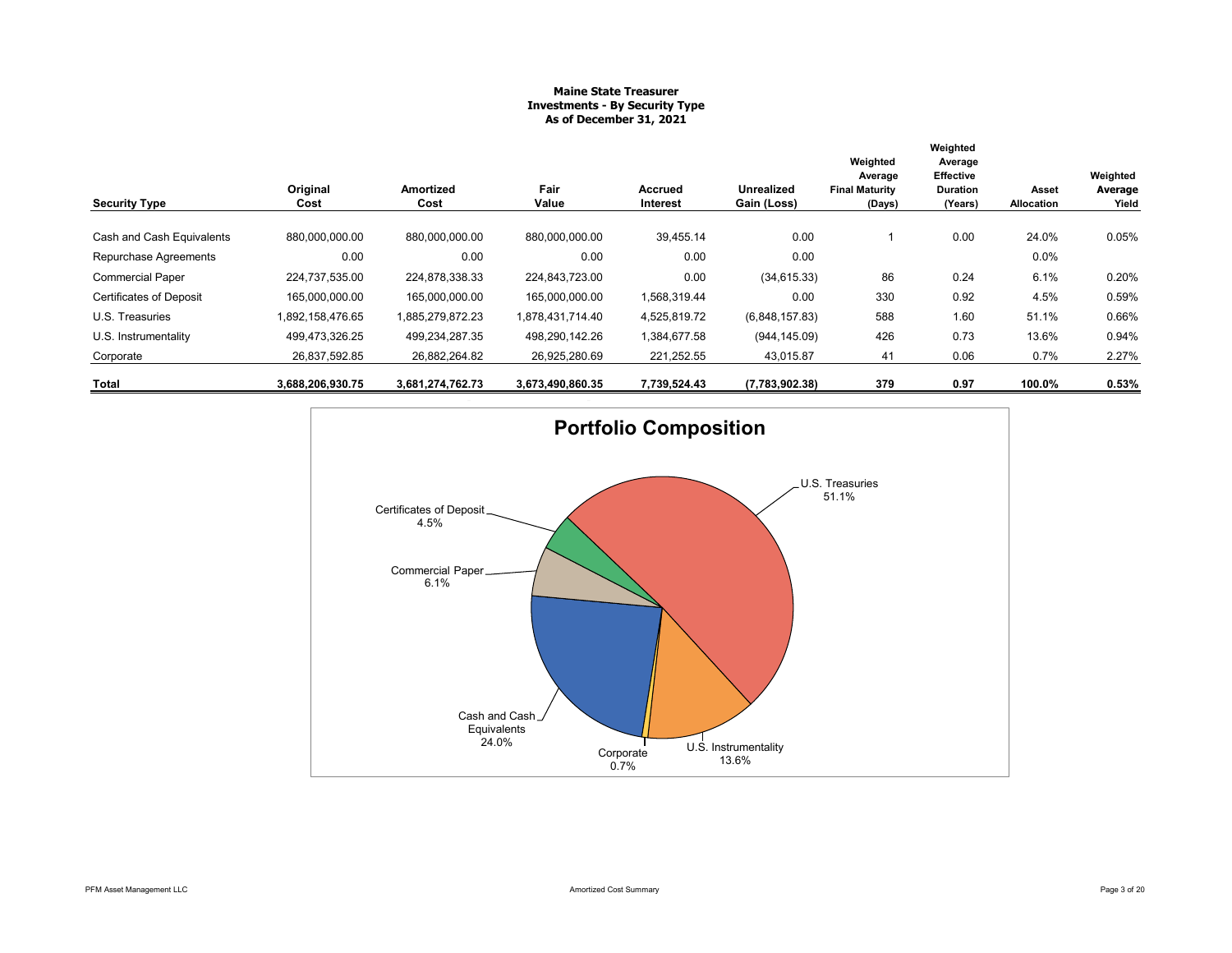# **Maine State Treasurer Investments - By Security Type As of December 31, 2021**

| <b>Security Type</b>           | Original<br>Cost | Amortized<br>Cost | Fair<br>Value    | Accrued<br>Interest | Unrealized<br>Gain (Loss) | Weighted<br>Average<br><b>Final Maturity</b><br>(Days) | Weighted<br>Average<br><b>Effective</b><br><b>Duration</b><br>(Years) | Asset<br>Allocation | Weighted<br>Average<br>Yield |
|--------------------------------|------------------|-------------------|------------------|---------------------|---------------------------|--------------------------------------------------------|-----------------------------------------------------------------------|---------------------|------------------------------|
| Cash and Cash Equivalents      | 880,000,000.00   | 880,000,000.00    | 880,000,000.00   | 39,455.14           | 0.00                      |                                                        | 0.00                                                                  | 24.0%               | 0.05%                        |
|                                |                  |                   |                  |                     |                           |                                                        |                                                                       |                     |                              |
| Repurchase Agreements          | 0.00             | 0.00              | 0.00             | 0.00                | 0.00                      |                                                        |                                                                       | 0.0%                |                              |
| <b>Commercial Paper</b>        | 224.737.535.00   | 224.878.338.33    | 224.843.723.00   | 0.00                | (34, 615.33)              | 86                                                     | 0.24                                                                  | 6.1%                | 0.20%                        |
| <b>Certificates of Deposit</b> | 165.000.000.00   | 165.000.000.00    | 165,000,000.00   | 1,568,319.44        | 0.00                      | 330                                                    | 0.92                                                                  | 4.5%                | 0.59%                        |
| U.S. Treasuries                | 1,892,158,476.65 | 1,885,279,872.23  | 1,878,431,714.40 | 4,525,819.72        | (6,848,157.83)            | 588                                                    | 1.60                                                                  | 51.1%               | 0.66%                        |
| U.S. Instrumentality           | 499,473,326.25   | 499,234,287.35    | 498,290,142.26   | 1,384,677.58        | (944, 145.09)             | 426                                                    | 0.73                                                                  | 13.6%               | 0.94%                        |
| Corporate                      | 26,837,592.85    | 26,882,264.82     | 26,925,280.69    | 221,252.55          | 43,015.87                 | 41                                                     | 0.06                                                                  | 0.7%                | 2.27%                        |
| Total                          | 3,688,206,930.75 | 3,681,274,762.73  | 3,673,490,860.35 | 7,739,524.43        | (7,783,902.38)            | 379                                                    | 0.97                                                                  | 100.0%              | 0.53%                        |

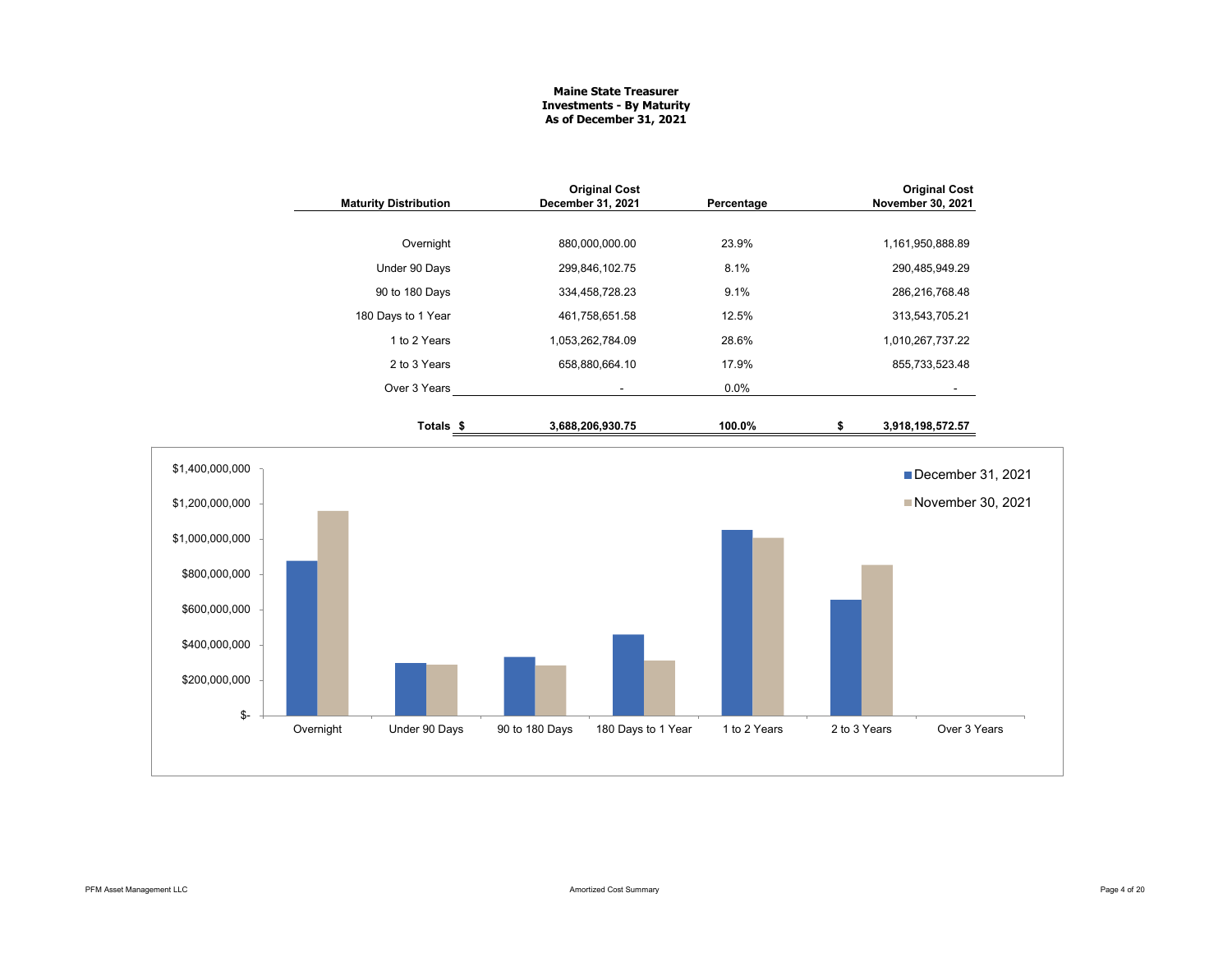# **Maine State Treasurer Investments - By Maturity As of December 31, 2021**

|                                  | <b>Maturity Distribution</b> |                      | December 31, 2021 | <b>Original Cost</b> | Percentage   |              | <b>Original Cost</b><br>November 30, 2021 |  |  |
|----------------------------------|------------------------------|----------------------|-------------------|----------------------|--------------|--------------|-------------------------------------------|--|--|
|                                  |                              | Overnight            |                   | 880,000,000.00       | 23.9%        |              | 1,161,950,888.89                          |  |  |
|                                  |                              | Under 90 Days        |                   | 299,846,102.75       | 8.1%         |              | 290,485,949.29                            |  |  |
|                                  |                              | 90 to 180 Days       |                   | 334,458,728.23       | 9.1%         |              | 286,216,768.48                            |  |  |
|                                  |                              | 180 Days to 1 Year   |                   | 461,758,651.58       | 12.5%        |              | 313,543,705.21                            |  |  |
|                                  |                              | 1 to 2 Years         |                   | 1,053,262,784.09     | 28.6%        |              | 1,010,267,737.22                          |  |  |
|                                  |                              | 2 to 3 Years         |                   | 658,880,664.10       | 17.9%        |              | 855,733,523.48                            |  |  |
|                                  |                              | Over 3 Years         |                   | $\blacksquare$       | 0.0%         |              |                                           |  |  |
|                                  |                              | Totals <sub>\$</sub> |                   | 3,688,206,930.75     | 100.0%       | \$           | 3,918,198,572.57                          |  |  |
| \$1,400,000,000                  |                              |                      |                   |                      |              |              | December 31, 2021                         |  |  |
| \$1,200,000,000                  |                              |                      |                   |                      |              |              | November 30, 2021                         |  |  |
| \$1,000,000,000<br>\$800,000,000 |                              |                      |                   |                      |              |              |                                           |  |  |
| \$600,000,000                    |                              |                      |                   |                      |              |              |                                           |  |  |
| \$400,000,000                    |                              |                      |                   |                      |              |              |                                           |  |  |
| \$200,000,000                    |                              |                      |                   |                      |              |              |                                           |  |  |
| \$-                              | Overnight                    | Under 90 Days        | 90 to 180 Days    | 180 Days to 1 Year   | 1 to 2 Years | 2 to 3 Years | Over 3 Years                              |  |  |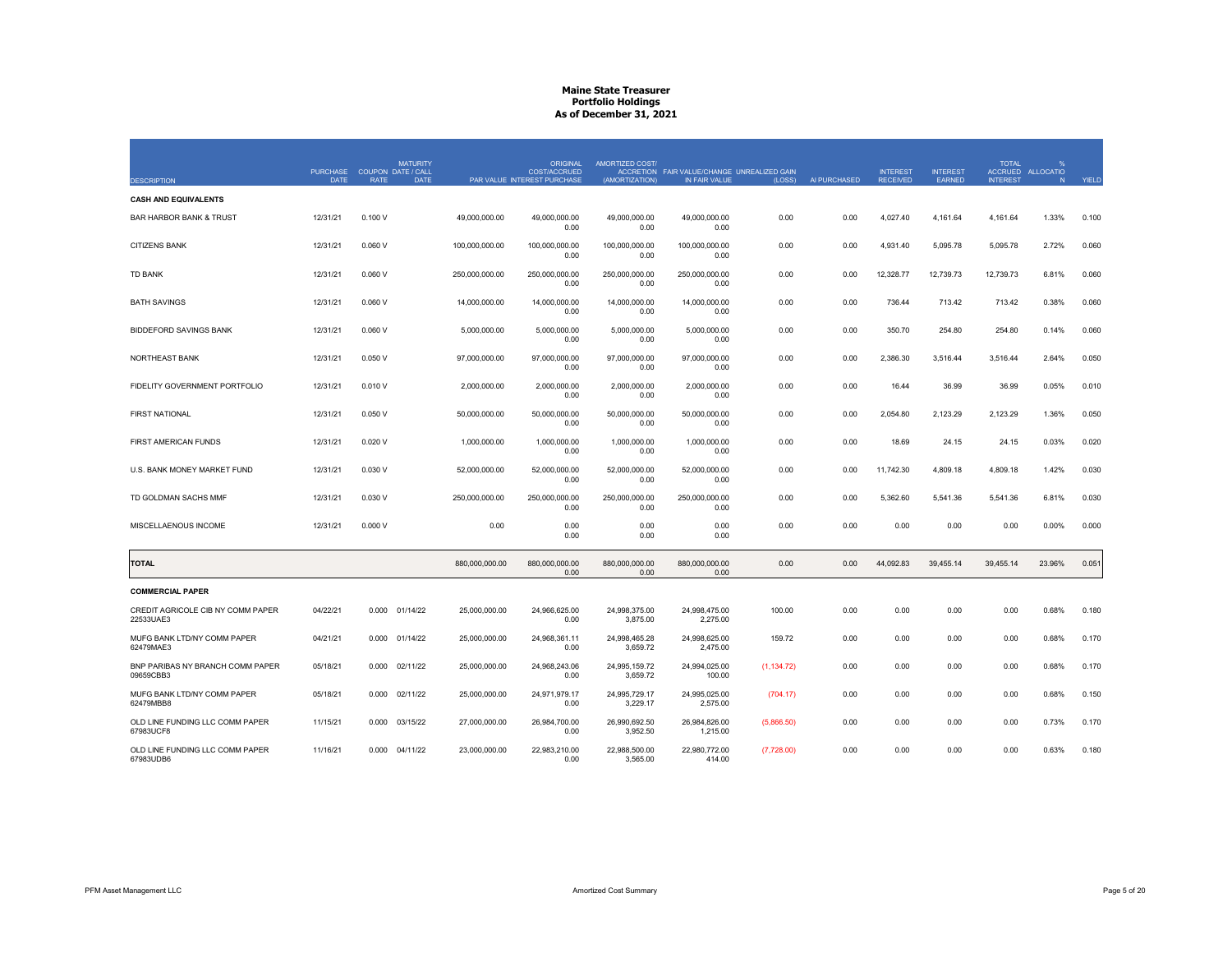|                                                | <b>PURCHASE</b> | COUPON DATE / CALL | <b>MATURITY</b> |                | <b>ORIGINAL</b><br><b>COST/ACCRUED</b> | AMORTIZED COST/           | ACCRETION FAIR VALUE/CHANGE UNREALIZED GAIN |             |              | <b>INTEREST</b> | <b>INTEREST</b> | <b>TOTAL</b>    | $\frac{9}{6}$<br>ACCRUED ALLOCATIO |       |
|------------------------------------------------|-----------------|--------------------|-----------------|----------------|----------------------------------------|---------------------------|---------------------------------------------|-------------|--------------|-----------------|-----------------|-----------------|------------------------------------|-------|
| <b>DESCRIPTION</b>                             | <b>DATE</b>     | <b>RATE</b>        | <b>DATE</b>     |                | PAR VALUE INTEREST PURCHASE            | (AMORTIZATION)            | IN FAIR VALUE                               | (LOSS)      | AI PURCHASED | <b>RECEIVED</b> | <b>EARNED</b>   | <b>INTEREST</b> | N                                  | YIELD |
| <b>CASH AND EQUIVALENTS</b>                    |                 |                    |                 |                |                                        |                           |                                             |             |              |                 |                 |                 |                                    |       |
| <b>BAR HARBOR BANK &amp; TRUST</b>             | 12/31/21        | 0.100V             |                 | 49.000.000.00  | 49.000.000.00<br>0.00                  | 49.000.000.00<br>0.00     | 49.000.000.00<br>0.00                       | 0.00        | 0.00         | 4,027.40        | 4,161.64        | 4,161.64        | 1.33%                              | 0.100 |
| <b>CITIZENS BANK</b>                           | 12/31/21        | 0.060V             |                 | 100,000,000.00 | 100,000,000.00<br>0.00                 | 100,000,000.00<br>0.00    | 100,000,000.00<br>0.00                      | 0.00        | 0.00         | 4,931.40        | 5,095.78        | 5,095.78        | 2.72%                              | 0.060 |
| <b>TD BANK</b>                                 | 12/31/21        | 0.060V             |                 | 250,000,000.00 | 250,000,000.00<br>0.00                 | 250,000,000.00<br>0.00    | 250,000,000.00<br>0.00                      | 0.00        | 0.00         | 12,328.77       | 12,739.73       | 12,739.73       | 6.81%                              | 0.060 |
| <b>BATH SAVINGS</b>                            | 12/31/21        | 0.060V             |                 | 14,000,000.00  | 14,000,000.00<br>0.00                  | 14,000,000.00<br>0.00     | 14,000,000.00<br>0.00                       | 0.00        | 0.00         | 736.44          | 713.42          | 713.42          | 0.38%                              | 0.060 |
| <b>BIDDEFORD SAVINGS BANK</b>                  | 12/31/21        | 0.060V             |                 | 5,000,000.00   | 5,000,000.00<br>0.00                   | 5,000,000.00<br>0.00      | 5,000,000.00<br>0.00                        | 0.00        | 0.00         | 350.70          | 254.80          | 254.80          | 0.14%                              | 0.060 |
| NORTHEAST BANK                                 | 12/31/21        | 0.050V             |                 | 97,000,000.00  | 97,000,000.00<br>0.00                  | 97,000,000.00<br>0.00     | 97,000,000.00<br>0.00                       | 0.00        | 0.00         | 2,386.30        | 3,516.44        | 3,516.44        | 2.64%                              | 0.050 |
| FIDELITY GOVERNMENT PORTFOLIO                  | 12/31/21        | 0.010V             |                 | 2,000,000.00   | 2,000,000.00<br>0.00                   | 2,000,000.00<br>0.00      | 2,000,000.00<br>0.00                        | 0.00        | 0.00         | 16.44           | 36.99           | 36.99           | 0.05%                              | 0.010 |
| <b>FIRST NATIONAL</b>                          | 12/31/21        | 0.050V             |                 | 50,000,000.00  | 50,000,000.00<br>0.00                  | 50,000,000.00<br>0.00     | 50,000,000.00<br>0.00                       | 0.00        | 0.00         | 2,054.80        | 2,123.29        | 2,123.29        | 1.36%                              | 0.050 |
| FIRST AMERICAN FUNDS                           | 12/31/21        | 0.020V             |                 | 1,000,000.00   | 1,000,000.00<br>0.00                   | 1,000,000.00<br>0.00      | 1,000,000.00<br>0.00                        | 0.00        | 0.00         | 18.69           | 24.15           | 24.15           | 0.03%                              | 0.020 |
| U.S. BANK MONEY MARKET FUND                    | 12/31/21        | 0.030V             |                 | 52,000,000.00  | 52,000,000.00<br>0.00                  | 52,000,000.00<br>0.00     | 52,000,000.00<br>0.00                       | 0.00        | 0.00         | 11,742.30       | 4,809.18        | 4,809.18        | 1.42%                              | 0.030 |
| TD GOLDMAN SACHS MMF                           | 12/31/21        | 0.030 V            |                 | 250,000,000.00 | 250,000,000.00<br>0.00                 | 250,000,000.00<br>0.00    | 250,000,000.00<br>0.00                      | 0.00        | 0.00         | 5,362.60        | 5,541.36        | 5,541.36        | 6.81%                              | 0.030 |
| MISCELLAENOUS INCOME                           | 12/31/21        | 0.000V             |                 | 0.00           | 0.00<br>0.00                           | 0.00<br>0.00              | 0.00<br>0.00                                | 0.00        | 0.00         | 0.00            | 0.00            | 0.00            | 0.00%                              | 0.000 |
| <b>TOTAL</b>                                   |                 |                    |                 | 880,000,000.00 | 880,000,000.00<br>0.00                 | 880,000,000.00<br>0.00    | 880,000,000.00<br>0.00                      | 0.00        | 0.00         | 44,092.83       | 39,455.14       | 39,455.14       | 23.96%                             | 0.051 |
| <b>COMMERCIAL PAPER</b>                        |                 |                    |                 |                |                                        |                           |                                             |             |              |                 |                 |                 |                                    |       |
| CREDIT AGRICOLE CIB NY COMM PAPER<br>22533UAE3 | 04/22/21        | 0.000 01/14/22     |                 | 25,000,000.00  | 24,966,625.00<br>0.00                  | 24,998,375.00<br>3,875.00 | 24,998,475.00<br>2,275.00                   | 100.00      | 0.00         | 0.00            | 0.00            | 0.00            | 0.68%                              | 0.180 |
| MUFG BANK LTD/NY COMM PAPER<br>62479MAE3       | 04/21/21        | 0.000              | 01/14/22        | 25,000,000.00  | 24,968,361.11<br>0.00                  | 24,998,465.28<br>3,659.72 | 24,998,625.00<br>2,475.00                   | 159.72      | 0.00         | 0.00            | 0.00            | 0.00            | 0.68%                              | 0.170 |
| BNP PARIBAS NY BRANCH COMM PAPER<br>09659CBB3  | 05/18/21        | 0.000              | 02/11/22        | 25,000,000.00  | 24,968,243.06<br>0.00                  | 24,995,159.72<br>3,659.72 | 24,994,025.00<br>100.00                     | (1, 134.72) | 0.00         | 0.00            | 0.00            | 0.00            | 0.68%                              | 0.170 |
| MUFG BANK LTD/NY COMM PAPER<br>62479MBB8       | 05/18/21        | 0.000              | 02/11/22        | 25,000,000.00  | 24,971,979.17<br>0.00                  | 24,995,729.17<br>3,229.17 | 24,995,025.00<br>2,575.00                   | (704.17)    | 0.00         | 0.00            | 0.00            | 0.00            | 0.68%                              | 0.150 |
| OLD LINE FUNDING LLC COMM PAPER<br>67983UCF8   | 11/15/21        | 0.000              | 03/15/22        | 27,000,000.00  | 26,984,700.00<br>0.00                  | 26,990,692.50<br>3,952.50 | 26,984,826.00<br>1,215.00                   | (5,866.50)  | 0.00         | 0.00            | 0.00            | 0.00            | 0.73%                              | 0.170 |
| OLD LINE FUNDING LLC COMM PAPER<br>67983UDB6   | 11/16/21        | 0.000 04/11/22     |                 | 23,000,000.00  | 22,983,210.00<br>0.00                  | 22,988,500.00<br>3.565.00 | 22,980,772.00<br>414.00                     | (7,728.00)  | 0.00         | 0.00            | 0.00            | 0.00            | 0.63%                              | 0.180 |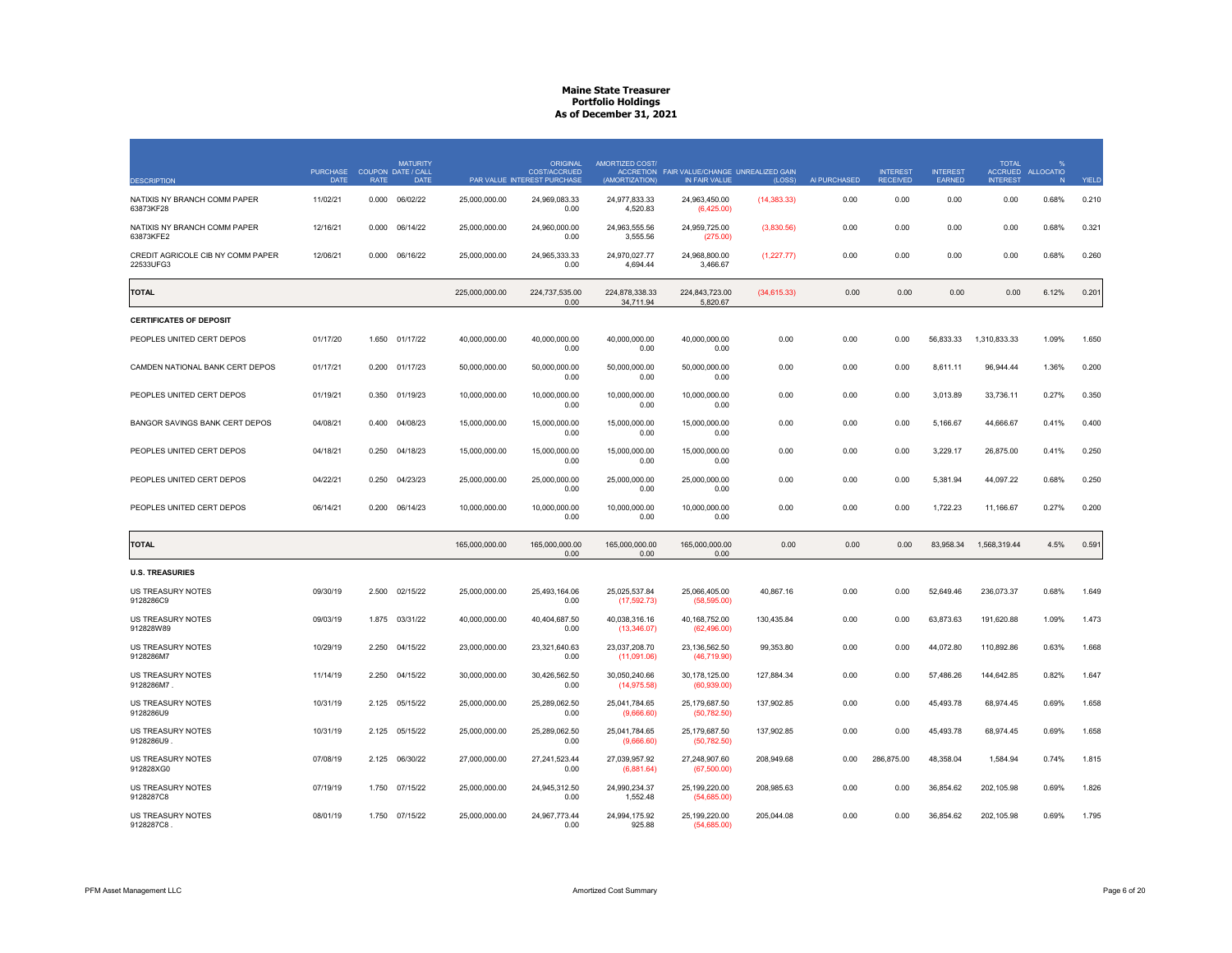| <b>DESCRIPTION</b>                             | <b>PURCHASE</b><br><b>DATE</b> | <b>RATE</b> | <b>MATURITY</b><br>COUPON DATE / CALL<br><b>DATE</b> |                | <b>ORIGINAL</b><br><b>COST/ACCRUED</b><br>PAR VALUE INTEREST PURCHASE | AMORTIZED COST/<br>(AMORTIZATION) | ACCRETION FAIR VALUE/CHANGE UNREALIZED GAIN<br>IN FAIR VALUE | (LOSS)       | AI PURCHASED | <b>INTEREST</b><br><b>RECEIVED</b> | <b>INTEREST</b><br>EARNED | <b>TOTAL</b><br><b>INTEREST</b> | ACCRUED ALLOCATIO<br>N | YIELD |
|------------------------------------------------|--------------------------------|-------------|------------------------------------------------------|----------------|-----------------------------------------------------------------------|-----------------------------------|--------------------------------------------------------------|--------------|--------------|------------------------------------|---------------------------|---------------------------------|------------------------|-------|
| NATIXIS NY BRANCH COMM PAPER<br>63873KF28      | 11/02/21                       | 0.000       | 06/02/22                                             | 25,000,000.00  | 24,969,083.33<br>0.00                                                 | 24,977,833.33<br>4,520.83         | 24,963,450.00<br>(6,425.00)                                  | (14, 383.33) | 0.00         | 0.00                               | 0.00                      | 0.00                            | 0.68%                  | 0.210 |
| NATIXIS NY BRANCH COMM PAPER<br>63873KFE2      | 12/16/21                       | 0.000       | 06/14/22                                             | 25,000,000.00  | 24,960,000.00<br>0.00                                                 | 24,963,555.56<br>3,555.56         | 24,959,725.00<br>(275.00)                                    | (3,830.56)   | 0.00         | 0.00                               | 0.00                      | 0.00                            | 0.68%                  | 0.321 |
| CREDIT AGRICOLE CIB NY COMM PAPER<br>22533UFG3 | 12/06/21                       | 0.000       | 06/16/22                                             | 25,000,000.00  | 24,965,333.33<br>0.00                                                 | 24,970,027.77<br>4,694.44         | 24,968,800.00<br>3.466.67                                    | (1,227.77)   | 0.00         | 0.00                               | 0.00                      | 0.00                            | 0.68%                  | 0.260 |
| <b>TOTAL</b>                                   |                                |             |                                                      | 225,000,000.00 | 224,737,535.00<br>0.00                                                | 224,878,338.33<br>34.711.94       | 224,843,723.00<br>5.820.67                                   | (34,615.33)  | 0.00         | 0.00                               | 0.00                      | 0.00                            | 6.12%                  | 0.201 |
| <b>CERTIFICATES OF DEPOSIT</b>                 |                                |             |                                                      |                |                                                                       |                                   |                                                              |              |              |                                    |                           |                                 |                        |       |
| PEOPLES UNITED CERT DEPOS                      | 01/17/20                       | 1.650       | 01/17/22                                             | 40,000,000.00  | 40,000,000.00<br>0.00                                                 | 40,000,000.00<br>0.00             | 40,000,000.00<br>0.00                                        | 0.00         | 0.00         | 0.00                               | 56,833.33                 | 1,310,833.33                    | 1.09%                  | 1.650 |
| CAMDEN NATIONAL BANK CERT DEPOS                | 01/17/21                       | 0.200       | 01/17/23                                             | 50,000,000.00  | 50,000,000.00<br>0.00                                                 | 50,000,000.00<br>0.00             | 50,000,000.00<br>0.00                                        | 0.00         | 0.00         | 0.00                               | 8,611.11                  | 96,944.44                       | 1.36%                  | 0.200 |
| PEOPLES UNITED CERT DEPOS                      | 01/19/21                       | 0.350       | 01/19/23                                             | 10,000,000.00  | 10,000,000.00<br>0.00                                                 | 10,000,000.00<br>0.00             | 10,000,000.00<br>0.00                                        | 0.00         | 0.00         | 0.00                               | 3,013.89                  | 33,736.11                       | 0.27%                  | 0.350 |
| BANGOR SAVINGS BANK CERT DEPOS                 | 04/08/21                       | 0.400       | 04/08/23                                             | 15,000,000,00  | 15.000.000.00<br>0.00                                                 | 15.000.000.00<br>0.00             | 15.000.000.00<br>0.00                                        | 0.00         | 0.00         | 0.00                               | 5.166.67                  | 44.666.67                       | 0.41%                  | 0.400 |
| PEOPLES UNITED CERT DEPOS                      | 04/18/21                       | 0.250       | 04/18/23                                             | 15,000,000.00  | 15.000.000.00<br>0.00                                                 | 15.000.000.00<br>0.00             | 15,000,000.00<br>0.00                                        | 0.00         | 0.00         | 0.00                               | 3.229.17                  | 26,875.00                       | 0.41%                  | 0.250 |
| PEOPLES UNITED CERT DEPOS                      | 04/22/21                       | 0.250       | 04/23/23                                             | 25,000,000.00  | 25,000,000.00<br>0.00                                                 | 25,000,000.00<br>0.00             | 25,000,000.00<br>0.00                                        | 0.00         | 0.00         | 0.00                               | 5,381.94                  | 44,097.22                       | 0.68%                  | 0.250 |
| PEOPLES UNITED CERT DEPOS                      | 06/14/21                       | 0.200       | 06/14/23                                             | 10,000,000.00  | 10,000,000.00<br>0.00                                                 | 10,000,000.00<br>0.00             | 10,000,000.00<br>0.00                                        | 0.00         | 0.00         | 0.00                               | 1,722.23                  | 11,166.67                       | 0.27%                  | 0.200 |
| <b>TOTAL</b>                                   |                                |             |                                                      | 165.000.000.00 | 165.000.000.00<br>0.00                                                | 165.000.000.00<br>0.00            | 165.000.000.00<br>0.00                                       | 0.00         | 0.00         | 0.00                               | 83.958.34                 | 1.568.319.44                    | 4.5%                   | 0.591 |
| <b>U.S. TREASURIES</b>                         |                                |             |                                                      |                |                                                                       |                                   |                                                              |              |              |                                    |                           |                                 |                        |       |
| US TREASURY NOTES<br>9128286C9                 | 09/30/19                       | 2.500       | 02/15/22                                             | 25,000,000.00  | 25,493,164.06<br>0.00                                                 | 25,025,537.84<br>(17,592.73)      | 25,066,405.00<br>(58, 595.00)                                | 40,867.16    | 0.00         | 0.00                               | 52,649.46                 | 236,073.37                      | 0.68%                  | 1.649 |
| US TREASURY NOTES<br>912828W89                 | 09/03/19                       | 1.875       | 03/31/22                                             | 40,000,000.00  | 40,404,687.50<br>0.00                                                 | 40,038,316.16<br>(13,346.07)      | 40,168,752.00<br>(62, 496.00)                                | 130,435.84   | 0.00         | 0.00                               | 63,873.63                 | 191,620.88                      | 1.09%                  | 1.473 |
| US TREASURY NOTES<br>9128286M7                 | 10/29/19                       | 2.250       | 04/15/22                                             | 23,000,000.00  | 23,321,640.63<br>0.00                                                 | 23,037,208.70<br>(11,091.06)      | 23,136,562.50<br>(46, 719.90)                                | 99,353.80    | 0.00         | 0.00                               | 44,072.80                 | 110,892.86                      | 0.63%                  | 1.668 |
| <b>US TREASURY NOTES</b><br>9128286M7          | 11/14/19                       | 2.250       | 04/15/22                                             | 30.000.000.00  | 30.426.562.50<br>0.00                                                 | 30.050.240.66<br>(14, 975.58)     | 30.178.125.00<br>(60, 939.00)                                | 127.884.34   | 0.00         | 0.00                               | 57.486.26                 | 144.642.85                      | 0.82%                  | 1.647 |
| <b>US TREASURY NOTES</b><br>9128286U9          | 10/31/19                       | 2.125       | 05/15/22                                             | 25,000,000.00  | 25,289,062.50<br>0.00                                                 | 25,041,784.65<br>(9,666.60)       | 25,179,687.50<br>(50, 782.50)                                | 137,902.85   | 0.00         | 0.00                               | 45,493.78                 | 68,974.45                       | 0.69%                  | 1.658 |
| US TREASURY NOTES<br>9128286U9                 | 10/31/19                       | 2.125       | 05/15/22                                             | 25,000,000.00  | 25,289,062.50<br>0.00                                                 | 25,041,784.65<br>(9,666.60)       | 25,179,687.50<br>(50, 782.50)                                | 137,902.85   | 0.00         | 0.00                               | 45,493.78                 | 68,974.45                       | 0.69%                  | 1.658 |
| US TREASURY NOTES<br>912828XG0                 | 07/08/19                       | 2.125       | 06/30/22                                             | 27,000,000.00  | 27,241,523.44<br>0.00                                                 | 27,039,957.92<br>(6,881.64)       | 27,248,907.60<br>(67,500.00)                                 | 208,949.68   | 0.00         | 286,875.00                         | 48,358.04                 | 1,584.94                        | 0.74%                  | 1.815 |
| US TREASURY NOTES<br>9128287C8                 | 07/19/19                       | 1.750       | 07/15/22                                             | 25,000,000.00  | 24,945,312.50<br>0.00                                                 | 24,990,234.37<br>1,552.48         | 25,199,220.00<br>(54,685.00)                                 | 208,985.63   | 0.00         | 0.00                               | 36,854.62                 | 202,105.98                      | 0.69%                  | 1.826 |
| <b>US TREASURY NOTES</b><br>9128287C8          | 08/01/19                       | 1.750       | 07/15/22                                             | 25,000,000.00  | 24.967.773.44<br>0.00                                                 | 24.994.175.92<br>925.88           | 25.199.220.00<br>(54.685.00)                                 | 205,044.08   | 0.00         | 0.00                               | 36,854.62                 | 202,105.98                      | 0.69%                  | 1.795 |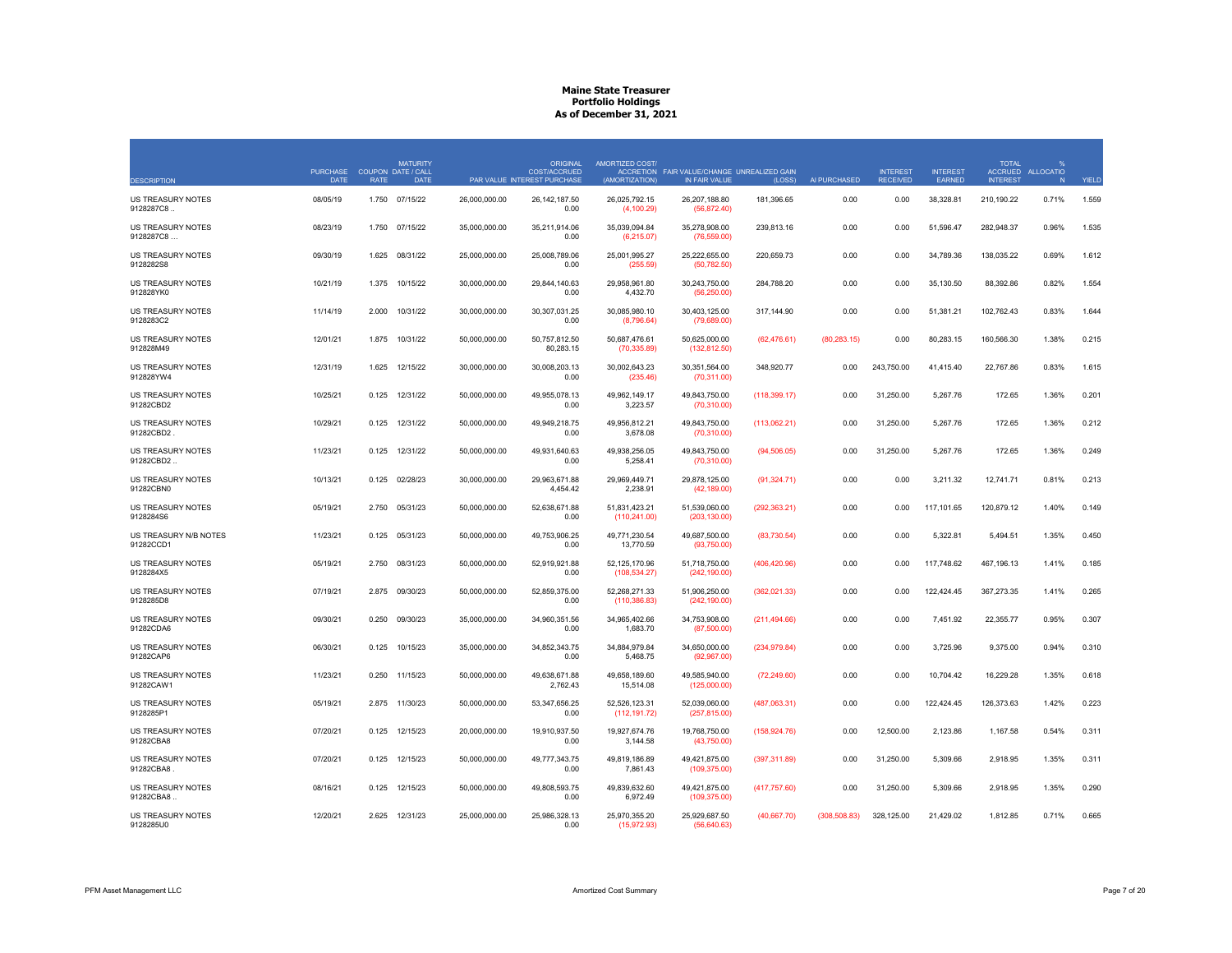|                                       | <b>PURCHASE</b> |             | <b>MATURITY</b><br>COUPON DATE / CALL |               | <b>ORIGINAL</b><br><b>COST/ACCRUED</b> | AMORTIZED COST/                | ACCRETION FAIR VALUE/CHANGE UNREALIZED GAIN |               |               | <b>INTEREST</b> | <b>INTEREST</b> | <b>TOTAL</b>    | %<br>ACCRUED ALLOCATIO |              |
|---------------------------------------|-----------------|-------------|---------------------------------------|---------------|----------------------------------------|--------------------------------|---------------------------------------------|---------------|---------------|-----------------|-----------------|-----------------|------------------------|--------------|
| <b>DESCRIPTION</b>                    | <b>DATE</b>     | <b>RATE</b> | <b>DATE</b>                           |               | PAR VALUE INTEREST PURCHASE            | (AMORTIZATION)                 | IN FAIR VALUE                               | (LOSS)        | AI PURCHASED  | <b>RECEIVED</b> | EARNED          | <b>INTEREST</b> | N                      | <b>YIELD</b> |
| US TREASURY NOTES<br>9128287C8        | 08/05/19        | 1.750       | 07/15/22                              | 26,000,000.00 | 26, 142, 187.50<br>0.00                | 26,025,792.15<br>(4, 100.29)   | 26,207,188.80<br>(56, 872.40)               | 181,396.65    | 0.00          | 0.00            | 38,328.81       | 210,190.22      | 0.71%                  | 1.559        |
| US TREASURY NOTES<br>9128287C8        | 08/23/19        | 1.750       | 07/15/22                              | 35,000,000.00 | 35,211,914.06<br>0.00                  | 35,039,094.84<br>(6,215.07)    | 35,278,908.00<br>(76, 559.00)               | 239,813.16    | 0.00          | 0.00            | 51,596.47       | 282,948.37      | 0.96%                  | 1.535        |
| US TREASURY NOTES<br>9128282S8        | 09/30/19        | 1.625       | 08/31/22                              | 25,000,000.00 | 25,008,789.06<br>0.00                  | 25,001,995.27<br>(255.59)      | 25,222,655.00<br>(50, 782.50)               | 220,659.73    | 0.00          | 0.00            | 34,789.36       | 138,035.22      | 0.69%                  | 1.612        |
| US TREASURY NOTES<br>912828YK0        | 10/21/19        | 1.375       | 10/15/22                              | 30,000,000.00 | 29,844,140.63<br>0.00                  | 29,958,961.80<br>4,432.70      | 30,243,750.00<br>(56, 250.00)               | 284,788.20    | 0.00          | 0.00            | 35,130.50       | 88,392.86       | 0.82%                  | 1.554        |
| US TREASURY NOTES<br>9128283C2        | 11/14/19        | 2.000       | 10/31/22                              | 30,000,000.00 | 30,307,031.25<br>0.00                  | 30,085,980.10<br>(8,796.64)    | 30,403,125.00<br>(79,689.00)                | 317,144.90    | 0.00          | 0.00            | 51,381.21       | 102,762.43      | 0.83%                  | 1.644        |
| US TREASURY NOTES<br>912828M49        | 12/01/21        | 1.875       | 10/31/22                              | 50,000,000.00 | 50,757,812.50<br>80.283.15             | 50,687,476.61<br>(70, 335.89)  | 50,625,000.00<br>(132, 812.50)              | (62, 476.61)  | (80, 283.15)  | 0.00            | 80,283.15       | 160,566.30      | 1.38%                  | 0.215        |
| <b>US TREASURY NOTES</b><br>912828YW4 | 12/31/19        | 1.625       | 12/15/22                              | 30,000,000.00 | 30,008,203.13<br>0.00                  | 30,002,643.23<br>(235.46)      | 30,351,564.00<br>(70, 311.00)               | 348,920.77    | 0.00          | 243,750.00      | 41,415.40       | 22,767.86       | 0.83%                  | 1.615        |
| US TREASURY NOTES<br>91282CBD2        | 10/25/21        | 0.125       | 12/31/22                              | 50,000,000.00 | 49,955,078.13<br>0.00                  | 49,962,149.17<br>3,223.57      | 49,843,750.00<br>(70,310.00)                | (118, 399.17) | 0.00          | 31,250.00       | 5,267.76        | 172.65          | 1.36%                  | 0.201        |
| US TREASURY NOTES<br>91282CBD2        | 10/29/21        | 0.125       | 12/31/22                              | 50,000,000.00 | 49,949,218.75<br>0.00                  | 49,956,812.21<br>3,678.08      | 49,843,750.00<br>(70, 310.00)               | (113,062.21)  | 0.00          | 31,250.00       | 5,267.76        | 172.65          | 1.36%                  | 0.212        |
| US TREASURY NOTES<br>91282CBD2.       | 11/23/21        | 0.125       | 12/31/22                              | 50,000,000.00 | 49,931,640.63<br>0.00                  | 49,938,256.05<br>5,258.41      | 49,843,750.00<br>(70, 310.00)               | (94, 506.05)  | 0.00          | 31,250.00       | 5,267.76        | 172.65          | 1.36%                  | 0.249        |
| <b>US TREASURY NOTES</b><br>91282CBN0 | 10/13/21        | 0.125       | 02/28/23                              | 30,000,000.00 | 29.963.671.88<br>4,454.42              | 29.969.449.71<br>2,238.91      | 29.878.125.00<br>(42, 189.00)               | (91, 324.71)  | 0.00          | 0.00            | 3,211.32        | 12,741.71       | 0.81%                  | 0.213        |
| US TREASURY NOTES<br>9128284S6        | 05/19/21        | 2.750       | 05/31/23                              | 50,000,000.00 | 52,638,671.88<br>0.00                  | 51,831,423.21<br>(110, 241.00) | 51,539,060.00<br>(203, 130.00)              | (292, 363.21) | 0.00          | 0.00            | 117,101.65      | 120,879.12      | 1.40%                  | 0.149        |
| US TREASURY N/B NOTES<br>91282CCD1    | 11/23/21        | 0.125       | 05/31/23                              | 50,000,000.00 | 49,753,906.25<br>0.00                  | 49,771,230.54<br>13,770.59     | 49,687,500.00<br>(93,750.00)                | (83,730.54)   | 0.00          | 0.00            | 5,322.81        | 5,494.51        | 1.35%                  | 0.450        |
| US TREASURY NOTES<br>9128284X5        | 05/19/21        | 2.750       | 08/31/23                              | 50,000,000.00 | 52,919,921.88<br>0.00                  | 52,125,170.96<br>(108, 534.27) | 51,718,750.00<br>(242, 190.00)              | (406, 420.96) | 0.00          | 0.00            | 117,748.62      | 467,196.13      | 1.41%                  | 0.185        |
| <b>US TREASURY NOTES</b><br>9128285D8 | 07/19/21        | 2.875       | 09/30/23                              | 50.000.000.00 | 52.859.375.00<br>0.00                  | 52.268.271.33<br>(110, 386.83) | 51.906.250.00<br>(242, 190.00)              | (362,021.33)  | 0.00          | 0.00            | 122.424.45      | 367.273.35      | 1.41%                  | 0.265        |
| <b>US TREASURY NOTES</b><br>91282CDA6 | 09/30/21        | 0.250       | 09/30/23                              | 35,000,000,00 | 34.960.351.56<br>0.00                  | 34.965.402.66<br>1,683.70      | 34,753,908.00<br>(87,500.00)                | (211, 494.66) | 0.00          | 0.00            | 7.451.92        | 22.355.77       | 0.95%                  | 0.307        |
| US TREASURY NOTES<br>91282CAP6        | 06/30/21        | 0.125       | 10/15/23                              | 35,000,000.00 | 34,852,343.75<br>0.00                  | 34,884,979.84<br>5,468.75      | 34,650,000.00<br>(92,967.00)                | (234, 979.84) | 0.00          | 0.00            | 3,725.96        | 9,375.00        | 0.94%                  | 0.310        |
| US TREASURY NOTES<br>91282CAW1        | 11/23/21        | 0.250       | 11/15/23                              | 50,000,000.00 | 49,638,671.88<br>2,762.43              | 49,658,189.60<br>15,514.08     | 49,585,940.00<br>(125,000.00)               | (72, 249.60)  | 0.00          | 0.00            | 10,704.42       | 16,229.28       | 1.35%                  | 0.618        |
| US TREASURY NOTES<br>9128285P1        | 05/19/21        | 2.875       | 11/30/23                              | 50,000,000.00 | 53,347,656.25<br>0.00                  | 52,526,123.31<br>(112, 191.72) | 52,039,060.00<br>(257, 815.00)              | (487,063.31)  | 0.00          | 0.00            | 122,424.45      | 126,373.63      | 1.42%                  | 0.223        |
| US TREASURY NOTES<br>91282CBA8        | 07/20/21        | 0.125       | 12/15/23                              | 20,000,000.00 | 19,910,937.50<br>0.00                  | 19,927,674.76<br>3,144.58      | 19,768,750.00<br>(43,750.00)                | (158, 924.76) | 0.00          | 12,500.00       | 2,123.86        | 1,167.58        | 0.54%                  | 0.311        |
| US TREASURY NOTES<br>91282CBA8        | 07/20/21        | 0.125       | 12/15/23                              | 50,000,000.00 | 49,777,343.75<br>0.00                  | 49,819,186.89<br>7,861.43      | 49,421,875.00<br>(109, 375.00)              | (397, 311.89) | 0.00          | 31,250.00       | 5,309.66        | 2,918.95        | 1.35%                  | 0.311        |
| US TREASURY NOTES<br>91282CBA8.       | 08/16/21        | 0.125       | 12/15/23                              | 50,000,000.00 | 49,808,593.75<br>0.00                  | 49,839,632.60<br>6,972.49      | 49,421,875.00<br>(109, 375.00)              | (417, 757.60) | 0.00          | 31,250.00       | 5,309.66        | 2,918.95        | 1.35%                  | 0.290        |
| US TREASURY NOTES<br>9128285U0        | 12/20/21        | 2.625       | 12/31/23                              | 25,000,000.00 | 25,986,328.13<br>0.00                  | 25,970,355.20<br>(15, 972.93)  | 25,929,687.50<br>(56,640.63)                | (40,667.70)   | (308, 508.83) | 328,125.00      | 21,429.02       | 1,812.85        | 0.71%                  | 0.665        |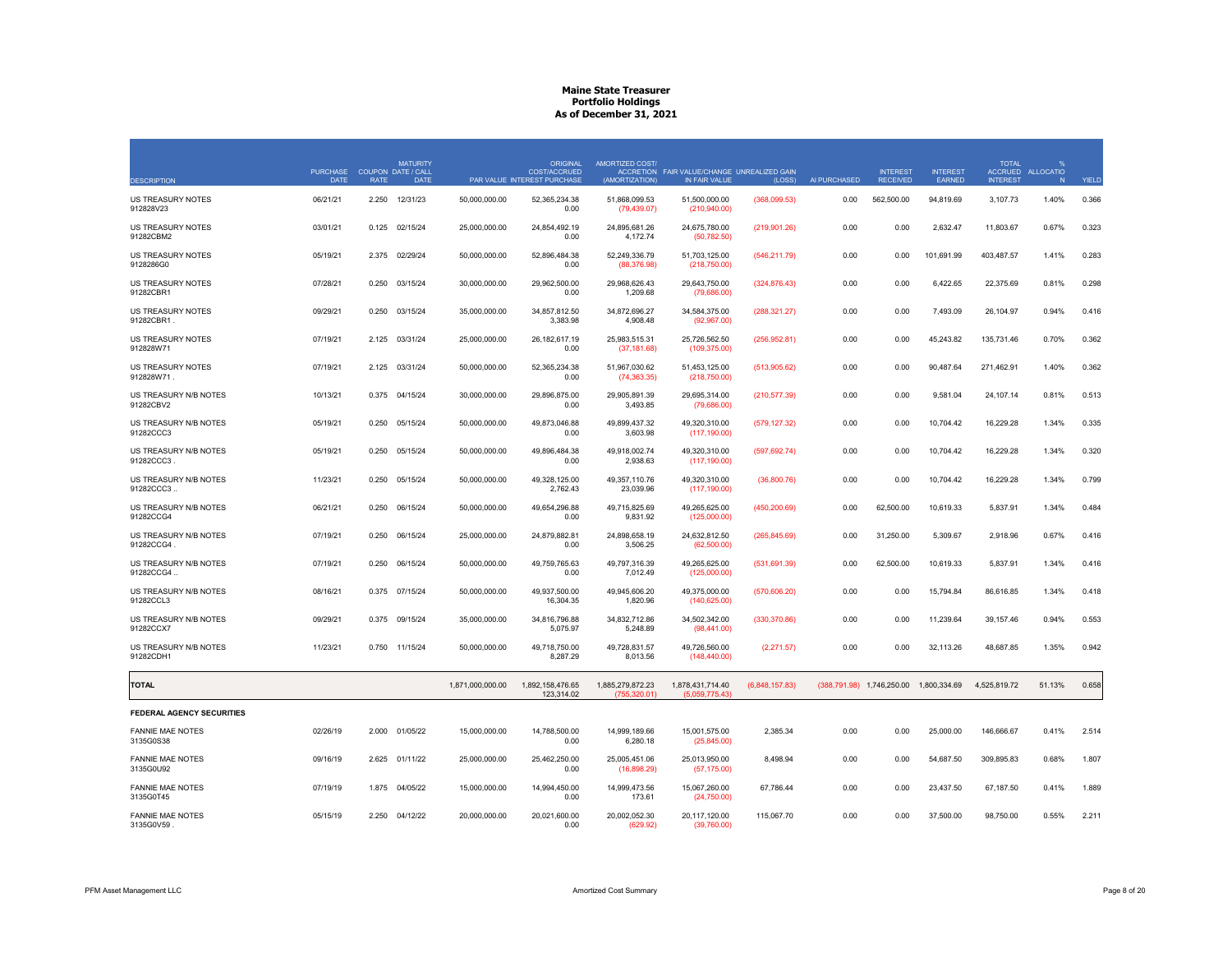| <b>DESCRIPTION</b>                     | <b>PURCHASE</b><br><b>DATE</b> | <b>RATE</b> | <b>MATURITY</b><br>COUPON DATE / CALL<br><b>DATE</b> |                  | <b>ORIGINAL</b><br><b>COST/ACCRUED</b><br>PAR VALUE INTEREST PURCHASE | AMORTIZED COST/<br>(AMORTIZATION) | ACCRETION FAIR VALUE/CHANGE UNREALIZED GAIN<br>IN FAIR VALUE | (LOSS)         | AI PURCHASED | <b>INTEREST</b><br><b>RECEIVED</b>     | <b>INTEREST</b><br><b>FARNED</b> | <b>TOTAL</b><br><b>ACCRUED</b><br><b>INTEREST</b> | $\frac{9}{6}$<br><b>ALLOCATIO</b><br>N | YIELD |
|----------------------------------------|--------------------------------|-------------|------------------------------------------------------|------------------|-----------------------------------------------------------------------|-----------------------------------|--------------------------------------------------------------|----------------|--------------|----------------------------------------|----------------------------------|---------------------------------------------------|----------------------------------------|-------|
| <b>US TREASURY NOTES</b><br>912828V23  | 06/21/21                       | 2.250       | 12/31/23                                             | 50,000,000.00    | 52,365,234.38<br>0.00                                                 | 51,868,099.53<br>(79, 439.07)     | 51,500,000.00<br>(210, 940.00)                               | (368,099.53)   | 0.00         | 562,500.00                             | 94,819.69                        | 3,107.73                                          | 1.40%                                  | 0.366 |
| US TREASURY NOTES<br>91282CBM2         | 03/01/21                       | 0.125       | 02/15/24                                             | 25,000,000.00    | 24,854,492.19<br>0.00                                                 | 24,895,681.26<br>4,172.74         | 24,675,780.00<br>(50, 782.50)                                | (219,901.26)   | 0.00         | 0.00                                   | 2,632.47                         | 11,803.67                                         | 0.67%                                  | 0.323 |
| US TREASURY NOTES<br>9128286G0         | 05/19/21                       | 2.375       | 02/29/24                                             | 50,000,000.00    | 52.896.484.38<br>0.00                                                 | 52,249,336.79<br>(88, 376.98)     | 51,703,125.00<br>(218,750.00)                                | (546, 211.79)  | 0.00         | 0.00                                   | 101,691.99                       | 403,487.57                                        | 1.41%                                  | 0.283 |
| <b>US TREASURY NOTES</b><br>91282CBR1  | 07/28/21                       | 0.250       | 03/15/24                                             | 30.000.000.00    | 29.962.500.00<br>0.00                                                 | 29.968.626.43<br>1,209.68         | 29.643.750.00<br>(79,686.00)                                 | (324, 876.43)  | 0.00         | 0.00                                   | 6.422.65                         | 22.375.69                                         | 0.81%                                  | 0.298 |
| <b>US TREASURY NOTES</b><br>91282CBR1. | 09/29/21                       | 0.250       | 03/15/24                                             | 35,000,000.00    | 34,857,812.50<br>3,383.98                                             | 34.872.696.27<br>4,908.48         | 34,584,375.00<br>(92,967.00)                                 | (288, 321.27)  | 0.00         | 0.00                                   | 7,493.09                         | 26,104.97                                         | 0.94%                                  | 0.416 |
| US TREASURY NOTES<br>912828W71         | 07/19/21                       | 2.125       | 03/31/24                                             | 25,000,000.00    | 26, 182, 617. 19<br>0.00                                              | 25,983,515.31<br>(37, 181.68)     | 25,726,562.50<br>(109, 375.00)                               | (256,952.81)   | 0.00         | 0.00                                   | 45,243.82                        | 135,731.46                                        | 0.70%                                  | 0.362 |
| US TREASURY NOTES<br>912828W71.        | 07/19/21                       | 2.125       | 03/31/24                                             | 50,000,000.00    | 52,365,234.38<br>0.00                                                 | 51,967,030.62<br>(74, 363.35)     | 51,453,125.00<br>(218,750.00)                                | (513,905.62)   | 0.00         | 0.00                                   | 90,487.64                        | 271,462.91                                        | 1.40%                                  | 0.362 |
| US TREASURY N/B NOTES<br>91282CBV2     | 10/13/21                       | 0.375       | 04/15/24                                             | 30.000.000.00    | 29.896.875.00<br>0.00                                                 | 29.905.891.39<br>3,493.85         | 29.695.314.00<br>(79,686.00)                                 | (210, 577.39)  | 0.00         | 0.00                                   | 9.581.04                         | 24,107.14                                         | 0.81%                                  | 0.513 |
| US TREASURY N/B NOTES<br>91282CCC3     | 05/19/21                       | 0.250       | 05/15/24                                             | 50,000,000.00    | 49,873,046.88<br>0.00                                                 | 49,899,437.32<br>3,603.98         | 49,320,310.00<br>(117, 190.00)                               | (579, 127.32)  | 0.00         | 0.00                                   | 10,704.42                        | 16,229.28                                         | 1.34%                                  | 0.335 |
| US TREASURY N/B NOTES<br>91282CCC3     | 05/19/21                       | 0.250       | 05/15/24                                             | 50,000,000.00    | 49,896,484.38<br>0.00                                                 | 49,918,002.74<br>2,938.63         | 49,320,310.00<br>(117, 190.00)                               | (597, 692.74)  | 0.00         | 0.00                                   | 10,704.42                        | 16,229.28                                         | 1.34%                                  | 0.320 |
| US TREASURY N/B NOTES<br>91282CCC3.    | 11/23/21                       | 0.250       | 05/15/24                                             | 50,000,000.00    | 49,328,125.00<br>2,762.43                                             | 49,357,110.76<br>23,039.96        | 49,320,310.00<br>(117, 190.00)                               | (36,800.76)    | 0.00         | 0.00                                   | 10,704.42                        | 16,229.28                                         | 1.34%                                  | 0.799 |
| US TREASURY N/B NOTES<br>91282CCG4     | 06/21/21                       | 0.250       | 06/15/24                                             | 50,000,000.00    | 49.654.296.88<br>0.00                                                 | 49.715.825.69<br>9,831.92         | 49,265,625.00<br>(125,000.00)                                | (450, 200.69)  | 0.00         | 62,500.00                              | 10,619.33                        | 5.837.91                                          | 1.34%                                  | 0.484 |
| US TREASURY N/B NOTES<br>91282CCG4     | 07/19/21                       | 0.250       | 06/15/24                                             | 25,000,000.00    | 24,879,882.81<br>0.00                                                 | 24,898,658.19<br>3,506.25         | 24,632,812.50<br>(62,500.00)                                 | (265, 845.69)  | 0.00         | 31,250.00                              | 5,309.67                         | 2,918.96                                          | 0.67%                                  | 0.416 |
| US TREASURY N/B NOTES<br>91282CCG4.    | 07/19/21                       | 0.250       | 06/15/24                                             | 50,000,000.00    | 49,759,765.63<br>0.00                                                 | 49,797,316.39<br>7,012.49         | 49,265,625.00<br>(125,000.00)                                | (531,691.39)   | 0.00         | 62,500.00                              | 10,619.33                        | 5,837.91                                          | 1.34%                                  | 0.416 |
| US TREASURY N/B NOTES<br>91282CCL3     | 08/16/21                       | 0.375       | 07/15/24                                             | 50,000,000.00    | 49,937,500.00<br>16,304.35                                            | 49,945,606.20<br>1,820.96         | 49,375,000.00<br>(140, 625.00)                               | (570, 606.20)  | 0.00         | 0.00                                   | 15,794.84                        | 86,616.85                                         | 1.34%                                  | 0.418 |
| US TREASURY N/B NOTES<br>91282CCX7     | 09/29/21                       | 0.375       | 09/15/24                                             | 35,000,000,00    | 34.816.796.88<br>5,075.97                                             | 34.832.712.86<br>5,248.89         | 34.502.342.00<br>(98, 441.00)                                | (330, 370.86)  | 0.00         | 0.00                                   | 11.239.64                        | 39,157.46                                         | 0.94%                                  | 0.553 |
| US TREASURY N/B NOTES<br>91282CDH1     | 11/23/21                       | 0.750       | 11/15/24                                             | 50,000,000.00    | 49,718,750.00<br>8,287.29                                             | 49,728,831.57<br>8,013.56         | 49,726,560.00<br>(148, 440.00)                               | (2,271.57)     | 0.00         | 0.00                                   | 32,113.26                        | 48,687.85                                         | 1.35%                                  | 0.942 |
| <b>TOTAL</b>                           |                                |             |                                                      | 1,871,000,000.00 | 1,892,158,476.65<br>123.314.02                                        | 1,885,279,872.23<br>(755.320.01)  | 1,878,431,714.40<br>(5.059.775.43)                           | (6,848,157.83) |              | (388,791.98) 1,746,250.00 1,800,334.69 |                                  | 4,525,819.72                                      | 51.13%                                 | 0.658 |
| FEDERAL AGENCY SECURITIES              |                                |             |                                                      |                  |                                                                       |                                   |                                                              |                |              |                                        |                                  |                                                   |                                        |       |
| <b>FANNIE MAE NOTES</b><br>3135G0S38   | 02/26/19                       | 2.000       | 01/05/22                                             | 15.000.000.00    | 14.788.500.00<br>0.00                                                 | 14.999.189.66<br>6,280.18         | 15,001,575.00<br>(25,845.00)                                 | 2.385.34       | 0.00         | 0.00                                   | 25.000.00                        | 146,666.67                                        | 0.41%                                  | 2.514 |
| <b>FANNIE MAE NOTES</b><br>3135G0U92   | 09/16/19                       |             | 2.625 01/11/22                                       | 25,000,000.00    | 25,462,250.00<br>0.00                                                 | 25,005,451.06<br>(16,898.29)      | 25,013,950.00<br>(57, 175.00)                                | 8,498.94       | 0.00         | 0.00                                   | 54,687.50                        | 309,895.83                                        | 0.68%                                  | 1.807 |
| <b>FANNIE MAE NOTES</b><br>3135G0T45   | 07/19/19                       | 1.875       | 04/05/22                                             | 15,000,000.00    | 14,994,450.00<br>0.00                                                 | 14,999,473.56<br>173.61           | 15,067,260.00<br>(24,750.00)                                 | 67,786.44      | 0.00         | 0.00                                   | 23,437.50                        | 67,187.50                                         | 0.41%                                  | 1.889 |
| <b>FANNIE MAE NOTES</b><br>3135G0V59   | 05/15/19                       |             | 2.250 04/12/22                                       | 20,000,000.00    | 20,021,600.00<br>0.00                                                 | 20,002,052.30<br>(629.92)         | 20,117,120.00<br>(39,760.00)                                 | 115,067.70     | 0.00         | 0.00                                   | 37,500.00                        | 98,750.00                                         | 0.55%                                  | 2.211 |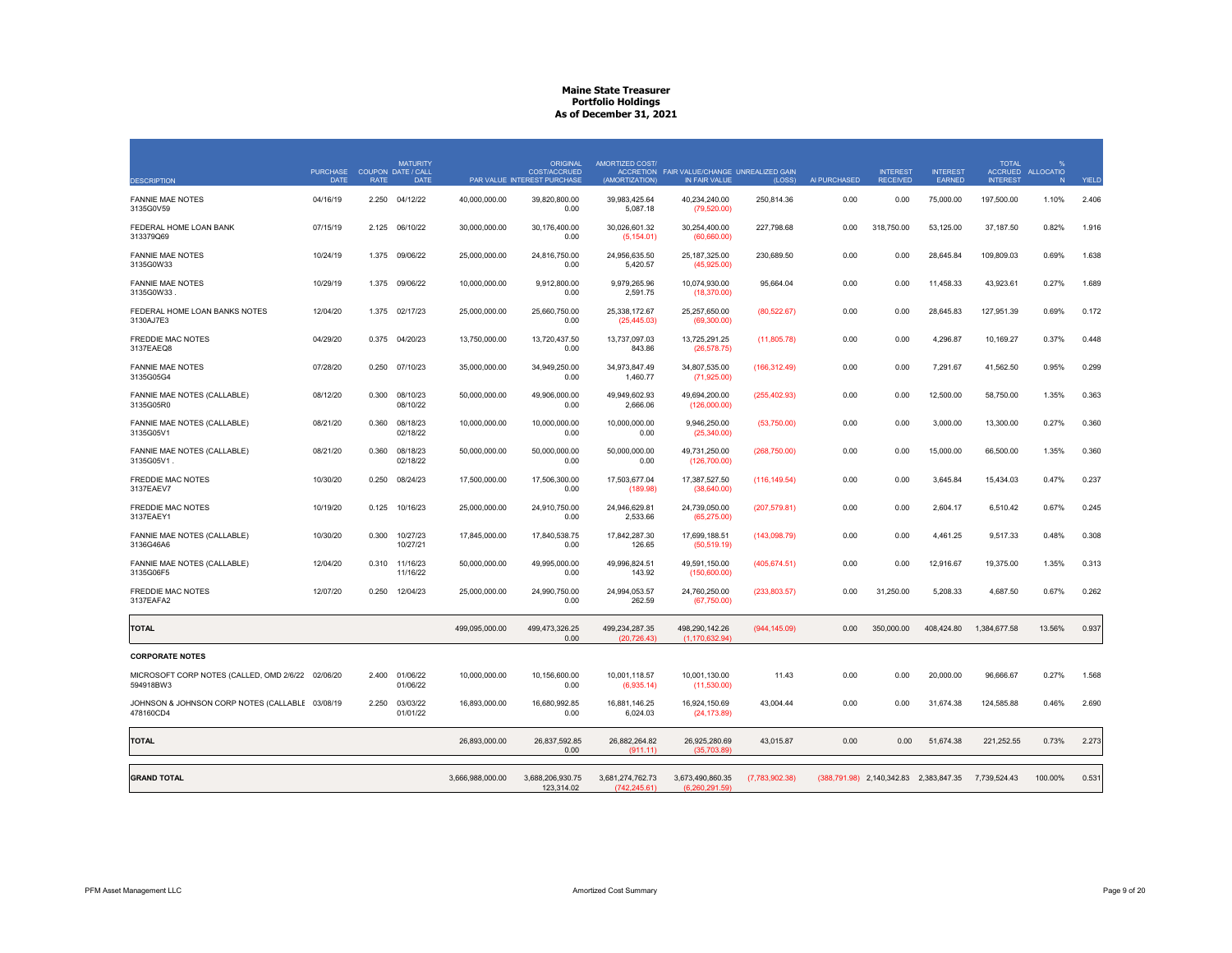| <b>DESCRIPTION</b>                                             | <b>PURCHASE</b><br><b>DATE</b> | <b>RATE</b> | <b>MATURITY</b><br>COUPON DATE / CALL<br><b>DATE</b> |                  | <b>ORIGINAL</b><br>COST/ACCRUED<br>PAR VALUE INTEREST PURCHASE | AMORTIZED COST/<br>(AMORTIZATION) | ACCRETION FAIR VALUE/CHANGE UNREALIZED GAIN<br>IN FAIR VALUE | (LOSS)         | AI PURCHASED | <b>INTEREST</b><br><b>RECEIVED</b>     | <b>INTEREST</b><br>EARNED | <b>TOTAL</b><br><b>INTEREST</b> | ACCRUED ALLOCATIO<br>N | YIELD |
|----------------------------------------------------------------|--------------------------------|-------------|------------------------------------------------------|------------------|----------------------------------------------------------------|-----------------------------------|--------------------------------------------------------------|----------------|--------------|----------------------------------------|---------------------------|---------------------------------|------------------------|-------|
| <b>FANNIE MAE NOTES</b><br>3135G0V59                           | 04/16/19                       | 2.250       | 04/12/22                                             | 40,000,000.00    | 39,820,800.00<br>0.00                                          | 39,983,425.64<br>5,087.18         | 40,234,240.00<br>(79, 520.00)                                | 250,814.36     | 0.00         | 0.00                                   | 75,000.00                 | 197,500.00                      | 1.10%                  | 2.406 |
| FEDERAL HOME LOAN BANK<br>313379Q69                            | 07/15/19                       | 2.125       | 06/10/22                                             | 30,000,000.00    | 30,176,400.00<br>0.00                                          | 30,026,601.32<br>(5, 154.01)      | 30,254,400.00<br>(60, 660.00)                                | 227,798.68     | 0.00         | 318,750.00                             | 53,125.00                 | 37,187.50                       | 0.82%                  | 1.916 |
| <b>FANNIE MAE NOTES</b><br>3135G0W33                           | 10/24/19                       | 1.375       | 09/06/22                                             | 25,000,000.00    | 24,816,750.00<br>0.00                                          | 24,956,635.50<br>5,420.57         | 25, 187, 325.00<br>(45,925.00)                               | 230,689.50     | 0.00         | 0.00                                   | 28,645.84                 | 109,809.03                      | 0.69%                  | 1.638 |
| <b>FANNIE MAE NOTES</b><br>3135G0W33                           | 10/29/19                       | 1.375       | 09/06/22                                             | 10,000,000.00    | 9,912,800.00<br>0.00                                           | 9,979,265.96<br>2,591.75          | 10,074,930.00<br>(18,370.00)                                 | 95,664.04      | 0.00         | 0.00                                   | 11,458.33                 | 43,923.61                       | 0.27%                  | 1.689 |
| FEDERAL HOME LOAN BANKS NOTES<br>3130AJ7E3                     | 12/04/20                       | 1.375       | 02/17/23                                             | 25,000,000.00    | 25,660,750.00<br>0.00                                          | 25,338,172.67<br>(25, 445.03)     | 25,257,650.00<br>(69,300.00)                                 | (80, 522.67)   | 0.00         | 0.00                                   | 28,645.83                 | 127,951.39                      | 0.69%                  | 0.172 |
| FREDDIE MAC NOTES<br>3137EAEQ8                                 | 04/29/20                       | 0.375       | 04/20/23                                             | 13,750,000.00    | 13,720,437.50<br>0.00                                          | 13,737,097.03<br>843.86           | 13,725,291.25<br>(26, 578.75)                                | (11,805.78)    | 0.00         | 0.00                                   | 4,296.87                  | 10,169.27                       | 0.37%                  | 0.448 |
| <b>FANNIE MAE NOTES</b><br>3135G05G4                           | 07/28/20                       | 0.250       | 07/10/23                                             | 35,000,000.00    | 34.949.250.00<br>0.00                                          | 34,973,847.49<br>1,460.77         | 34,807,535.00<br>(71,925.00)                                 | (166, 312.49)  | 0.00         | 0.00                                   | 7,291.67                  | 41,562.50                       | 0.95%                  | 0.299 |
| FANNIE MAE NOTES (CALLABLE)<br>3135G05R0                       | 08/12/20                       | 0.300       | 08/10/23<br>08/10/22                                 | 50,000,000.00    | 49.906.000.00<br>0.00                                          | 49.949.602.93<br>2,666.06         | 49,694,200.00<br>(126,000.00)                                | (255, 402.93)  | 0.00         | 0.00                                   | 12,500.00                 | 58,750.00                       | 1.35%                  | 0.363 |
| FANNIE MAE NOTES (CALLABLE)<br>3135G05V1                       | 08/21/20                       | 0.360       | 08/18/23<br>02/18/22                                 | 10,000,000.00    | 10,000,000.00<br>0.00                                          | 10,000,000.00<br>0.00             | 9,946,250.00<br>(25,340.00)                                  | (53,750.00)    | 0.00         | 0.00                                   | 3,000.00                  | 13,300.00                       | 0.27%                  | 0.360 |
| FANNIE MAE NOTES (CALLABLE)<br>3135G05V1.                      | 08/21/20                       | 0.360       | 08/18/23<br>02/18/22                                 | 50.000.000.00    | 50.000.000.00<br>0.00                                          | 50.000.000.00<br>0.00             | 49,731,250.00<br>(126,700.00)                                | (268, 750.00)  | 0.00         | 0.00                                   | 15,000.00                 | 66,500.00                       | 1.35%                  | 0.360 |
| <b>FREDDIE MAC NOTES</b><br>3137EAEV7                          | 10/30/20                       | 0.250       | 08/24/23                                             | 17,500,000.00    | 17.506.300.00<br>0.00                                          | 17.503.677.04<br>(189.98)         | 17.387.527.50<br>(38,640.00)                                 | (116, 149.54)  | 0.00         | 0.00                                   | 3.645.84                  | 15.434.03                       | 0.47%                  | 0.237 |
| FREDDIE MAC NOTES<br>3137EAEY1                                 | 10/19/20                       | 0.125       | 10/16/23                                             | 25,000,000.00    | 24,910,750.00<br>0.00                                          | 24,946,629.81<br>2,533.66         | 24,739,050.00<br>(65,275.00)                                 | (207, 579.81)  | 0.00         | 0.00                                   | 2,604.17                  | 6,510.42                        | 0.67%                  | 0.245 |
| FANNIE MAE NOTES (CALLABLE)<br>3136G46A6                       | 10/30/20                       | 0.300       | 10/27/23<br>10/27/21                                 | 17,845,000.00    | 17,840,538.75<br>0.00                                          | 17,842,287.30<br>126.65           | 17,699,188.51<br>(50, 519.19)                                | (143,098.79)   | 0.00         | 0.00                                   | 4,461.25                  | 9,517.33                        | 0.48%                  | 0.308 |
| FANNIE MAE NOTES (CALLABLE)<br>3135G06F5                       | 12/04/20                       | 0.310       | 11/16/23<br>11/16/22                                 | 50,000,000.00    | 49,995,000.00<br>0.00                                          | 49,996,824.51<br>143.92           | 49,591,150.00<br>(150,600.00)                                | (405, 674.51)  | 0.00         | 0.00                                   | 12,916.67                 | 19,375.00                       | 1.35%                  | 0.313 |
| <b>FREDDIE MAC NOTES</b><br>3137EAFA2                          | 12/07/20                       | 0.250       | 12/04/23                                             | 25,000,000.00    | 24,990,750.00<br>0.00                                          | 24,994,053.57<br>262.59           | 24,760,250.00<br>(67,750.00)                                 | (233, 803.57)  | 0.00         | 31,250.00                              | 5,208.33                  | 4,687.50                        | 0.67%                  | 0.262 |
| <b>TOTAL</b>                                                   |                                |             |                                                      | 499,095,000.00   | 499,473,326.25<br>0.00                                         | 499,234,287.35<br>(20.726.43)     | 498,290,142.26<br>(1.170.632.94)                             | (944, 145.09)  | 0.00         | 350,000.00                             | 408,424.80                | 1,384,677.58                    | 13.56%                 | 0.937 |
| <b>CORPORATE NOTES</b>                                         |                                |             |                                                      |                  |                                                                |                                   |                                                              |                |              |                                        |                           |                                 |                        |       |
| MICROSOFT CORP NOTES (CALLED, OMD 2/6/22 02/06/20<br>594918BW3 |                                | 2.400       | 01/06/22<br>01/06/22                                 | 10,000,000.00    | 10,156,600.00<br>0.00                                          | 10,001,118.57<br>(6,935.14)       | 10,001,130.00<br>(11,530.00)                                 | 11.43          | 0.00         | 0.00                                   | 20,000.00                 | 96,666.67                       | 0.27%                  | 1.568 |
| JOHNSON & JOHNSON CORP NOTES (CALLABLE 03/08/19<br>478160CD4   |                                | 2.250       | 03/03/22<br>01/01/22                                 | 16,893,000.00    | 16,680,992.85<br>0.00                                          | 16,881,146.25<br>6,024.03         | 16,924,150.69<br>(24, 173.89)                                | 43,004.44      | 0.00         | 0.00                                   | 31,674.38                 | 124,585.88                      | 0.46%                  | 2.690 |
| <b>TOTAL</b>                                                   |                                |             |                                                      | 26,893,000.00    | 26,837,592.85<br>0.00                                          | 26,882,264.82<br>(911.11)         | 26,925,280.69<br>(35.703.89)                                 | 43,015.87      | 0.00         | 0.00                                   | 51,674.38                 | 221,252.55                      | 0.73%                  | 2.273 |
| <b>GRAND TOTAL</b>                                             |                                |             |                                                      | 3,666,988,000.00 | 3,688,206,930.75<br>123.314.02                                 | 3,681,274,762.73<br>(742.245.61)  | 3,673,490,860.35<br>(6.260.291.59)                           | (7,783,902.38) |              | (388,791.98) 2,140,342.83 2,383,847.35 |                           | 7,739,524.43                    | 100.00%                | 0.531 |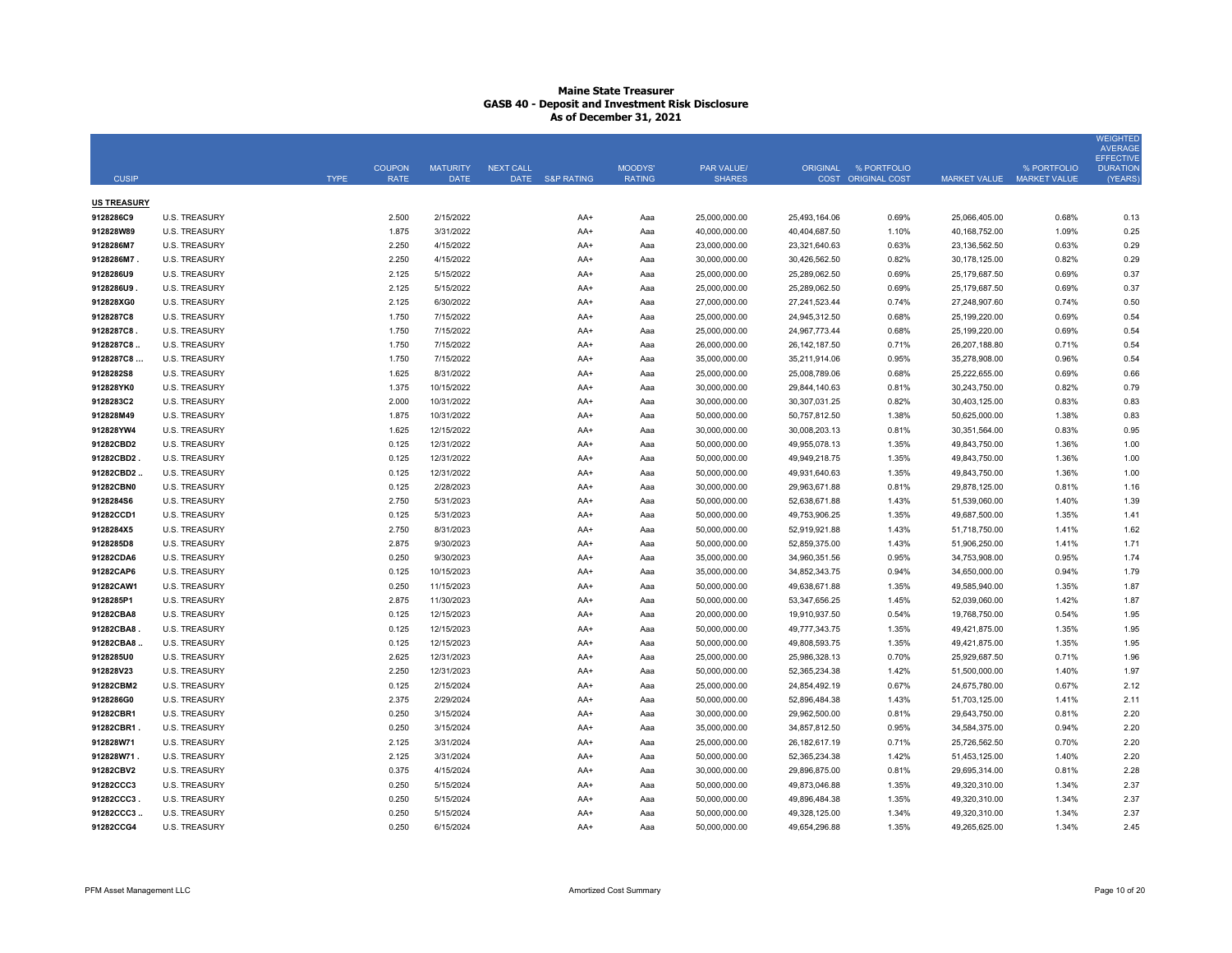| <b>CUSIP</b>           |                                              | <b>TYPE</b> | <b>COUPON</b><br><b>RATE</b> | <b>MATURITY</b><br><b>DATE</b> | <b>NEXT CALL</b><br><b>DATE</b> | <b>S&amp;P RATING</b> | MOODYS'<br><b>RATING</b> | <b>PAR VALUE/</b><br><b>SHARES</b> |                                | ORIGINAL % PORTFOLIO<br>COST ORIGINAL COST | <b>MARKET VALUE</b>            | % PORTFOLIO<br><b>MARKET VALUE</b> | <b>WEIGHTED</b><br><b>AVERAGE</b><br><b>EFFECTIVE</b><br><b>DURATION</b><br>(YEARS) |
|------------------------|----------------------------------------------|-------------|------------------------------|--------------------------------|---------------------------------|-----------------------|--------------------------|------------------------------------|--------------------------------|--------------------------------------------|--------------------------------|------------------------------------|-------------------------------------------------------------------------------------|
|                        |                                              |             |                              |                                |                                 |                       |                          |                                    |                                |                                            |                                |                                    |                                                                                     |
| <b>US TREASURY</b>     |                                              |             |                              |                                |                                 |                       |                          |                                    |                                |                                            |                                |                                    |                                                                                     |
| 9128286C9              | <b>U.S. TREASURY</b>                         |             | 2.500                        | 2/15/2022                      |                                 | AA+                   | Aaa                      | 25,000,000.00                      | 25,493,164.06                  | 0.69%                                      | 25,066,405.00                  | 0.68%                              | 0.13                                                                                |
| 912828W89              | <b>U.S. TREASURY</b>                         |             | 1.875                        | 3/31/2022                      |                                 | AA+                   | Aaa                      | 40,000,000.00                      | 40,404,687.50                  | 1.10%                                      | 40,168,752.00                  | 1.09%                              | 0.25                                                                                |
| 9128286M7              | <b>U.S. TREASURY</b>                         |             | 2.250                        | 4/15/2022                      |                                 | $AA+$                 | Aaa                      | 23,000,000.00                      | 23,321,640.63                  | 0.63%                                      | 23,136,562.50                  | 0.63%                              | 0.29                                                                                |
| 9128286M7              | <b>U.S. TREASURY</b>                         |             | 2.250                        | 4/15/2022                      |                                 | AA+                   | Aaa                      | 30,000,000.00                      | 30,426,562.50                  | 0.82%                                      | 30,178,125.00                  | 0.82%                              | 0.29                                                                                |
| 9128286U9              | <b>U.S. TREASURY</b>                         |             | 2.125                        | 5/15/2022                      |                                 | AA+                   | Aaa                      | 25,000,000.00                      | 25,289,062.50                  | 0.69%                                      | 25,179,687.50                  | 0.69%                              | 0.37                                                                                |
| 9128286U9.             | <b>U.S. TREASURY</b>                         |             | 2.125                        | 5/15/2022                      |                                 | AA+                   | Aaa                      | 25,000,000.00                      | 25,289,062.50                  | 0.69%                                      | 25,179,687.50                  | 0.69%                              | 0.37                                                                                |
| 912828XG0              | <b>U.S. TREASURY</b>                         |             | 2.125                        | 6/30/2022                      |                                 | AA+                   | Aaa                      | 27,000,000.00                      | 27,241,523.44                  | 0.74%                                      | 27,248,907.60                  | 0.74%                              | 0.50                                                                                |
| 9128287C8              | <b>U.S. TREASURY</b>                         |             | 1.750                        | 7/15/2022                      |                                 | AA+                   | Aaa                      | 25,000,000.00                      | 24,945,312.50                  | 0.68%                                      | 25,199,220.00                  | 0.69%                              | 0.54                                                                                |
| 9128287C8<br>9128287C8 | <b>U.S. TREASURY</b>                         |             | 1.750                        | 7/15/2022                      |                                 | AA+                   | Aaa                      | 25,000,000.00                      | 24,967,773.44                  | 0.68%                                      | 25,199,220.00                  | 0.69%                              | 0.54                                                                                |
|                        | <b>U.S. TREASURY</b>                         |             | 1.750                        | 7/15/2022                      |                                 | AA+                   | Aaa                      | 26,000,000.00                      | 26, 142, 187.50                | 0.71%                                      | 26,207,188.80                  | 0.71%                              | 0.54                                                                                |
| 9128287C8<br>9128282S8 | <b>U.S. TREASURY</b><br><b>U.S. TREASURY</b> |             | 1.750<br>1.625               | 7/15/2022<br>8/31/2022         |                                 | AA+<br>AA+            | Aaa<br>Aaa               | 35,000,000.00<br>25,000,000.00     | 35,211,914.06<br>25.008.789.06 | 0.95%<br>0.68%                             | 35,278,908.00<br>25,222,655.00 | 0.96%<br>0.69%                     | 0.54<br>0.66                                                                        |
| 912828YK0              | <b>U.S. TREASURY</b>                         |             | 1.375                        | 10/15/2022                     |                                 | AA+                   | Aaa                      | 30,000,000.00                      | 29,844,140.63                  | 0.81%                                      | 30,243,750.00                  | 0.82%                              | 0.79                                                                                |
| 9128283C2              | <b>U.S. TREASURY</b>                         |             | 2.000                        | 10/31/2022                     |                                 | AA+                   |                          | 30,000,000.00                      | 30,307,031.25                  | 0.82%                                      | 30,403,125.00                  | 0.83%                              | 0.83                                                                                |
| 912828M49              | <b>U.S. TREASURY</b>                         |             | 1.875                        | 10/31/2022                     |                                 | AA+                   | Aaa<br>Aaa               | 50,000,000.00                      | 50,757,812.50                  | 1.38%                                      | 50,625,000.00                  | 1.38%                              | 0.83                                                                                |
| 912828YW4              | <b>U.S. TREASURY</b>                         |             | 1.625                        | 12/15/2022                     |                                 | AA+                   | Aaa                      | 30,000,000.00                      | 30,008,203.13                  | 0.81%                                      | 30,351,564.00                  | 0.83%                              | 0.95                                                                                |
| 91282CBD2              | <b>U.S. TREASURY</b>                         |             | 0.125                        | 12/31/2022                     |                                 | AA+                   | Aaa                      | 50,000,000.00                      | 49,955,078.13                  | 1.35%                                      | 49,843,750.00                  | 1.36%                              | 1.00                                                                                |
| 91282CBD2              | <b>U.S. TREASURY</b>                         |             | 0.125                        | 12/31/2022                     |                                 | AA+                   | Aaa                      | 50,000,000.00                      | 49,949,218.75                  | 1.35%                                      | 49,843,750.00                  | 1.36%                              | 1.00                                                                                |
| 91282CBD2.             | <b>U.S. TREASURY</b>                         |             | 0.125                        | 12/31/2022                     |                                 | AA+                   | Aaa                      | 50,000,000.00                      | 49,931,640.63                  | 1.35%                                      | 49,843,750.00                  | 1.36%                              | 1.00                                                                                |
| 91282CBN0              | <b>U.S. TREASURY</b>                         |             | 0.125                        | 2/28/2023                      |                                 | AA+                   | Aaa                      | 30,000,000.00                      | 29,963,671.88                  | 0.81%                                      | 29,878,125.00                  | 0.81%                              | 1.16                                                                                |
| 9128284S6              | <b>U.S. TREASURY</b>                         |             | 2.750                        | 5/31/2023                      |                                 | AA+                   | Aaa                      | 50,000,000.00                      | 52,638,671.88                  | 1.43%                                      | 51,539,060.00                  | 1.40%                              | 1.39                                                                                |
| 91282CCD1              | <b>U.S. TREASURY</b>                         |             | 0.125                        | 5/31/2023                      |                                 | AA+                   | Aaa                      | 50,000,000.00                      | 49,753,906.25                  | 1.35%                                      | 49,687,500.00                  | 1.35%                              | 1.41                                                                                |
| 9128284X5              | <b>U.S. TREASURY</b>                         |             | 2.750                        | 8/31/2023                      |                                 | AA+                   | Aaa                      | 50,000,000.00                      | 52,919,921.88                  | 1.43%                                      | 51,718,750.00                  | 1.41%                              | 1.62                                                                                |
| 9128285D8              | <b>U.S. TREASURY</b>                         |             | 2.875                        | 9/30/2023                      |                                 | $AA+$                 | Aaa                      | 50,000,000.00                      | 52,859,375.00                  | 1.43%                                      | 51,906,250.00                  | 1.41%                              | 1.71                                                                                |
| 91282CDA6              | <b>U.S. TREASURY</b>                         |             | 0.250                        | 9/30/2023                      |                                 | AA+                   | Aaa                      | 35,000,000.00                      | 34,960,351.56                  | 0.95%                                      | 34,753,908.00                  | 0.95%                              | 1.74                                                                                |
| 91282CAP6              | <b>U.S. TREASURY</b>                         |             | 0.125                        | 10/15/2023                     |                                 | AA+                   | Aaa                      | 35,000,000.00                      | 34,852,343.75                  | 0.94%                                      | 34,650,000.00                  | 0.94%                              | 1.79                                                                                |
| 91282CAW1              | <b>U.S. TREASURY</b>                         |             | 0.250                        | 11/15/2023                     |                                 | AA+                   | Aaa                      | 50,000,000.00                      | 49,638,671.88                  | 1.35%                                      | 49,585,940.00                  | 1.35%                              | 1.87                                                                                |
| 9128285P1              | <b>U.S. TREASURY</b>                         |             | 2.875                        | 11/30/2023                     |                                 | AA+                   | Aaa                      | 50,000,000.00                      | 53,347,656.25                  | 1.45%                                      | 52,039,060.00                  | 1.42%                              | 1.87                                                                                |
| 91282CBA8              | <b>U.S. TREASURY</b>                         |             | 0.125                        | 12/15/2023                     |                                 | AA+                   | Aaa                      | 20,000,000.00                      | 19,910,937.50                  | 0.54%                                      | 19,768,750.00                  | 0.54%                              | 1.95                                                                                |
| 91282CBA8              | <b>U.S. TREASURY</b>                         |             | 0.125                        | 12/15/2023                     |                                 | AA+                   | Aaa                      | 50,000,000.00                      | 49,777,343.75                  | 1.35%                                      | 49,421,875.00                  | 1.35%                              | 1.95                                                                                |
| 91282CBA8.             | <b>U.S. TREASURY</b>                         |             | 0.125                        | 12/15/2023                     |                                 | AA+                   | Aaa                      | 50,000,000.00                      | 49,808,593.75                  | 1.35%                                      | 49,421,875.00                  | 1.35%                              | 1.95                                                                                |
| 9128285U0              | <b>U.S. TREASURY</b>                         |             | 2.625                        | 12/31/2023                     |                                 | AA+                   | Aaa                      | 25,000,000.00                      | 25,986,328.13                  | 0.70%                                      | 25,929,687.50                  | 0.71%                              | 1.96                                                                                |
| 912828V23              | <b>U.S. TREASURY</b>                         |             | 2.250                        | 12/31/2023                     |                                 | AA+                   | Aaa                      | 50,000,000.00                      | 52,365,234.38                  | 1.42%                                      | 51,500,000.00                  | 1.40%                              | 1.97                                                                                |
| 91282CBM2              | <b>U.S. TREASURY</b>                         |             | 0.125                        | 2/15/2024                      |                                 | AA+                   | Aaa                      | 25,000,000.00                      | 24,854,492.19                  | 0.67%                                      | 24,675,780.00                  | 0.67%                              | 2.12                                                                                |
| 9128286G0              | <b>U.S. TREASURY</b>                         |             | 2.375                        | 2/29/2024                      |                                 | AA+                   | Aaa                      | 50,000,000.00                      | 52,896,484.38                  | 1.43%                                      | 51,703,125.00                  | 1.41%                              | 2.11                                                                                |
| 91282CBR1              | <b>U.S. TREASURY</b>                         |             | 0.250                        | 3/15/2024                      |                                 | AA+                   | Aaa                      | 30,000,000.00                      | 29,962,500.00                  | 0.81%                                      | 29,643,750.00                  | 0.81%                              | 2.20                                                                                |
| 91282CBR1              | <b>U.S. TREASURY</b>                         |             | 0.250                        | 3/15/2024                      |                                 | AA+                   | Aaa                      | 35,000,000.00                      | 34,857,812.50                  | 0.95%                                      | 34,584,375.00                  | 0.94%                              | 2.20                                                                                |
| 912828W71              | <b>U.S. TREASURY</b>                         |             | 2.125                        | 3/31/2024                      |                                 | AA+                   | Aaa                      | 25,000,000.00                      | 26, 182, 617. 19               | 0.71%                                      | 25,726,562.50                  | 0.70%                              | 2.20                                                                                |
| 912828W71              | <b>U.S. TREASURY</b>                         |             | 2.125                        | 3/31/2024                      |                                 | AA+                   | Aaa                      | 50,000,000.00                      | 52,365,234.38                  | 1.42%                                      | 51,453,125.00                  | 1.40%                              | 2.20                                                                                |
| 91282CBV2              | <b>U.S. TREASURY</b>                         |             | 0.375                        | 4/15/2024                      |                                 | AA+                   | Aaa                      | 30,000,000.00                      | 29,896,875.00                  | 0.81%                                      | 29,695,314.00                  | 0.81%                              | 2.28                                                                                |
| 91282CCC3              | <b>U.S. TREASURY</b>                         |             | 0.250                        | 5/15/2024                      |                                 | AA+                   | Aaa                      | 50,000,000.00                      | 49,873,046.88                  | 1.35%                                      | 49,320,310.00                  | 1.34%                              | 2.37                                                                                |
| 91282CCC3              | <b>U.S. TREASURY</b>                         |             | 0.250                        | 5/15/2024                      |                                 | AA+                   | Aaa                      | 50,000,000.00                      | 49,896,484.38                  | 1.35%                                      | 49,320,310.00                  | 1.34%                              | 2.37                                                                                |
| 91282CCC3.             | <b>U.S. TREASURY</b>                         |             | 0.250                        | 5/15/2024                      |                                 | AA+                   | Aaa                      | 50,000,000.00                      | 49,328,125.00                  | 1.34%                                      | 49,320,310.00                  | 1.34%                              | 2.37                                                                                |
| 91282CCG4              | <b>U.S. TREASURY</b>                         |             | 0.250                        | 6/15/2024                      |                                 | AA+                   | Aaa                      | 50,000,000.00                      | 49,654,296.88                  | 1.35%                                      | 49,265,625.00                  | 1.34%                              | 2.45                                                                                |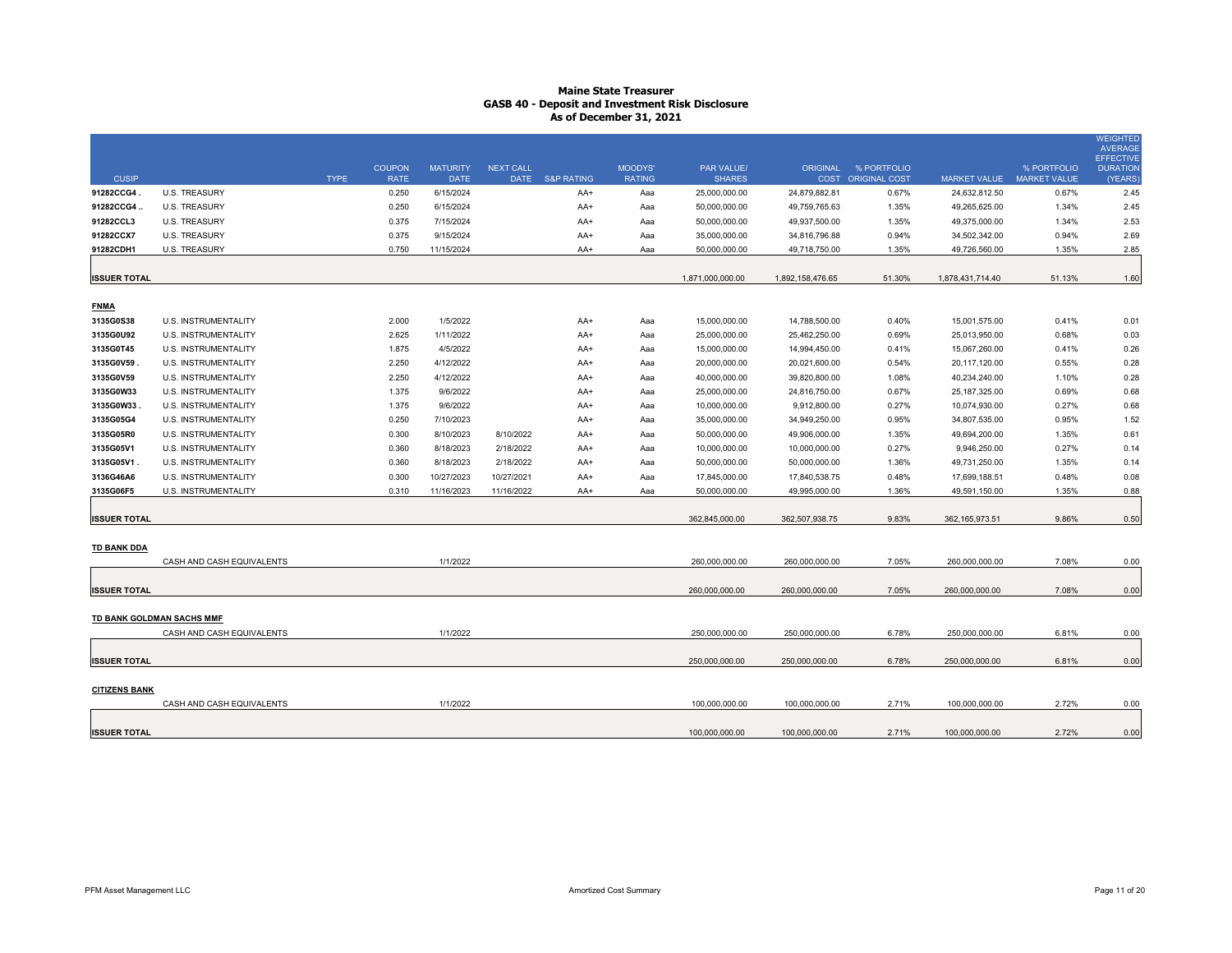| <b>CUSIP</b>         |                             | <b>TYPE</b> | <b>COUPON</b><br><b>RATE</b> | <b>MATURITY</b><br><b>DATE</b> | <b>NEXT CALL</b> | DATE S&P RATING | MOODYS'<br><b>RATING</b> | <b>PAR VALUE/</b><br><b>SHARES</b> | <b>ORIGINAL</b>                  | % PORTFOLIO<br><b>COST ORIGINAL COST</b> | <b>MARKET VALUE</b>              | % PORTFOLIO<br><b>MARKET VALUE</b> | WEIGHTED<br><b>AVERAGE</b><br><b>EFFECTIVE</b><br><b>DURATION</b><br>(YEARS |
|----------------------|-----------------------------|-------------|------------------------------|--------------------------------|------------------|-----------------|--------------------------|------------------------------------|----------------------------------|------------------------------------------|----------------------------------|------------------------------------|-----------------------------------------------------------------------------|
| 91282CCG4.           | <b>U.S. TREASURY</b>        |             | 0.250                        | 6/15/2024                      |                  | AA+             | Aaa                      | 25,000,000.00                      | 24,879,882.81                    | 0.67%                                    | 24,632,812.50                    | 0.67%                              | 2.45                                                                        |
| 91282CCG4.           | <b>U.S. TREASURY</b>        |             | 0.250                        | 6/15/2024                      |                  | AA+             | Aaa                      | 50,000,000.00                      | 49,759,765.63                    | 1.35%                                    | 49,265,625.00                    | 1.34%                              | 2.45                                                                        |
| 91282CCL3            | <b>U.S. TREASURY</b>        |             | 0.375                        | 7/15/2024                      |                  | AA+             | Aaa                      | 50,000,000.00                      | 49,937,500.00                    | 1.35%                                    | 49,375,000.00                    | 1.34%                              | 2.53                                                                        |
| 91282CCX7            | <b>U.S. TREASURY</b>        |             | 0.375                        | 9/15/2024                      |                  | AA+             | Aaa                      | 35,000,000.00                      | 34,816,796.88                    | 0.94%                                    | 34,502,342.00                    | 0.94%                              | 2.69                                                                        |
| 91282CDH1            | <b>U.S. TREASURY</b>        |             | 0.750                        | 11/15/2024                     |                  | AA+             | Aaa                      | 50,000,000.00                      | 49,718,750.00                    | 1.35%                                    | 49,726,560.00                    | 1.35%                              | 2.85                                                                        |
| <b>ISSUER TOTAL</b>  |                             |             |                              |                                |                  |                 |                          | 1,871,000,000.00                   | 1,892,158,476.65                 | 51.30%                                   | 1,878,431,714.40                 | 51.13%                             | 1.60                                                                        |
| <b>FNMA</b>          |                             |             |                              |                                |                  |                 |                          |                                    |                                  |                                          |                                  |                                    |                                                                             |
| 3135G0S38            | <b>U.S. INSTRUMENTALITY</b> |             | 2.000                        | 1/5/2022                       |                  | AA+             | Aaa                      | 15,000,000.00                      | 14,788,500.00                    | 0.40%                                    | 15,001,575.00                    | 0.41%                              | 0.01                                                                        |
| 3135G0U92            | U.S. INSTRUMENTALITY        |             | 2.625                        | 1/11/2022                      |                  | AA+             | Aaa                      | 25,000,000.00                      | 25,462,250.00                    | 0.69%                                    | 25,013,950.00                    | 0.68%                              | 0.03                                                                        |
| 3135G0T45            | <b>U.S. INSTRUMENTALITY</b> |             | 1.875                        | 4/5/2022                       |                  | AA+             | Aaa                      | 15,000,000.00                      | 14,994,450.00                    | 0.41%                                    | 15,067,260.00                    | 0.41%                              | 0.26                                                                        |
| 3135G0V59.           | U.S. INSTRUMENTALITY        |             | 2.250                        | 4/12/2022                      |                  | AA+             | Aaa                      | 20,000,000.00                      | 20,021,600.00                    | 0.54%                                    | 20,117,120.00                    | 0.55%                              | 0.28                                                                        |
| 3135G0V59            | U.S. INSTRUMENTALITY        |             | 2.250                        | 4/12/2022                      |                  | AA+             | Aaa                      | 40,000,000.00                      | 39,820,800.00                    | 1.08%                                    | 40,234,240.00                    | 1.10%                              | 0.28                                                                        |
| 3135G0W33            | U.S. INSTRUMENTALITY        |             | 1.375                        | 9/6/2022                       |                  | AA+             | Aaa                      | 25,000,000.00                      | 24,816,750.00                    | 0.67%                                    | 25,187,325.00                    | 0.69%                              | 0.68                                                                        |
| 3135G0W33            | U.S. INSTRUMENTALITY        |             | 1.375                        | 9/6/2022                       |                  | AA+             | Aaa                      | 10,000,000.00                      | 9,912,800.00                     | 0.27%                                    | 10,074,930.00                    | 0.27%                              | 0.68                                                                        |
| 3135G05G4            | U.S. INSTRUMENTALITY        |             | 0.250                        | 7/10/2023                      |                  | AA+             | Aaa                      | 35,000,000.00                      | 34,949,250.00                    | 0.95%                                    | 34,807,535.00                    | 0.95%                              | 1.52                                                                        |
| 3135G05R0            | U.S. INSTRUMENTALITY        |             | 0.300                        | 8/10/2023                      | 8/10/2022        | AA+             | Aaa                      | 50,000,000.00                      | 49,906,000.00                    | 1.35%                                    | 49,694,200.00                    | 1.35%                              | 0.61                                                                        |
| 3135G05V1            | U.S. INSTRUMENTALITY        |             | 0.360                        | 8/18/2023                      | 2/18/2022        | AA+             | Aaa                      | 10,000,000.00                      | 10,000,000.00                    | 0.27%                                    | 9,946,250.00                     | 0.27%                              | 0.14                                                                        |
| 3135G05V1.           | <b>U.S. INSTRUMENTALITY</b> |             | 0.360                        | 8/18/2023                      | 2/18/2022        | AA+             | Ааа                      | 50,000,000.00                      | 50,000,000.00                    | 1.36%                                    | 49,731,250.00                    | 1.35%                              | 0.14                                                                        |
| 3136G46A6            | U.S. INSTRUMENTALITY        |             | 0.300                        | 10/27/2023                     | 10/27/2021       | AA+             | Aaa                      | 17,845,000.00                      | 17,840,538.75                    | 0.48%                                    | 17,699,188.51                    | 0.48%                              | 0.08                                                                        |
| 3135G06F5            | <b>U.S. INSTRUMENTALITY</b> |             | 0.310                        | 11/16/2023                     | 11/16/2022       | AA+             | Aaa                      | 50,000,000.00                      | 49,995,000.00                    | 1.36%                                    | 49,591,150.00                    | 1.35%                              | 0.88                                                                        |
| <b>ISSUER TOTAL</b>  |                             |             |                              |                                |                  |                 |                          | 362,845,000.00                     | 362,507,938.75                   | 9.83%                                    | 362, 165, 973.51                 | 9.86%                              | 0.50                                                                        |
| <b>TD BANK DDA</b>   |                             |             |                              |                                |                  |                 |                          |                                    |                                  |                                          |                                  |                                    |                                                                             |
|                      | CASH AND CASH EQUIVALENTS   |             |                              | 1/1/2022                       |                  |                 |                          | 260,000,000.00                     | 260,000,000.00                   | 7.05%                                    | 260,000,000.00                   | 7.08%                              | 0.00                                                                        |
| <b>ISSUER TOTAL</b>  |                             |             |                              |                                |                  |                 |                          | 260,000,000.00                     | 260,000,000.00                   | 7.05%                                    | 260,000,000.00                   | 7.08%                              | 0.00                                                                        |
|                      | TD BANK GOLDMAN SACHS MMF   |             |                              |                                |                  |                 |                          |                                    |                                  |                                          |                                  |                                    |                                                                             |
|                      | CASH AND CASH EQUIVALENTS   |             |                              | 1/1/2022                       |                  |                 |                          | 250,000,000.00                     | 250,000,000.00                   | 6.78%                                    | 250,000,000.00                   | 6.81%                              | 0.00                                                                        |
| <b>ISSUER TOTAL</b>  |                             |             |                              |                                |                  |                 |                          | 250,000,000.00                     | 250,000,000.00                   | 6.78%                                    | 250,000,000.00                   | 6.81%                              | 0.00                                                                        |
| <b>CITIZENS BANK</b> |                             |             |                              |                                |                  |                 |                          |                                    |                                  |                                          |                                  | 2.72%                              |                                                                             |
| <b>ISSUER TOTAL</b>  | CASH AND CASH EQUIVALENTS   |             |                              | 1/1/2022                       |                  |                 |                          | 100.000.000.00<br>100.000.000.00   | 100.000.000.00<br>100.000.000.00 | 2.71%<br>2.71%                           | 100.000.000.00<br>100.000.000.00 | 2.72%                              | 0.00<br>0.00                                                                |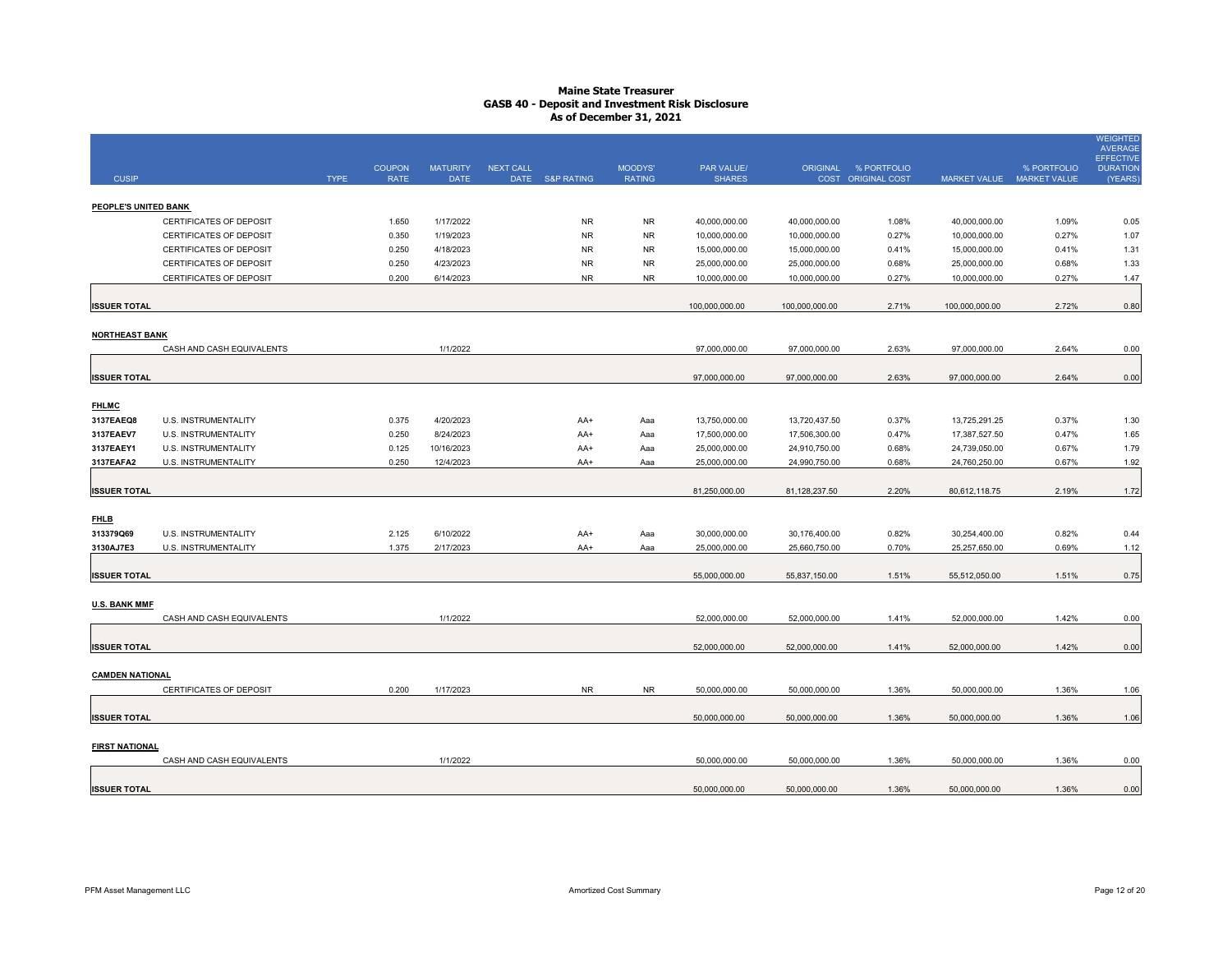|                        |                                                           |             | <b>COUPON</b>  | <b>MATURITY</b>        | <b>NEXT CALL</b> |                 | MOODYS'       | PAR VALUE/                     |                                | ORIGINAL % PORTFOLIO |                                | % PORTFOLIO    | <b>WEIGHTED</b><br><b>AVERAGE</b><br><b>EFFECTIVE</b><br><b>DURATION</b> |
|------------------------|-----------------------------------------------------------|-------------|----------------|------------------------|------------------|-----------------|---------------|--------------------------------|--------------------------------|----------------------|--------------------------------|----------------|--------------------------------------------------------------------------|
| <b>CUSIP</b>           |                                                           | <b>TYPE</b> | <b>RATE</b>    | <b>DATE</b>            |                  | DATE S&P RATING | <b>RATING</b> | <b>SHARES</b>                  |                                | COST ORIGINAL COST   | MARKET VALUE MARKET VALUE      |                | (YEARS)                                                                  |
|                        |                                                           |             |                |                        |                  |                 |               |                                |                                |                      |                                |                |                                                                          |
| PEOPLE'S UNITED BANK   |                                                           |             | 1.650          | 1/17/2022              |                  | <b>NR</b>       | <b>NR</b>     |                                |                                |                      |                                | 1.09%          |                                                                          |
|                        | CERTIFICATES OF DEPOSIT<br><b>CERTIFICATES OF DEPOSIT</b> |             | 0.350          | 1/19/2023              |                  | <b>NR</b>       | <b>NR</b>     | 40,000,000.00<br>10,000,000.00 | 40,000,000.00<br>10,000,000.00 | 1.08%<br>0.27%       | 40,000,000.00<br>10,000,000.00 | 0.27%          | 0.05<br>1.07                                                             |
|                        | <b>CERTIFICATES OF DEPOSIT</b>                            |             | 0.250          | 4/18/2023              |                  | <b>NR</b>       | <b>NR</b>     | 15,000,000.00                  | 15,000,000.00                  | 0.41%                | 15,000,000.00                  | 0.41%          | 1.31                                                                     |
|                        | CERTIFICATES OF DEPOSIT                                   |             | 0.250          | 4/23/2023              |                  | <b>NR</b>       | <b>NR</b>     | 25,000,000.00                  | 25,000,000.00                  | 0.68%                | 25,000,000.00                  | 0.68%          | 1.33                                                                     |
|                        | CERTIFICATES OF DEPOSIT                                   |             | 0.200          | 6/14/2023              |                  | <b>NR</b>       | <b>NR</b>     | 10,000,000.00                  | 10,000,000.00                  | 0.27%                | 10,000,000.00                  | 0.27%          | 1.47                                                                     |
|                        |                                                           |             |                |                        |                  |                 |               |                                |                                |                      |                                |                |                                                                          |
| <b>ISSUER TOTAL</b>    |                                                           |             |                |                        |                  |                 |               | 100,000,000.00                 | 100,000,000.00                 | 2.71%                | 100,000,000.00                 | 2.72%          | 0.80                                                                     |
| <b>NORTHEAST BANK</b>  |                                                           |             |                |                        |                  |                 |               |                                |                                |                      |                                |                |                                                                          |
|                        | CASH AND CASH EQUIVALENTS                                 |             |                | 1/1/2022               |                  |                 |               | 97,000,000.00                  | 97,000,000.00                  | 2.63%                | 97,000,000.00                  | 2.64%          | 0.00                                                                     |
|                        |                                                           |             |                |                        |                  |                 |               |                                |                                |                      |                                |                |                                                                          |
| <b>ISSUER TOTAL</b>    |                                                           |             |                |                        |                  |                 |               | 97,000,000.00                  | 97,000,000.00                  | 2.63%                | 97,000,000.00                  | 2.64%          | 0.00                                                                     |
| <b>FHLMC</b>           |                                                           |             |                |                        |                  |                 |               |                                |                                |                      |                                |                |                                                                          |
| 3137EAEQ8              | U.S. INSTRUMENTALITY                                      |             | 0.375          | 4/20/2023              |                  | AA+             | Aaa           | 13,750,000.00                  | 13,720,437.50                  | 0.37%                | 13,725,291.25                  | 0.37%          | 1.30                                                                     |
| 3137EAEV7              | U.S. INSTRUMENTALITY                                      |             | 0.250          | 8/24/2023              |                  | AA+             | Aaa           | 17,500,000.00                  | 17,506,300.00                  | 0.47%                | 17,387,527.50                  | 0.47%          | 1.65                                                                     |
| 3137EAEY1              | U.S. INSTRUMENTALITY                                      |             | 0.125          | 10/16/2023             |                  | AA+             | Aaa           | 25,000,000.00                  | 24,910,750.00                  | 0.68%                | 24,739,050.00                  | 0.67%          | 1.79                                                                     |
| 3137EAFA2              | U.S. INSTRUMENTALITY                                      |             | 0.250          | 12/4/2023              |                  | AA+             | Aaa           | 25,000,000.00                  | 24,990,750.00                  | 0.68%                | 24,760,250.00                  | 0.67%          | 1.92                                                                     |
|                        |                                                           |             |                |                        |                  |                 |               |                                |                                |                      |                                |                |                                                                          |
| <b>ISSUER TOTAL</b>    |                                                           |             |                |                        |                  |                 |               | 81,250,000.00                  | 81,128,237.50                  | 2.20%                | 80,612,118.75                  | 2.19%          | 1.72                                                                     |
|                        |                                                           |             |                |                        |                  |                 |               |                                |                                |                      |                                |                |                                                                          |
| <b>FHLB</b>            |                                                           |             |                |                        |                  |                 |               |                                |                                |                      |                                |                |                                                                          |
| 313379Q69<br>3130AJ7E3 | U.S. INSTRUMENTALITY<br>U.S. INSTRUMENTALITY              |             | 2.125<br>1.375 | 6/10/2022<br>2/17/2023 |                  | AA+<br>AA+      | Aaa<br>Aaa    | 30,000,000.00<br>25,000,000.00 | 30,176,400.00<br>25,660,750.00 | 0.82%<br>0.70%       | 30,254,400.00<br>25,257,650.00 | 0.82%<br>0.69% | 0.44<br>1.12                                                             |
|                        |                                                           |             |                |                        |                  |                 |               |                                |                                |                      |                                |                |                                                                          |
| <b>ISSUER TOTAL</b>    |                                                           |             |                |                        |                  |                 |               | 55,000,000.00                  | 55,837,150.00                  | 1.51%                | 55,512,050.00                  | 1.51%          | 0.75                                                                     |
|                        |                                                           |             |                |                        |                  |                 |               |                                |                                |                      |                                |                |                                                                          |
| <b>U.S. BANK MMF</b>   |                                                           |             |                |                        |                  |                 |               |                                |                                |                      |                                |                |                                                                          |
|                        | CASH AND CASH EQUIVALENTS                                 |             |                | 1/1/2022               |                  |                 |               | 52,000,000.00                  | 52,000,000.00                  | 1.41%                | 52,000,000.00                  | 1.42%          | 0.00                                                                     |
|                        |                                                           |             |                |                        |                  |                 |               |                                |                                |                      |                                |                |                                                                          |
| <b>ISSUER TOTAL</b>    |                                                           |             |                |                        |                  |                 |               | 52,000,000.00                  | 52,000,000.00                  | 1.41%                | 52,000,000.00                  | 1.42%          | 0.00                                                                     |
| <b>CAMDEN NATIONAL</b> |                                                           |             |                |                        |                  |                 |               |                                |                                |                      |                                |                |                                                                          |
|                        | CERTIFICATES OF DEPOSIT                                   |             | 0.200          | 1/17/2023              |                  | <b>NR</b>       | <b>NR</b>     | 50,000,000.00                  | 50,000,000.00                  | 1.36%                | 50,000,000.00                  | 1.36%          | 1.06                                                                     |
|                        |                                                           |             |                |                        |                  |                 |               |                                |                                |                      |                                |                |                                                                          |
| <b>ISSUER TOTAL</b>    |                                                           |             |                |                        |                  |                 |               | 50,000,000.00                  | 50,000,000.00                  | 1.36%                | 50,000,000.00                  | 1.36%          | 1.06                                                                     |
|                        |                                                           |             |                |                        |                  |                 |               |                                |                                |                      |                                |                |                                                                          |
| <b>FIRST NATIONAL</b>  | CASH AND CASH EQUIVALENTS                                 |             |                | 1/1/2022               |                  |                 |               | 50,000,000.00                  | 50,000,000.00                  | 1.36%                | 50,000,000.00                  | 1.36%          | 0.00                                                                     |
|                        |                                                           |             |                |                        |                  |                 |               |                                |                                |                      |                                |                |                                                                          |
| <b>ISSUER TOTAL</b>    |                                                           |             |                |                        |                  |                 |               | 50,000,000.00                  | 50,000,000.00                  | 1.36%                | 50,000,000.00                  | 1.36%          | 0.00                                                                     |
|                        |                                                           |             |                |                        |                  |                 |               |                                |                                |                      |                                |                |                                                                          |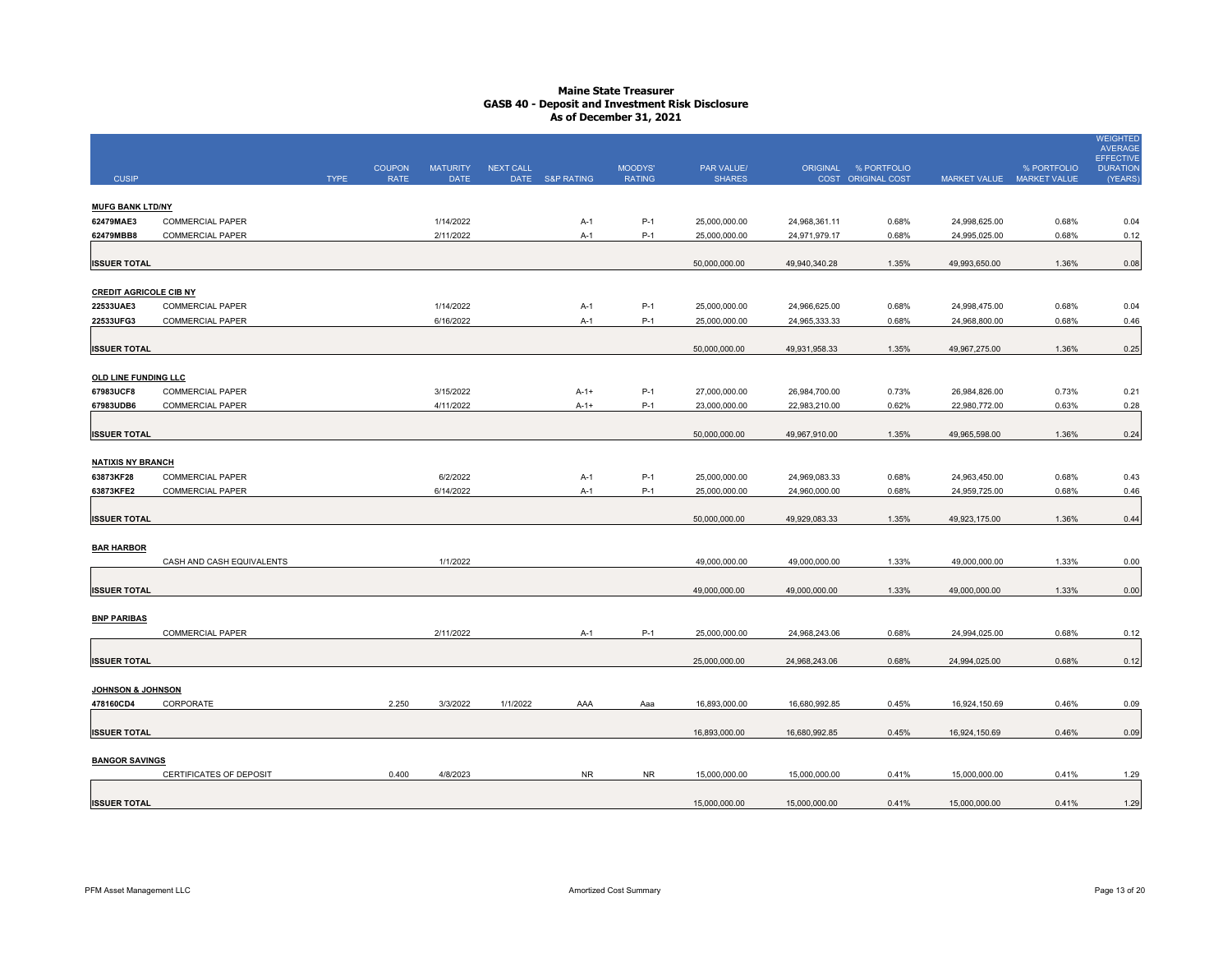|                                       |                           |             |               |                 |                  |                 |               |               |               |                      |                           |             | <b>WEIGHTED</b><br><b>AVERAGE</b>   |
|---------------------------------------|---------------------------|-------------|---------------|-----------------|------------------|-----------------|---------------|---------------|---------------|----------------------|---------------------------|-------------|-------------------------------------|
|                                       |                           |             | <b>COUPON</b> | <b>MATURITY</b> | <b>NEXT CALL</b> |                 | MOODYS'       | PAR VALUE/    |               | ORIGINAL % PORTFOLIO |                           | % PORTFOLIO | <b>EFFECTIVE</b><br><b>DURATION</b> |
| <b>CUSIP</b>                          |                           | <b>TYPE</b> | <b>RATE</b>   | <b>DATE</b>     |                  | DATE S&P RATING | <b>RATING</b> | <b>SHARES</b> |               | COST ORIGINAL COST   | MARKET VALUE MARKET VALUE |             | (YEARS                              |
| <b>MUFG BANK LTD/NY</b>               |                           |             |               |                 |                  |                 |               |               |               |                      |                           |             |                                     |
| 62479MAE3                             | <b>COMMERCIAL PAPER</b>   |             |               | 1/14/2022       |                  | $A-1$           | P-1           | 25,000,000.00 | 24,968,361.11 | 0.68%                | 24,998,625.00             | 0.68%       | 0.04                                |
| 62479MBB8                             | <b>COMMERCIAL PAPER</b>   |             |               | 2/11/2022       |                  | $A-1$           | $P-1$         | 25,000,000.00 | 24,971,979.17 | 0.68%                | 24,995,025.00             | 0.68%       | 0.12                                |
|                                       |                           |             |               |                 |                  |                 |               |               |               |                      |                           |             |                                     |
| <b>ISSUER TOTAL</b>                   |                           |             |               |                 |                  |                 |               | 50,000,000.00 | 49,940,340.28 | 1.35%                | 49,993,650.00             | 1.36%       | 0.08                                |
| <b>CREDIT AGRICOLE CIB NY</b>         |                           |             |               |                 |                  |                 |               |               |               |                      |                           |             |                                     |
| 22533UAE3                             | COMMERCIAL PAPER          |             |               | 1/14/2022       |                  | $A-1$           | $P-1$         | 25,000,000.00 | 24,966,625.00 | 0.68%                | 24,998,475.00             | 0.68%       | 0.04                                |
| 22533UFG3                             | COMMERCIAL PAPER          |             |               | 6/16/2022       |                  | $A-1$           | $P-1$         | 25,000,000.00 | 24,965,333.33 | 0.68%                | 24,968,800.00             | 0.68%       | 0.46                                |
|                                       |                           |             |               |                 |                  |                 |               |               |               |                      |                           |             |                                     |
| <b>ISSUER TOTAL</b>                   |                           |             |               |                 |                  |                 |               | 50,000,000.00 | 49,931,958.33 | 1.35%                | 49,967,275.00             | 1.36%       | 0.25                                |
| OLD LINE FUNDING LLC                  |                           |             |               |                 |                  |                 |               |               |               |                      |                           |             |                                     |
| 67983UCF8                             | COMMERCIAL PAPER          |             |               | 3/15/2022       |                  | $A-1+$          | $P-1$         | 27,000,000.00 | 26,984,700.00 | 0.73%                | 26,984,826.00             | 0.73%       | 0.21                                |
| 67983UDB6                             | <b>COMMERCIAL PAPER</b>   |             |               | 4/11/2022       |                  | $A-1+$          | $P-1$         | 23,000,000.00 | 22,983,210.00 | 0.62%                | 22,980,772.00             | 0.63%       | 0.28                                |
|                                       |                           |             |               |                 |                  |                 |               |               |               |                      |                           |             |                                     |
| <b>ISSUER TOTAL</b>                   |                           |             |               |                 |                  |                 |               | 50,000,000.00 | 49,967,910.00 | 1.35%                | 49,965,598.00             | 1.36%       | 0.24                                |
|                                       |                           |             |               |                 |                  |                 |               |               |               |                      |                           |             |                                     |
| <b>NATIXIS NY BRANCH</b><br>63873KF28 | <b>COMMERCIAL PAPER</b>   |             |               | 6/2/2022        |                  | $A-1$           | $P-1$         | 25,000,000.00 | 24,969,083.33 | 0.68%                | 24,963,450.00             | 0.68%       | 0.43                                |
| 63873KFE2                             | <b>COMMERCIAL PAPER</b>   |             |               | 6/14/2022       |                  | A-1             | P-1           | 25,000,000.00 | 24,960,000.00 | 0.68%                | 24,959,725.00             | 0.68%       | 0.46                                |
|                                       |                           |             |               |                 |                  |                 |               |               |               |                      |                           |             |                                     |
| <b>ISSUER TOTAL</b>                   |                           |             |               |                 |                  |                 |               | 50,000,000.00 | 49,929,083.33 | 1.35%                | 49,923,175.00             | 1.36%       | 0.44                                |
|                                       |                           |             |               |                 |                  |                 |               |               |               |                      |                           |             |                                     |
| <b>BAR HARBOR</b>                     |                           |             |               |                 |                  |                 |               |               |               |                      |                           |             |                                     |
|                                       | CASH AND CASH EQUIVALENTS |             |               | 1/1/2022        |                  |                 |               | 49,000,000.00 | 49,000,000.00 | 1.33%                | 49,000,000.00             | 1.33%       | 0.00                                |
|                                       |                           |             |               |                 |                  |                 |               | 49,000,000.00 | 49,000,000.00 | 1.33%                | 49,000,000.00             | 1.33%       | 0.00                                |
| <b>ISSUER TOTAL</b>                   |                           |             |               |                 |                  |                 |               |               |               |                      |                           |             |                                     |
| <b>BNP PARIBAS</b>                    |                           |             |               |                 |                  |                 |               |               |               |                      |                           |             |                                     |
|                                       | <b>COMMERCIAL PAPER</b>   |             |               | 2/11/2022       |                  | $A-1$           | $P-1$         | 25,000,000.00 | 24,968,243.06 | 0.68%                | 24,994,025.00             | 0.68%       | 0.12                                |
|                                       |                           |             |               |                 |                  |                 |               |               |               |                      |                           |             |                                     |
| <b>ISSUER TOTAL</b>                   |                           |             |               |                 |                  |                 |               | 25,000,000.00 | 24,968,243.06 | 0.68%                | 24,994,025.00             | 0.68%       | 0.12                                |
| JOHNSON & JOHNSON                     |                           |             |               |                 |                  |                 |               |               |               |                      |                           |             |                                     |
| 478160CD4                             | CORPORATE                 |             | 2.250         | 3/3/2022        | 1/1/2022         | AAA             | Aaa           | 16,893,000.00 | 16,680,992.85 | 0.45%                | 16,924,150.69             | 0.46%       | 0.09                                |
|                                       |                           |             |               |                 |                  |                 |               |               |               |                      |                           |             |                                     |
| <b>ISSUER TOTAL</b>                   |                           |             |               |                 |                  |                 |               | 16,893,000.00 | 16,680,992.85 | 0.45%                | 16,924,150.69             | 0.46%       | 0.09                                |
| <b>BANGOR SAVINGS</b>                 |                           |             |               |                 |                  |                 |               |               |               |                      |                           |             |                                     |
|                                       | CERTIFICATES OF DEPOSIT   |             | 0.400         | 4/8/2023        |                  | <b>NR</b>       | NR            | 15,000,000.00 | 15,000,000.00 | 0.41%                | 15,000,000.00             | 0.41%       | 1.29                                |
|                                       |                           |             |               |                 |                  |                 |               |               |               |                      |                           |             |                                     |
| <b>ISSUER TOTAL</b>                   |                           |             |               |                 |                  |                 |               | 15,000,000.00 | 15,000,000.00 | 0.41%                | 15,000,000.00             | 0.41%       | 1.29                                |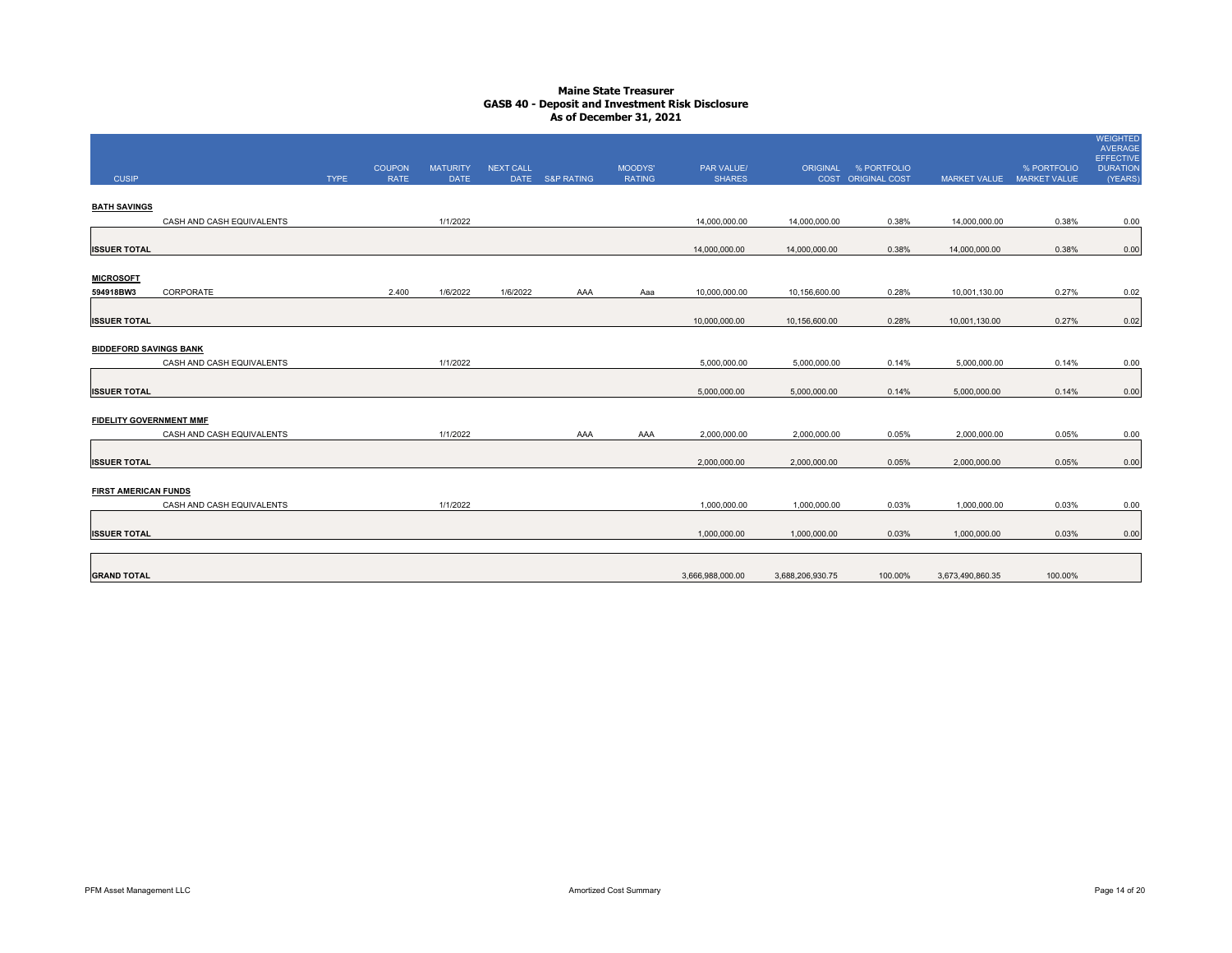| <b>CUSIP</b>                   |                           | <b>TYPE</b> | <b>COUPON</b><br><b>RATE</b> | <b>MATURITY</b><br><b>DATE</b> | NEXT CALL | DATE S&P RATING | MOODYS'<br><b>RATING</b> | PAR VALUE/<br><b>SHARES</b> |                  | ORIGINAL % PORTFOLIO<br>COST ORIGINAL COST |                  | % PORTFOLIO<br>MARKET VALUE MARKET VALUE | <b>WEIGHTED</b><br>AVERAGE<br><b>EFFECTIVE</b><br><b>DURATION</b><br>(YEARS) |
|--------------------------------|---------------------------|-------------|------------------------------|--------------------------------|-----------|-----------------|--------------------------|-----------------------------|------------------|--------------------------------------------|------------------|------------------------------------------|------------------------------------------------------------------------------|
| <b>BATH SAVINGS</b>            |                           |             |                              |                                |           |                 |                          |                             |                  |                                            |                  |                                          |                                                                              |
|                                | CASH AND CASH EQUIVALENTS |             |                              | 1/1/2022                       |           |                 |                          | 14,000,000.00               | 14,000,000.00    | 0.38%                                      | 14,000,000.00    | 0.38%                                    | 0.00                                                                         |
| <b>ISSUER TOTAL</b>            |                           |             |                              |                                |           |                 |                          | 14,000,000.00               | 14,000,000.00    | 0.38%                                      | 14,000,000.00    | 0.38%                                    | 0.00                                                                         |
| <b>MICROSOFT</b>               |                           |             |                              |                                |           |                 |                          |                             |                  |                                            |                  |                                          |                                                                              |
| 594918BW3                      | CORPORATE                 |             | 2.400                        | 1/6/2022                       | 1/6/2022  | AAA             | Aaa                      | 10,000,000.00               | 10,156,600.00    | 0.28%                                      | 10,001,130.00    | 0.27%                                    | 0.02                                                                         |
| <b>ISSUER TOTAL</b>            |                           |             |                              |                                |           |                 |                          | 10,000,000.00               | 10,156,600.00    | 0.28%                                      | 10,001,130.00    | 0.27%                                    | 0.02                                                                         |
| <b>BIDDEFORD SAVINGS BANK</b>  |                           |             |                              |                                |           |                 |                          |                             |                  |                                            |                  |                                          |                                                                              |
|                                | CASH AND CASH EQUIVALENTS |             |                              | 1/1/2022                       |           |                 |                          | 5,000,000.00                | 5,000,000.00     | 0.14%                                      | 5,000,000.00     | 0.14%                                    | 0.00                                                                         |
| <b>ISSUER TOTAL</b>            |                           |             |                              |                                |           |                 |                          | 5,000,000.00                | 5,000,000.00     | 0.14%                                      | 5,000,000.00     | 0.14%                                    | 0.00                                                                         |
| <b>FIDELITY GOVERNMENT MMF</b> |                           |             |                              |                                |           |                 |                          |                             |                  |                                            |                  |                                          |                                                                              |
|                                | CASH AND CASH EQUIVALENTS |             |                              | 1/1/2022                       |           | AAA             | AAA                      | 2,000,000.00                | 2,000,000.00     | 0.05%                                      | 2,000,000.00     | 0.05%                                    | 0.00                                                                         |
| <b>ISSUER TOTAL</b>            |                           |             |                              |                                |           |                 |                          | 2,000,000.00                | 2,000,000.00     | 0.05%                                      | 2,000,000.00     | 0.05%                                    | 0.00                                                                         |
| <b>FIRST AMERICAN FUNDS</b>    |                           |             |                              |                                |           |                 |                          |                             |                  |                                            |                  |                                          |                                                                              |
|                                | CASH AND CASH EQUIVALENTS |             |                              | 1/1/2022                       |           |                 |                          | 1,000,000.00                | 1,000,000.00     | 0.03%                                      | 1,000,000.00     | 0.03%                                    | 0.00                                                                         |
| <b>ISSUER TOTAL</b>            |                           |             |                              |                                |           |                 |                          | 1,000,000.00                | 1,000,000.00     | 0.03%                                      | 1,000,000.00     | 0.03%                                    | 0.00                                                                         |
| <b>GRAND TOTAL</b>             |                           |             |                              |                                |           |                 |                          | 3,666,988,000.00            | 3,688,206,930.75 | 100.00%                                    | 3,673,490,860.35 | 100.00%                                  |                                                                              |
|                                |                           |             |                              |                                |           |                 |                          |                             |                  |                                            |                  |                                          |                                                                              |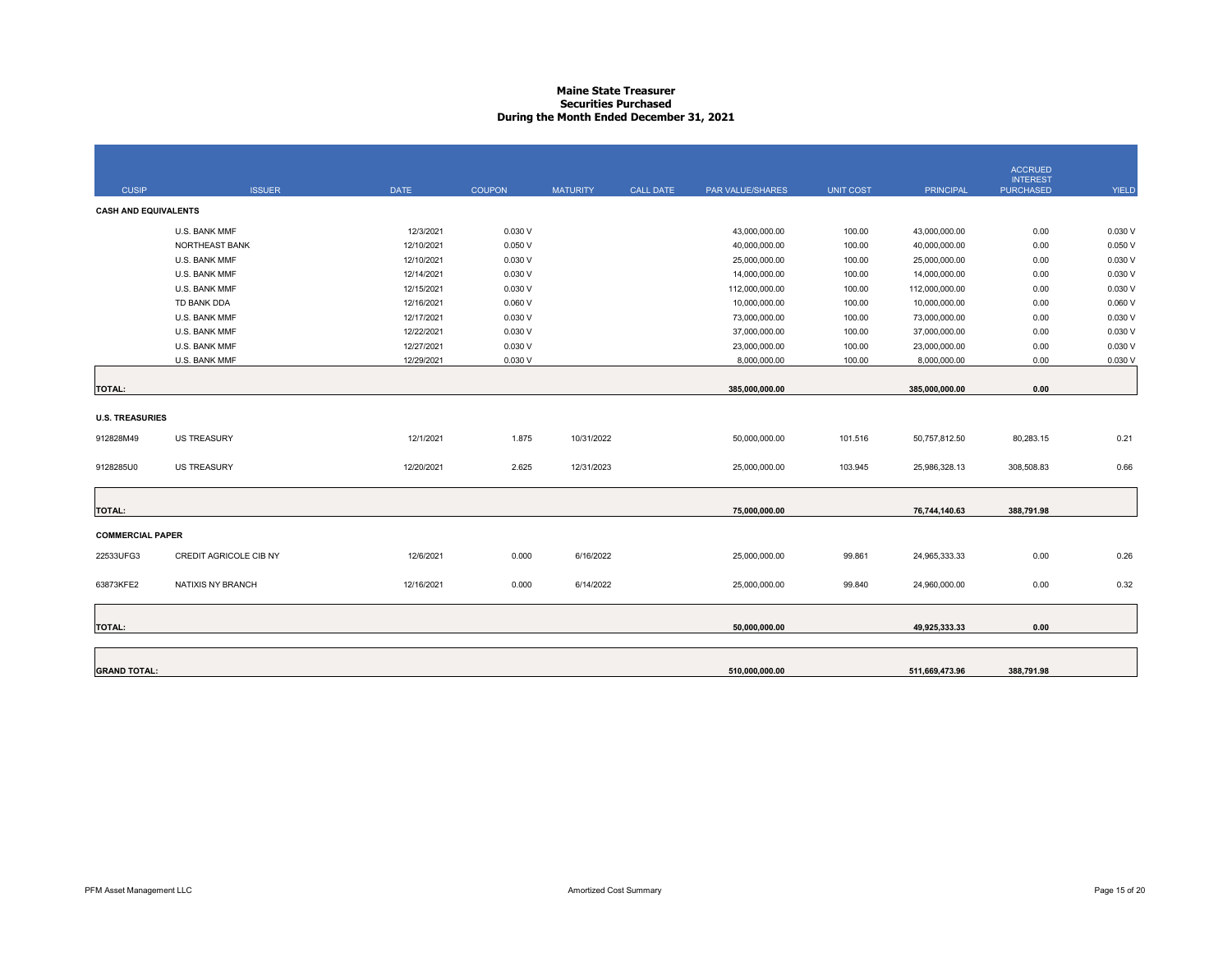# **Maine State Treasurer Securities PurchasedDuring the Month Ended December 31, 2021**

|                             |                        |             |               |                 |                  |                         |                  |                  | <b>ACCRUED</b>                      |              |
|-----------------------------|------------------------|-------------|---------------|-----------------|------------------|-------------------------|------------------|------------------|-------------------------------------|--------------|
| <b>CUSIP</b>                | <b>ISSUER</b>          | <b>DATE</b> | <b>COUPON</b> | <b>MATURITY</b> | <b>CALL DATE</b> | <b>PAR VALUE/SHARES</b> | <b>UNIT COST</b> | <b>PRINCIPAL</b> | <b>INTEREST</b><br><b>PURCHASED</b> | <b>YIELD</b> |
| <b>CASH AND EQUIVALENTS</b> |                        |             |               |                 |                  |                         |                  |                  |                                     |              |
|                             | U.S. BANK MMF          | 12/3/2021   | 0.030V        |                 |                  | 43,000,000.00           | 100.00           | 43,000,000.00    | 0.00                                | 0.030 V      |
|                             | NORTHEAST BANK         | 12/10/2021  | 0.050V        |                 |                  | 40,000,000.00           | 100.00           | 40,000,000.00    | 0.00                                | 0.050V       |
|                             | U.S. BANK MMF          | 12/10/2021  | 0.030V        |                 |                  | 25,000,000.00           | 100.00           | 25,000,000.00    | 0.00                                | 0.030 V      |
|                             | U.S. BANK MMF          | 12/14/2021  | 0.030V        |                 |                  | 14,000,000.00           | 100.00           | 14,000,000.00    | 0.00                                | 0.030 V      |
|                             | U.S. BANK MMF          | 12/15/2021  | 0.030V        |                 |                  | 112,000,000.00          | 100.00           | 112,000,000.00   | 0.00                                | 0.030 V      |
|                             | TD BANK DDA            | 12/16/2021  | 0.060V        |                 |                  | 10,000,000.00           | 100.00           | 10,000,000.00    | 0.00                                | 0.060V       |
|                             | U.S. BANK MMF          | 12/17/2021  | 0.030V        |                 |                  | 73,000,000.00           | 100.00           | 73,000,000.00    | 0.00                                | 0.030 V      |
|                             | U.S. BANK MMF          | 12/22/2021  | 0.030V        |                 |                  | 37,000,000.00           | 100.00           | 37,000,000.00    | 0.00                                | 0.030 V      |
|                             | U.S. BANK MMF          | 12/27/2021  | 0.030 V       |                 |                  | 23,000,000.00           | 100.00           | 23,000,000.00    | 0.00                                | 0.030 V      |
|                             | U.S. BANK MMF          | 12/29/2021  | 0.030 V       |                 |                  | 8,000,000.00            | 100.00           | 8,000,000.00     | 0.00                                | 0.030 V      |
|                             |                        |             |               |                 |                  |                         |                  |                  |                                     |              |
| <b>TOTAL:</b>               |                        |             |               |                 |                  | 385,000,000.00          |                  | 385,000,000.00   | 0.00                                |              |
|                             |                        |             |               |                 |                  |                         |                  |                  |                                     |              |
| <b>U.S. TREASURIES</b>      |                        |             |               |                 |                  |                         |                  |                  |                                     |              |
| 912828M49                   | <b>US TREASURY</b>     | 12/1/2021   | 1.875         | 10/31/2022      |                  | 50,000,000.00           | 101.516          | 50,757,812.50    | 80,283.15                           | 0.21         |
|                             |                        |             |               |                 |                  |                         |                  |                  |                                     |              |
| 9128285U0                   | <b>US TREASURY</b>     | 12/20/2021  | 2.625         | 12/31/2023      |                  | 25,000,000.00           | 103.945          | 25,986,328.13    | 308,508.83                          | 0.66         |
|                             |                        |             |               |                 |                  |                         |                  |                  |                                     |              |
|                             |                        |             |               |                 |                  |                         |                  |                  |                                     |              |
| <b>TOTAL:</b>               |                        |             |               |                 |                  | 75,000,000.00           |                  | 76,744,140.63    | 388,791.98                          |              |
|                             |                        |             |               |                 |                  |                         |                  |                  |                                     |              |
| <b>COMMERCIAL PAPER</b>     |                        |             |               |                 |                  |                         |                  |                  |                                     |              |
| 22533UFG3                   | CREDIT AGRICOLE CIB NY | 12/6/2021   | 0.000         | 6/16/2022       |                  | 25,000,000.00           | 99.861           | 24,965,333.33    | 0.00                                | 0.26         |
|                             |                        |             |               |                 |                  |                         |                  |                  |                                     |              |
| 63873KFE2                   | NATIXIS NY BRANCH      | 12/16/2021  | 0.000         | 6/14/2022       |                  | 25,000,000.00           | 99.840           | 24,960,000.00    | 0.00                                | 0.32         |
|                             |                        |             |               |                 |                  |                         |                  |                  |                                     |              |
|                             |                        |             |               |                 |                  |                         |                  |                  |                                     |              |
| <b>TOTAL:</b>               |                        |             |               |                 |                  | 50,000,000.00           |                  | 49,925,333.33    | 0.00                                |              |
|                             |                        |             |               |                 |                  |                         |                  |                  |                                     |              |
|                             |                        |             |               |                 |                  |                         |                  |                  |                                     |              |
| <b>GRAND TOTAL:</b>         |                        |             |               |                 |                  | 510,000,000.00          |                  | 511,669,473.96   | 388,791.98                          |              |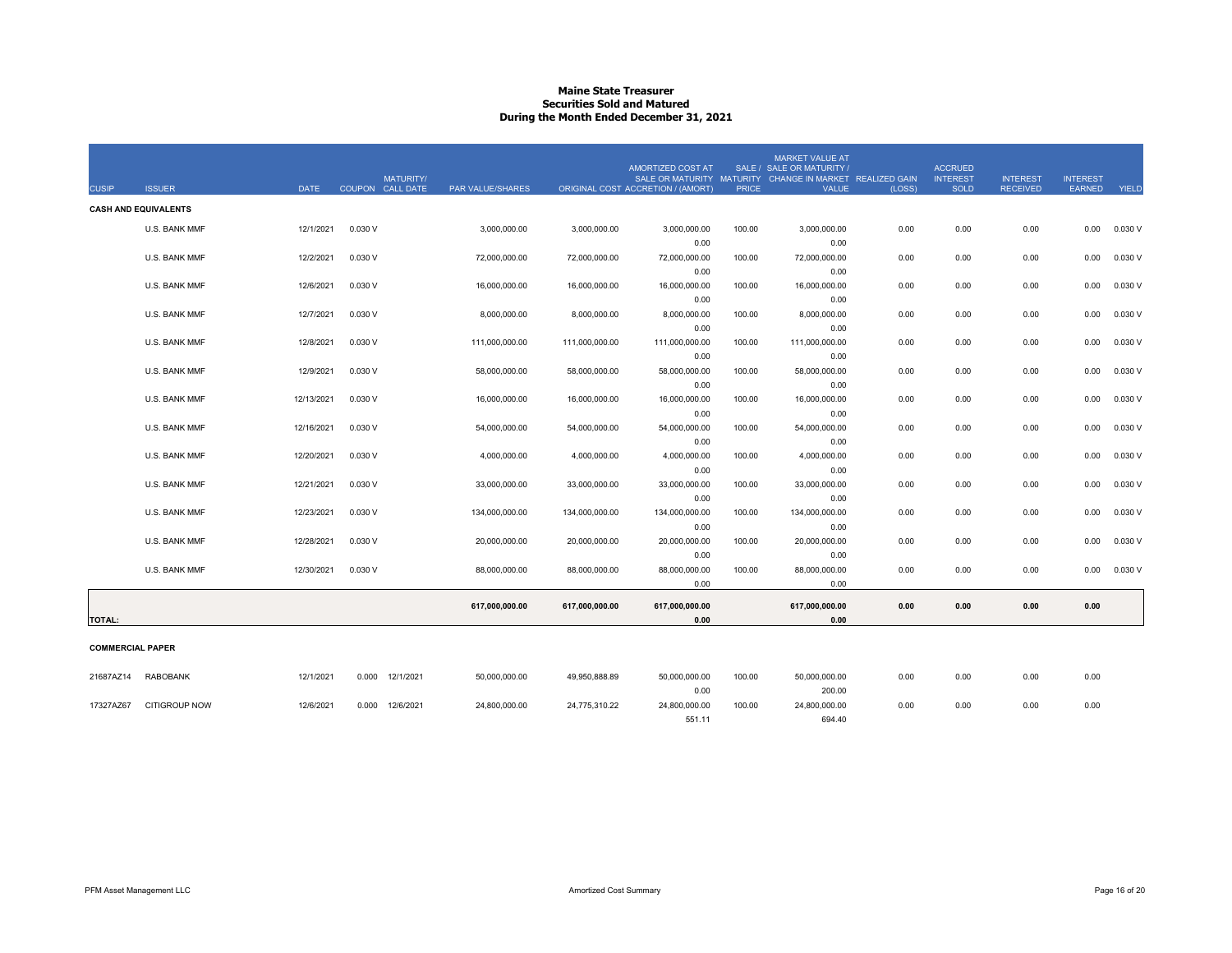### **Maine State Treasurer Securities Sold and MaturedDuring the Month Ended December 31, 2021**

| <b>CUSIP</b>            | <b>ISSUER</b>               | <b>DATE</b> | <b>MATURITY/</b><br>COUPON CALL DATE | PAR VALUE/SHARES |                | AMORTIZED COST AT<br>ORIGINAL COST ACCRETION / (AMORT) | <b>PRICE</b> | <b>MARKET VALUE AT</b><br>SALE / SALE OR MATURITY /<br>SALE OR MATURITY MATURITY CHANGE IN MARKET REALIZED GAIN<br><b>VALUE</b> | (LOSS) | <b>ACCRUED</b><br><b>INTEREST</b><br>SOLD | <b>INTEREST</b><br><b>RECEIVED</b> | <b>INTEREST</b><br>EARNED | YIELD   |
|-------------------------|-----------------------------|-------------|--------------------------------------|------------------|----------------|--------------------------------------------------------|--------------|---------------------------------------------------------------------------------------------------------------------------------|--------|-------------------------------------------|------------------------------------|---------------------------|---------|
|                         | <b>CASH AND EQUIVALENTS</b> |             |                                      |                  |                |                                                        |              |                                                                                                                                 |        |                                           |                                    |                           |         |
|                         | U.S. BANK MMF               | 12/1/2021   | 0.030 V                              | 3,000,000.00     | 3,000,000.00   | 3,000,000.00                                           | 100.00       | 3,000,000.00                                                                                                                    | 0.00   | 0.00                                      | 0.00                               | 0.00                      | 0.030 V |
|                         |                             |             |                                      |                  |                | 0.00                                                   |              | 0.00                                                                                                                            |        |                                           |                                    |                           |         |
|                         | U.S. BANK MMF               | 12/2/2021   | 0.030 V                              | 72,000,000.00    | 72,000,000.00  | 72,000,000.00                                          | 100.00       | 72,000,000.00                                                                                                                   | 0.00   | 0.00                                      | 0.00                               | 0.00                      | 0.030V  |
|                         |                             |             |                                      |                  |                | 0.00                                                   |              | 0.00                                                                                                                            |        |                                           |                                    |                           |         |
|                         | U.S. BANK MMF               | 12/6/2021   | 0.030 V                              | 16,000,000.00    | 16,000,000.00  | 16,000,000.00<br>0.00                                  | 100.00       | 16,000,000.00<br>0.00                                                                                                           | 0.00   | 0.00                                      | 0.00                               | 0.00                      | 0.030 V |
|                         | U.S. BANK MMF               | 12/7/2021   | 0.030 V                              | 8,000,000.00     | 8,000,000.00   | 8,000,000.00                                           | 100.00       | 8,000,000.00                                                                                                                    | 0.00   | 0.00                                      | 0.00                               | 0.00                      | 0.030 V |
|                         |                             |             |                                      |                  |                | 0.00                                                   |              | 0.00                                                                                                                            |        |                                           |                                    |                           |         |
|                         | U.S. BANK MMF               | 12/8/2021   | 0.030 V                              | 111,000,000.00   | 111,000,000.00 | 111,000,000.00                                         | 100.00       | 111,000,000.00                                                                                                                  | 0.00   | 0.00                                      | 0.00                               | 0.00                      | 0.030 V |
|                         |                             |             |                                      |                  |                | 0.00                                                   |              | 0.00                                                                                                                            |        |                                           |                                    |                           |         |
|                         | U.S. BANK MMF               | 12/9/2021   | 0.030V                               | 58,000,000.00    | 58,000,000.00  | 58,000,000.00                                          | 100.00       | 58,000,000.00                                                                                                                   | 0.00   | 0.00                                      | 0.00                               | 0.00                      | 0.030V  |
|                         |                             |             |                                      |                  |                | 0.00                                                   |              | 0.00                                                                                                                            |        |                                           |                                    |                           |         |
|                         | U.S. BANK MMF               | 12/13/2021  | 0.030 V                              | 16,000,000.00    | 16,000,000.00  | 16,000,000.00<br>0.00                                  | 100.00       | 16,000,000.00<br>0.00                                                                                                           | 0.00   | 0.00                                      | 0.00                               | 0.00                      | 0.030V  |
|                         | U.S. BANK MMF               | 12/16/2021  | 0.030V                               | 54,000,000.00    | 54,000,000.00  | 54,000,000.00                                          | 100.00       | 54,000,000.00                                                                                                                   | 0.00   | 0.00                                      | 0.00                               | 0.00                      | 0.030V  |
|                         |                             |             |                                      |                  |                | 0.00                                                   |              | 0.00                                                                                                                            |        |                                           |                                    |                           |         |
|                         | U.S. BANK MMF               | 12/20/2021  | 0.030 V                              | 4,000,000.00     | 4,000,000.00   | 4,000,000.00                                           | 100.00       | 4,000,000.00                                                                                                                    | 0.00   | 0.00                                      | 0.00                               | 0.00                      | 0.030 V |
|                         |                             |             |                                      |                  |                | 0.00                                                   |              | 0.00                                                                                                                            |        |                                           |                                    |                           |         |
|                         | U.S. BANK MMF               | 12/21/2021  | 0.030 V                              | 33,000,000.00    | 33,000,000.00  | 33,000,000.00                                          | 100.00       | 33,000,000.00                                                                                                                   | 0.00   | 0.00                                      | 0.00                               | 0.00                      | 0.030 V |
|                         |                             |             |                                      |                  |                | 0.00                                                   |              | 0.00                                                                                                                            |        |                                           |                                    |                           |         |
|                         | U.S. BANK MMF               | 12/23/2021  | 0.030 V                              | 134,000,000.00   | 134,000,000.00 | 134,000,000.00                                         | 100.00       | 134,000,000.00                                                                                                                  | 0.00   | 0.00                                      | 0.00                               | 0.00                      | 0.030 V |
|                         | U.S. BANK MMF               | 12/28/2021  | 0.030 V                              | 20,000,000.00    | 20,000,000.00  | 0.00<br>20,000,000.00                                  | 100.00       | 0.00<br>20,000,000.00                                                                                                           | 0.00   | 0.00                                      | 0.00                               | 0.00                      | 0.030 V |
|                         |                             |             |                                      |                  |                | 0.00                                                   |              | 0.00                                                                                                                            |        |                                           |                                    |                           |         |
|                         | U.S. BANK MMF               | 12/30/2021  | 0.030V                               | 88,000,000.00    | 88,000,000.00  | 88,000,000.00                                          | 100.00       | 88,000,000.00                                                                                                                   | 0.00   | 0.00                                      | 0.00                               | 0.00                      | 0.030V  |
|                         |                             |             |                                      |                  |                | 0.00                                                   |              | 0.00                                                                                                                            |        |                                           |                                    |                           |         |
|                         |                             |             |                                      | 617,000,000.00   | 617,000,000.00 | 617,000,000.00                                         |              | 617,000,000.00                                                                                                                  | 0.00   | 0.00                                      | 0.00                               | 0.00                      |         |
| <b>TOTAL:</b>           |                             |             |                                      |                  |                | 0.00                                                   |              | 0.00                                                                                                                            |        |                                           |                                    |                           |         |
| <b>COMMERCIAL PAPER</b> |                             |             |                                      |                  |                |                                                        |              |                                                                                                                                 |        |                                           |                                    |                           |         |
|                         |                             |             |                                      |                  |                |                                                        |              |                                                                                                                                 |        |                                           |                                    |                           |         |
| 21687AZ14               | <b>RABOBANK</b>             | 12/1/2021   | 0.000 12/1/2021                      | 50,000,000.00    | 49,950,888.89  | 50,000,000.00                                          | 100.00       | 50,000,000.00                                                                                                                   | 0.00   | 0.00                                      | 0.00                               | 0.00                      |         |
|                         |                             |             |                                      |                  |                | 0.00                                                   |              | 200.00                                                                                                                          |        |                                           |                                    |                           |         |
| 17327AZ67               | <b>CITIGROUP NOW</b>        | 12/6/2021   | 12/6/2021<br>0.000                   | 24,800,000.00    | 24,775,310.22  | 24,800,000.00<br>551.11                                | 100.00       | 24,800,000.00<br>694.40                                                                                                         | 0.00   | 0.00                                      | 0.00                               | 0.00                      |         |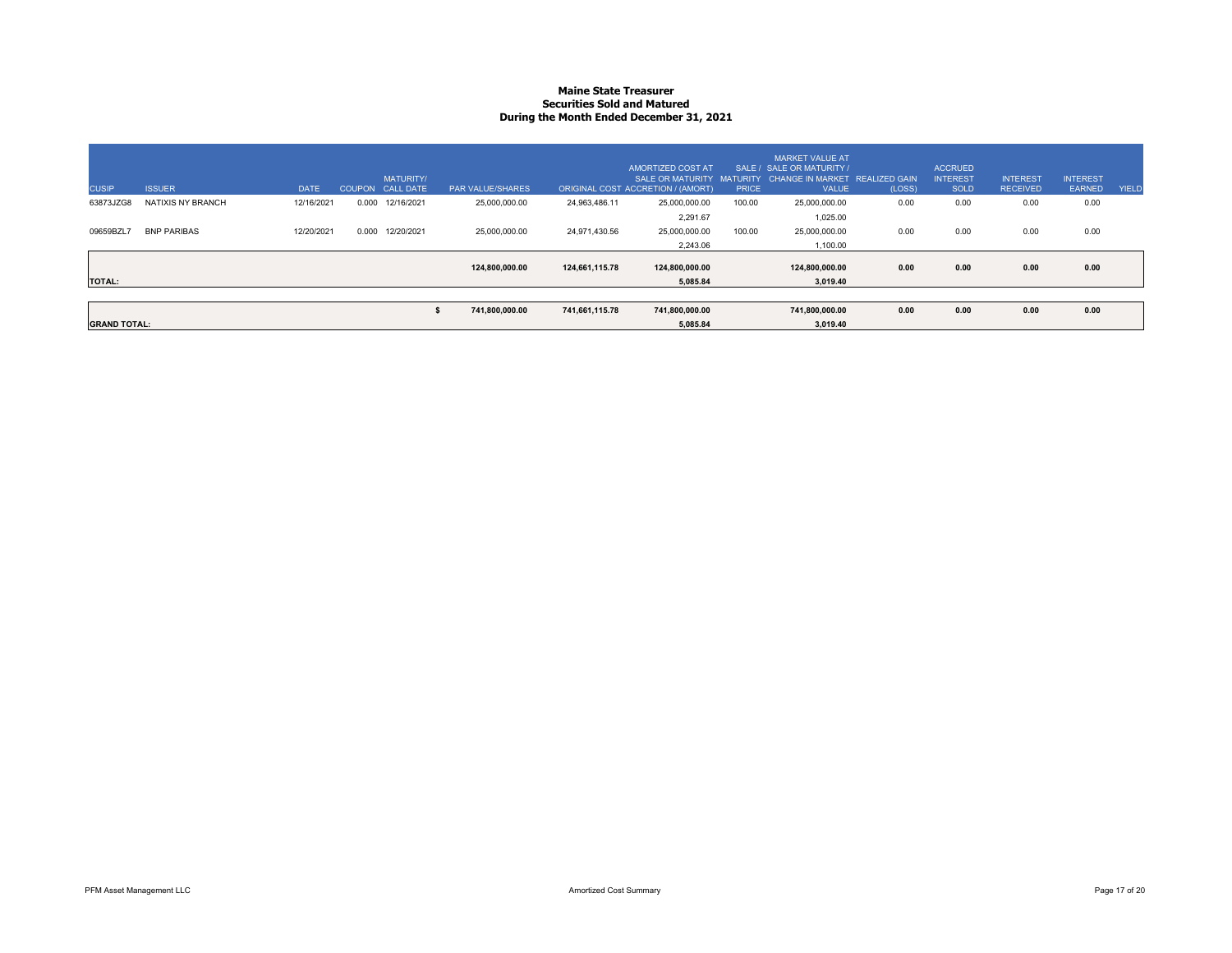### **Maine State Treasurer Securities Sold and MaturedDuring the Month Ended December 31, 2021**

| <b>CUSIP</b>        | <b>ISSUER</b>            | <b>DATE</b> |       | <b>MATURITY/</b><br>COUPON CALL DATE | <b>PAR VALUE/SHARES</b> |                | AMORTIZED COST AT<br><b>SALE OR MATURITY</b><br>ORIGINAL COST ACCRETION / (AMORT) | <b>PRICE</b> | <b>MARKET VALUE AT</b><br>SALE / SALE OR MATURITY /<br>MATURITY CHANGE IN MARKET REALIZED GAIN<br><b>VALUE</b> | (LOSS) | <b>ACCRUED</b><br><b>INTEREST</b><br><b>SOLD</b> | <b>INTEREST</b><br><b>RECEIVED</b> | <b>INTEREST</b><br><b>EARNED</b> | YIELD |
|---------------------|--------------------------|-------------|-------|--------------------------------------|-------------------------|----------------|-----------------------------------------------------------------------------------|--------------|----------------------------------------------------------------------------------------------------------------|--------|--------------------------------------------------|------------------------------------|----------------------------------|-------|
| 63873JZG8           | <b>NATIXIS NY BRANCH</b> | 12/16/2021  | 0.000 | 12/16/2021                           | 25,000,000.00           | 24,963,486.11  | 25,000,000.00                                                                     | 100.00       | 25,000,000.00                                                                                                  | 0.00   | 0.00                                             | 0.00                               | 0.00                             |       |
|                     |                          |             |       |                                      |                         |                | 2,291.67                                                                          |              | 1,025.00                                                                                                       |        |                                                  |                                    |                                  |       |
| 09659BZL7           | <b>BNP PARIBAS</b>       | 12/20/2021  | 0.000 | 12/20/2021                           | 25,000,000.00           | 24,971,430.56  | 25,000,000.00                                                                     | 100.00       | 25,000,000.00                                                                                                  | 0.00   | 0.00                                             | 0.00                               | 0.00                             |       |
|                     |                          |             |       |                                      |                         |                | 2,243.06                                                                          |              | 1,100.00                                                                                                       |        |                                                  |                                    |                                  |       |
|                     |                          |             |       |                                      | 124,800,000.00          | 124.661.115.78 | 124,800,000.00                                                                    |              | 124.800.000.00                                                                                                 | 0.00   | 0.00                                             | 0.00                               | 0.00                             |       |
| <b>TOTAL:</b>       |                          |             |       |                                      |                         |                | 5.085.84                                                                          |              | 3.019.40                                                                                                       |        |                                                  |                                    |                                  |       |
|                     |                          |             |       |                                      |                         |                |                                                                                   |              |                                                                                                                |        |                                                  |                                    |                                  |       |
|                     |                          |             |       |                                      | 741,800,000.00          | 741,661,115.78 | 741,800,000.00                                                                    |              | 741,800,000.00                                                                                                 | 0.00   | 0.00                                             | 0.00                               | 0.00                             |       |
| <b>GRAND TOTAL:</b> |                          |             |       |                                      |                         |                | 5,085.84                                                                          |              | 3,019.40                                                                                                       |        |                                                  |                                    |                                  |       |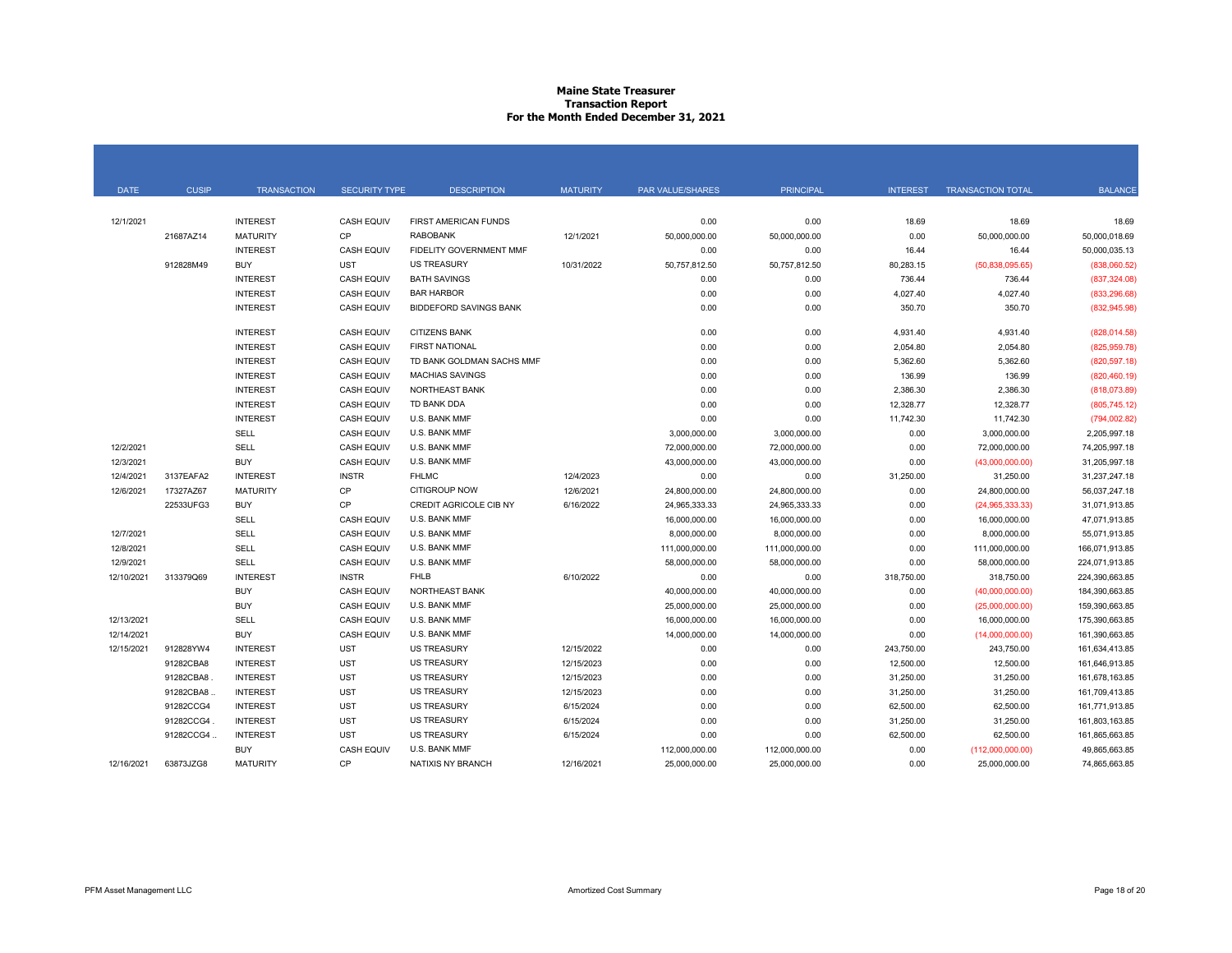# **Maine State Treasurer Transaction Report For the Month Ended December 31, 2021**

| <b>DATE</b> | <b>CUSIP</b> | <b>TRANSACTION</b> | <b>SECURITY TYPE</b> | <b>DESCRIPTION</b>            | <b>MATURITY</b> | <b>PAR VALUE/SHARES</b> | <b>PRINCIPAL</b> | <b>INTEREST</b> | <b>TRANSACTION TOTAL</b> | <b>BALANCE</b> |
|-------------|--------------|--------------------|----------------------|-------------------------------|-----------------|-------------------------|------------------|-----------------|--------------------------|----------------|
|             |              |                    |                      |                               |                 |                         |                  |                 |                          |                |
| 12/1/2021   |              | <b>INTEREST</b>    | <b>CASH EQUIV</b>    | FIRST AMERICAN FUNDS          |                 | 0.00                    | 0.00             | 18.69           | 18.69                    | 18.69          |
|             | 21687AZ14    | <b>MATURITY</b>    | CP                   | <b>RABOBANK</b>               | 12/1/2021       | 50,000,000.00           | 50,000,000.00    | 0.00            | 50,000,000.00            | 50,000,018.69  |
|             |              | <b>INTEREST</b>    | <b>CASH EQUIV</b>    | FIDELITY GOVERNMENT MMF       |                 | 0.00                    | 0.00             | 16.44           | 16.44                    | 50.000.035.13  |
|             | 912828M49    | <b>BUY</b>         | <b>UST</b>           | <b>US TREASURY</b>            | 10/31/2022      | 50,757,812.50           | 50,757,812.50    | 80,283.15       | (50,838,095.65)          | (838,060.52)   |
|             |              | <b>INTEREST</b>    | <b>CASH EQUIV</b>    | <b>BATH SAVINGS</b>           |                 | 0.00                    | 0.00             | 736.44          | 736.44                   | (837, 324.08)  |
|             |              | <b>INTEREST</b>    | <b>CASH EQUIV</b>    | <b>BAR HARBOR</b>             |                 | 0.00                    | 0.00             | 4,027.40        | 4,027.40                 | (833, 296.68)  |
|             |              | <b>INTEREST</b>    | <b>CASH EQUIV</b>    | <b>BIDDEFORD SAVINGS BANK</b> |                 | 0.00                    | 0.00             | 350.70          | 350.70                   | (832, 945.98)  |
|             |              | <b>INTEREST</b>    | <b>CASH EQUIV</b>    | <b>CITIZENS BANK</b>          |                 | 0.00                    | 0.00             | 4,931.40        | 4,931.40                 | (828, 014.58)  |
|             |              | <b>INTEREST</b>    | <b>CASH EQUIV</b>    | <b>FIRST NATIONAL</b>         |                 | 0.00                    | 0.00             | 2,054.80        | 2,054.80                 | (825, 959, 78) |
|             |              | <b>INTEREST</b>    | <b>CASH EQUIV</b>    | TD BANK GOLDMAN SACHS MMF     |                 | 0.00                    | 0.00             | 5,362.60        | 5,362.60                 | (820, 597.18)  |
|             |              | <b>INTEREST</b>    | <b>CASH EQUIV</b>    | <b>MACHIAS SAVINGS</b>        |                 | 0.00                    | 0.00             | 136.99          | 136.99                   | (820, 460.19)  |
|             |              | <b>INTEREST</b>    | <b>CASH EQUIV</b>    | <b>NORTHEAST BANK</b>         |                 | 0.00                    | 0.00             | 2,386.30        | 2,386.30                 | (818,073.89)   |
|             |              | <b>INTEREST</b>    | <b>CASH EQUIV</b>    | TD BANK DDA                   |                 | 0.00                    | 0.00             | 12,328.77       | 12,328.77                | (805, 745.12)  |
|             |              | <b>INTEREST</b>    | <b>CASH EQUIV</b>    | U.S. BANK MMF                 |                 | 0.00                    | 0.00             | 11,742.30       | 11,742.30                | (794,002.82)   |
|             |              | SELL               | <b>CASH EQUIV</b>    | U.S. BANK MMF                 |                 | 3,000,000.00            | 3,000,000.00     | 0.00            | 3,000,000.00             | 2,205,997.18   |
| 12/2/2021   |              | SELL               | <b>CASH EQUIV</b>    | U.S. BANK MMF                 |                 | 72,000,000.00           | 72,000,000.00    | 0.00            | 72,000,000.00            | 74,205,997.18  |
| 12/3/2021   |              | <b>BUY</b>         | <b>CASH EQUIV</b>    | U.S. BANK MMF                 |                 | 43,000,000.00           | 43,000,000.00    | 0.00            | (43,000,000.00)          | 31,205,997.18  |
| 12/4/2021   | 3137EAFA2    | <b>INTEREST</b>    | <b>INSTR</b>         | <b>FHLMC</b>                  | 12/4/2023       | 0.00                    | 0.00             | 31,250.00       | 31,250.00                | 31,237,247.18  |
| 12/6/2021   | 17327AZ67    | <b>MATURITY</b>    | CP                   | CITIGROUP NOW                 | 12/6/2021       | 24,800,000.00           | 24,800,000.00    | 0.00            | 24,800,000.00            | 56,037,247.18  |
|             | 22533UFG3    | <b>BUY</b>         | CP                   | CREDIT AGRICOLE CIB NY        | 6/16/2022       | 24,965,333.33           | 24,965,333.33    | 0.00            | (24,965,333.33)          | 31,071,913.85  |
|             |              | SELL               | <b>CASH EQUIV</b>    | U.S. BANK MMF                 |                 | 16,000,000.00           | 16,000,000.00    | 0.00            | 16,000,000.00            | 47,071,913.85  |
| 12/7/2021   |              | SELL               | <b>CASH EQUIV</b>    | U.S. BANK MMF                 |                 | 8,000,000.00            | 8,000,000.00     | 0.00            | 8,000,000.00             | 55,071,913.85  |
| 12/8/2021   |              | <b>SELL</b>        | <b>CASH EQUIV</b>    | U.S. BANK MMF                 |                 | 111,000,000.00          | 111,000,000.00   | 0.00            | 111.000.000.00           | 166.071.913.85 |
| 12/9/2021   |              | SELL               | <b>CASH EQUIV</b>    | U.S. BANK MMF                 |                 | 58,000,000.00           | 58,000,000.00    | 0.00            | 58,000,000.00            | 224,071,913.85 |
| 12/10/2021  | 313379Q69    | <b>INTEREST</b>    | <b>INSTR</b>         | <b>FHLB</b>                   | 6/10/2022       | 0.00                    | 0.00             | 318,750.00      | 318,750.00               | 224,390,663.85 |
|             |              | <b>BUY</b>         | <b>CASH EQUIV</b>    | NORTHEAST BANK                |                 | 40,000,000.00           | 40,000,000.00    | 0.00            | (40,000,000.00)          | 184,390,663.85 |
|             |              | <b>BUY</b>         | <b>CASH EQUIV</b>    | U.S. BANK MMF                 |                 | 25,000,000.00           | 25,000,000.00    | 0.00            | (25,000,000.00)          | 159,390,663.85 |
| 12/13/2021  |              | SELL               | <b>CASH EQUIV</b>    | U.S. BANK MMF                 |                 | 16,000,000.00           | 16,000,000.00    | 0.00            | 16,000,000.00            | 175,390,663.85 |
| 12/14/2021  |              | <b>BUY</b>         | <b>CASH EQUIV</b>    | U.S. BANK MMF                 |                 | 14,000,000.00           | 14,000,000.00    | 0.00            | (14,000,000.00)          | 161,390,663.85 |
| 12/15/2021  | 912828YW4    | <b>INTEREST</b>    | <b>UST</b>           | <b>US TREASURY</b>            | 12/15/2022      | 0.00                    | 0.00             | 243,750.00      | 243,750.00               | 161,634,413.85 |
|             | 91282CBA8    | <b>INTEREST</b>    | <b>UST</b>           | <b>US TREASURY</b>            | 12/15/2023      | 0.00                    | 0.00             | 12,500.00       | 12,500.00                | 161,646,913.85 |
|             | 91282CBA8    | <b>INTEREST</b>    | <b>UST</b>           | <b>US TREASURY</b>            | 12/15/2023      | 0.00                    | 0.00             | 31,250.00       | 31,250.00                | 161,678,163.85 |
|             | 91282CBA8.   | <b>INTEREST</b>    | <b>UST</b>           | <b>US TREASURY</b>            | 12/15/2023      | 0.00                    | 0.00             | 31,250.00       | 31,250.00                | 161,709,413.85 |
|             | 91282CCG4    | <b>INTEREST</b>    | <b>UST</b>           | <b>US TREASURY</b>            | 6/15/2024       | 0.00                    | 0.00             | 62,500.00       | 62,500.00                | 161,771,913.85 |
|             | 91282CCG4.   | <b>INTEREST</b>    | <b>UST</b>           | <b>US TREASURY</b>            | 6/15/2024       | 0.00                    | 0.00             | 31,250.00       | 31,250.00                | 161,803,163.85 |
|             | 91282CCG4.   | <b>INTEREST</b>    | <b>UST</b>           | <b>US TREASURY</b>            | 6/15/2024       | 0.00                    | 0.00             | 62,500.00       | 62,500.00                | 161,865,663.85 |
|             |              | <b>BUY</b>         | <b>CASH EQUIV</b>    | U.S. BANK MMF                 |                 | 112,000,000.00          | 112,000,000.00   | 0.00            | (112,000,000.00)         | 49.865.663.85  |
| 12/16/2021  | 63873JZG8    | <b>MATURITY</b>    | CP                   | NATIXIS NY BRANCH             | 12/16/2021      | 25,000,000.00           | 25,000,000.00    | 0.00            | 25,000,000.00            | 74,865,663.85  |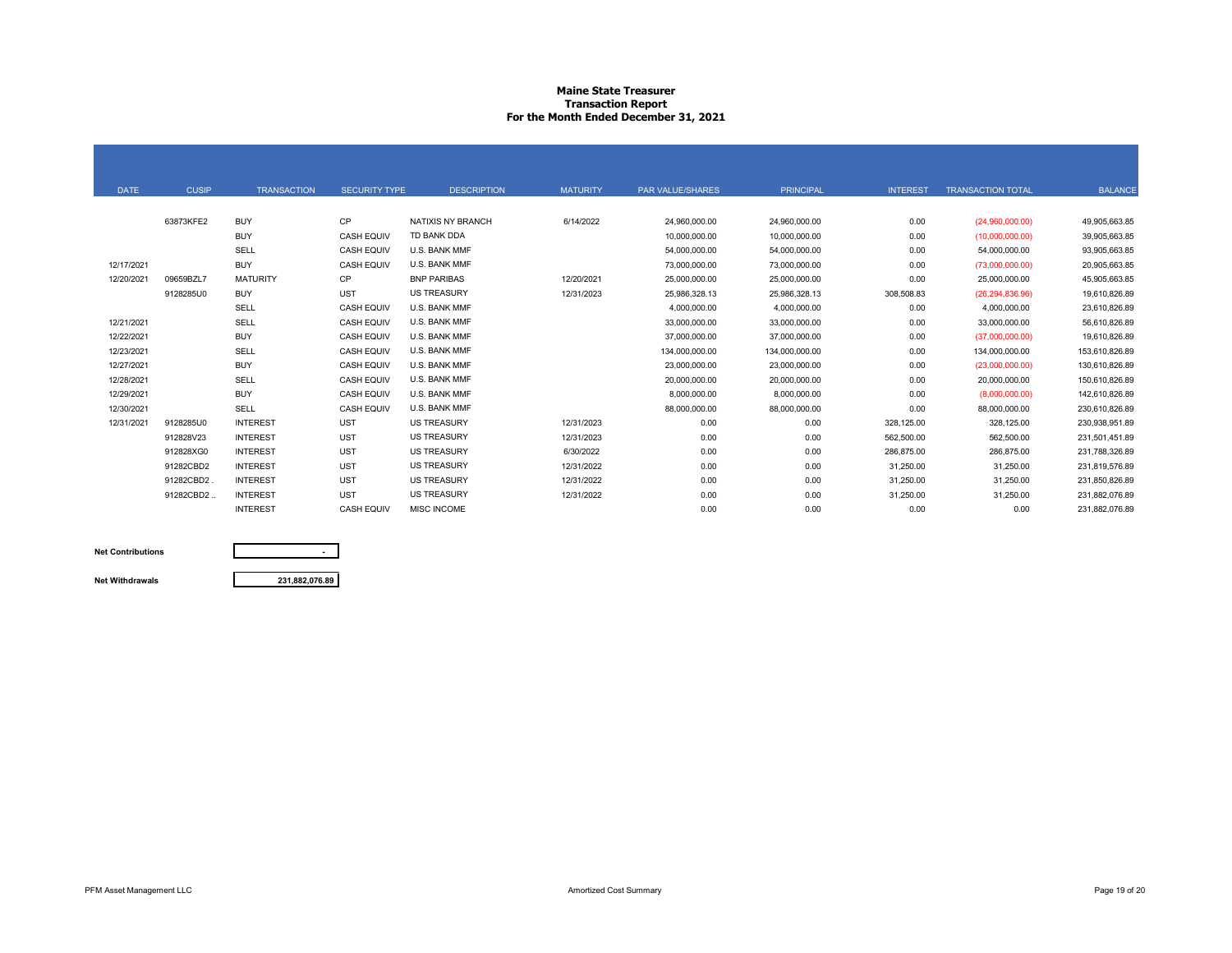# **Maine State Treasurer Transaction Report For the Month Ended December 31, 2021**

| <b>DATE</b> | <b>CUSIP</b> | <b>TRANSACTION</b> | <b>SECURITY TYPE</b> | <b>DESCRIPTION</b> | <b>MATURITY</b> | PAR VALUE/SHARES | <b>PRINCIPAL</b> | <b>INTEREST</b> | <b>TRANSACTION TOTAL</b> | <b>BALANCE</b> |
|-------------|--------------|--------------------|----------------------|--------------------|-----------------|------------------|------------------|-----------------|--------------------------|----------------|
|             |              |                    |                      |                    |                 |                  |                  |                 |                          |                |
|             | 63873KFE2    | <b>BUY</b>         | <b>CP</b>            | NATIXIS NY BRANCH  | 6/14/2022       | 24,960,000.00    | 24,960,000.00    | 0.00            | (24,960,000.00)          | 49.905.663.85  |
|             |              | <b>BUY</b>         | <b>CASH EQUIV</b>    | TD BANK DDA        |                 | 10,000,000.00    | 10,000,000.00    | 0.00            | (10,000,000.00)          | 39,905,663.85  |
|             |              | <b>SELL</b>        | <b>CASH EQUIV</b>    | U.S. BANK MMF      |                 | 54,000,000.00    | 54,000,000.00    | 0.00            | 54,000,000.00            | 93,905,663.85  |
| 12/17/2021  |              | <b>BUY</b>         | <b>CASH EQUIV</b>    | U.S. BANK MMF      |                 | 73,000,000.00    | 73,000,000.00    | 0.00            | (73,000,000.00)          | 20,905,663.85  |
| 12/20/2021  | 09659BZL7    | <b>MATURITY</b>    | <b>CP</b>            | <b>BNP PARIBAS</b> | 12/20/2021      | 25,000,000.00    | 25,000,000.00    | 0.00            | 25,000,000.00            | 45,905,663.85  |
|             | 9128285U0    | <b>BUY</b>         | <b>UST</b>           | <b>US TREASURY</b> | 12/31/2023      | 25,986,328.13    | 25,986,328.13    | 308,508.83      | (26, 294, 836.96)        | 19,610,826.89  |
|             |              | SELL               | <b>CASH EQUIV</b>    | U.S. BANK MMF      |                 | 4,000,000.00     | 4,000,000.00     | 0.00            | 4,000,000.00             | 23,610,826.89  |
| 12/21/2021  |              | SELL               | <b>CASH EQUIV</b>    | U.S. BANK MMF      |                 | 33,000,000.00    | 33,000,000.00    | 0.00            | 33,000,000.00            | 56,610,826.89  |
| 12/22/2021  |              | <b>BUY</b>         | <b>CASH EQUIV</b>    | U.S. BANK MMF      |                 | 37,000,000.00    | 37,000,000.00    | 0.00            | (37,000,000.00)          | 19,610,826.89  |
| 12/23/2021  |              | SELL               | <b>CASH EQUIV</b>    | U.S. BANK MMF      |                 | 134,000,000.00   | 134,000,000.00   | 0.00            | 134,000,000.00           | 153,610,826.89 |
| 12/27/2021  |              | <b>BUY</b>         | <b>CASH EQUIV</b>    | U.S. BANK MMF      |                 | 23,000,000.00    | 23,000,000.00    | 0.00            | (23,000,000.00)          | 130.610.826.89 |
| 12/28/2021  |              | SELL               | <b>CASH EQUIV</b>    | U.S. BANK MMF      |                 | 20,000,000.00    | 20,000,000.00    | 0.00            | 20,000,000.00            | 150,610,826.89 |
| 12/29/2021  |              | <b>BUY</b>         | <b>CASH EQUIV</b>    | U.S. BANK MMF      |                 | 8,000,000.00     | 8,000,000.00     | 0.00            | (8,000,000.00)           | 142,610,826.89 |
| 12/30/2021  |              | SELL               | <b>CASH EQUIV</b>    | U.S. BANK MMF      |                 | 88,000,000.00    | 88,000,000.00    | 0.00            | 88,000,000.00            | 230,610,826.89 |
| 12/31/2021  | 9128285U0    | <b>INTEREST</b>    | <b>UST</b>           | <b>US TREASURY</b> | 12/31/2023      | 0.00             | 0.00             | 328,125.00      | 328,125.00               | 230,938,951.89 |
|             | 912828V23    | <b>INTEREST</b>    | <b>UST</b>           | <b>US TREASURY</b> | 12/31/2023      | 0.00             | 0.00             | 562.500.00      | 562.500.00               | 231.501.451.89 |
|             | 912828XG0    | <b>INTEREST</b>    | <b>UST</b>           | <b>US TREASURY</b> | 6/30/2022       | 0.00             | 0.00             | 286,875.00      | 286,875.00               | 231,788,326.89 |
|             | 91282CBD2    | <b>INTEREST</b>    | <b>UST</b>           | <b>US TREASURY</b> | 12/31/2022      | 0.00             | 0.00             | 31,250.00       | 31,250.00                | 231,819,576.89 |
|             | 91282CBD2    | <b>INTEREST</b>    | <b>UST</b>           | <b>US TREASURY</b> | 12/31/2022      | 0.00             | 0.00             | 31,250.00       | 31,250.00                | 231,850,826.89 |
|             | 91282CBD2.   | <b>INTEREST</b>    | <b>UST</b>           | <b>US TREASURY</b> | 12/31/2022      | 0.00             | 0.00             | 31,250.00       | 31,250.00                | 231,882,076.89 |
|             |              | <b>INTEREST</b>    | CASH EQUIV           | MISC INCOME        |                 | 0.00             | 0.00             | 0.00            | 0.00                     | 231.882.076.89 |

**Net Contributions**

**Net Withdrawals**

**231,882,076.89**

**-**